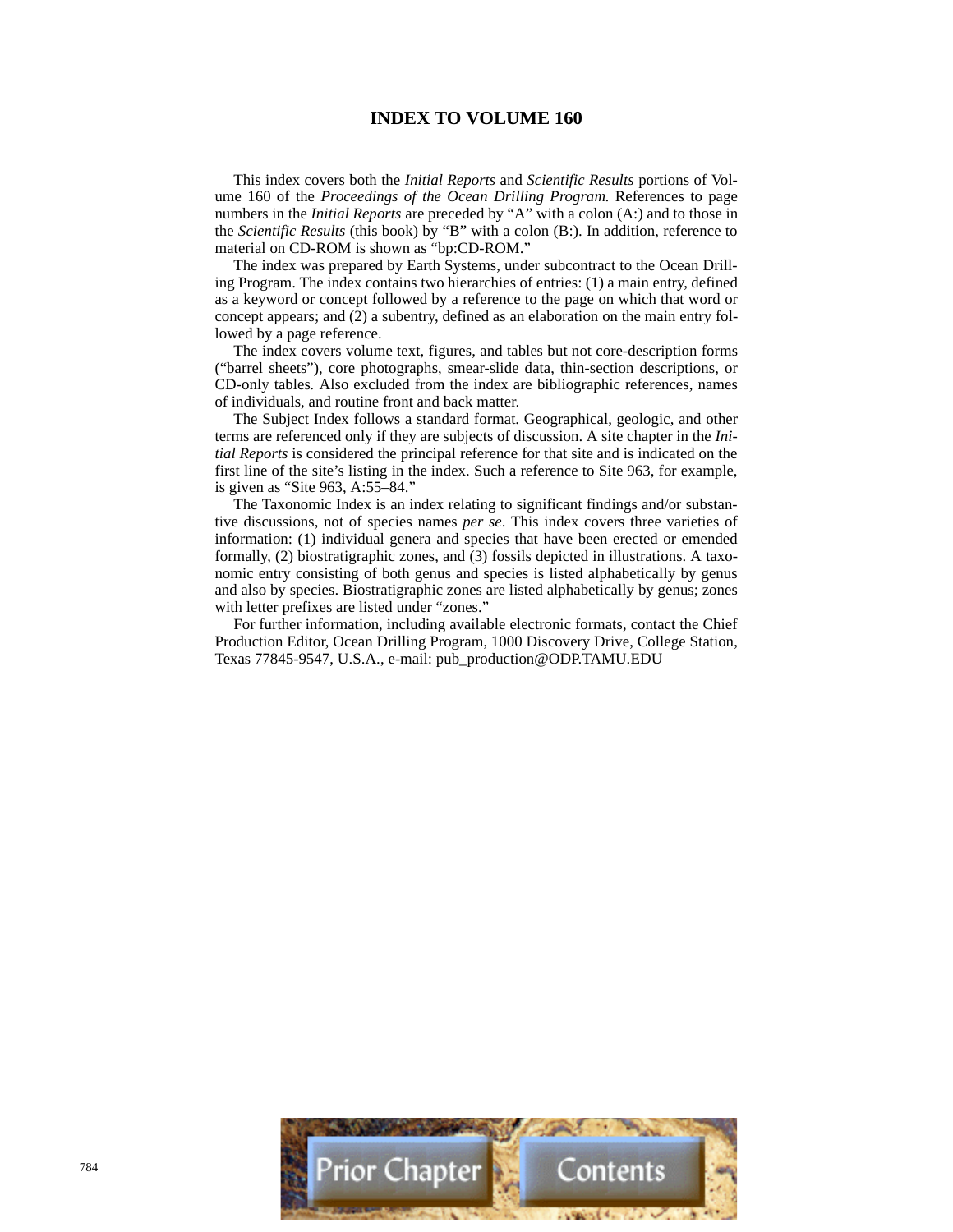# **INDEX TO VOLUME 160**

This index covers both the *Initial Reports* and *Scientific Results* portions of Volume 160 of the *Proceedings of the Ocean Drilling Program.* References to page numbers in the *Initial Reports* are preceded by "A" with a colon (A:) and to those in the *Scientific Results* (this book) by "B" with a colon (B:). In addition, reference to material on CD-ROM is shown as "bp:CD-ROM."

The index was prepared by Earth Systems, under subcontract to the Ocean Drilling Program. The index contains two hierarchies of entries: (1) a main entry, defined as a keyword or concept followed by a reference to the page on which that word or concept appears; and (2) a subentry, defined as an elaboration on the main entry followed by a page reference.

The index covers volume text, figures, and tables but not core-description forms ("barrel sheets"), core photographs, smear-slide data, thin-section descriptions, or CD-only tables*.* Also excluded from the index are bibliographic references, names of individuals, and routine front and back matter.

The Subject Index follows a standard format. Geographical, geologic, and other terms are referenced only if they are subjects of discussion. A site chapter in the *Initial Reports* is considered the principal reference for that site and is indicated on the first line of the site's listing in the index. Such a reference to Site 963, for example, is given as "Site 963, A:55–84."

The Taxonomic Index is an index relating to significant findings and/or substantive discussions, not of species names *per se*. This index covers three varieties of information: (1) individual genera and species that have been erected or emended formally, (2) biostratigraphic zones, and (3) fossils depicted in illustrations. A taxonomic entry consisting of both genus and species is listed alphabetically by genus and also by species. Biostratigraphic zones are listed alphabetically by genus; zones with letter prefixes are listed under "zones."

For further information, including available electronic formats, contact the Chief Production Editor, Ocean Drilling Program, 1000 Discovery Drive, College Station, Texas 77845-9547, U.S.A., e-mail: pub\_production@ODP.TAMU.EDU

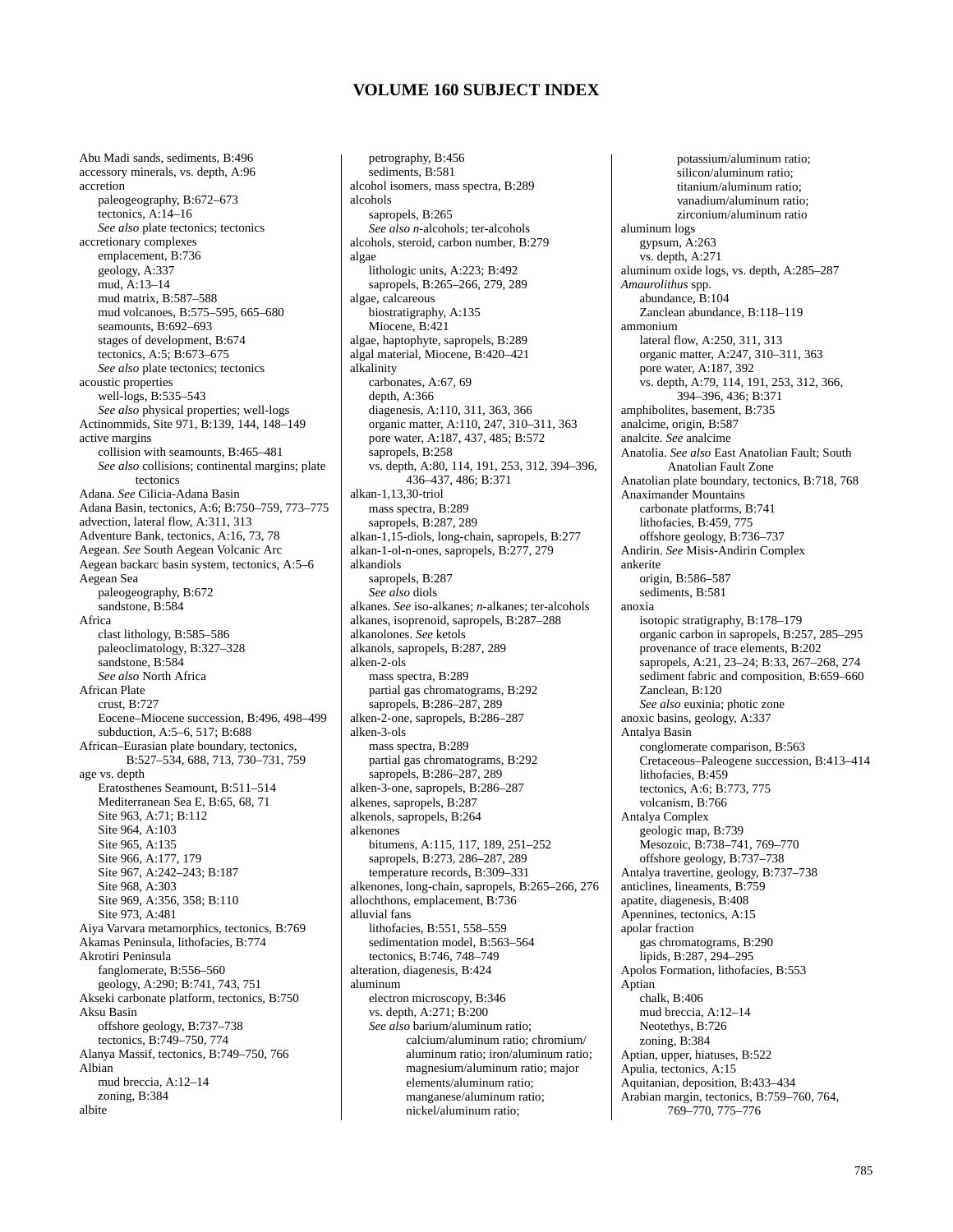Abu Madi sands, sediments, B:496 accessory minerals, vs. depth, A:96 accretion paleogeography, B:672–673 tectonics,  $A:14-16$ *See also* plate tectonics; tectonics accretionary complexes emplacement, B:736 geology, A:337 mud, A:13–14 mud matrix, B:587–588 mud volcanoes, B:575–595, 665–680 seamounts, B:692–693 stages of development, B:674 tectonics, A:5; B:673–675 *See also* plate tectonics; tectonics acoustic properties well-logs, B:535–543 *See also* physical properties; well-logs Actinommids, Site 971, B:139, 144, 148–149 active margins collision with seamounts, B:465–481 *See also* collisions; continental margins; plate tectonics Adana. *See* Cilicia-Adana Basin Adana Basin, tectonics, A:6; B:750–759, 773–775 advection, lateral flow, A:311, 313 Adventure Bank, tectonics, A:16, 73, 78 Aegean. *See* South Aegean Volcanic Arc Aegean backarc basin system, tectonics, A:5–6 Aegean Sea paleogeography, B:672 sandstone, B:584 Africa clast lithology, B:585–586 paleoclimatology, B:327–328 sandstone, B:584 *See also* North Africa African Plate crust, B:727 Eocene–Miocene succession, B:496, 498–499 subduction, A:5–6, 517; B:688 African–Eurasian plate boundary, tectonics, B:527–534, 688, 713, 730–731, 759 age vs. depth Eratosthenes Seamount, B:511–514 Mediterranean Sea E, B:65, 68, 71 Site 963, A:71; B:112 Site 964, A:103 Site 965, A:135 Site 966, A:177, 179 Site 967, A:242–243; B:187 Site 968, A:303 Site 969, A:356, 358; B:110 Site 973, A:481 Aiya Varvara metamorphics, tectonics, B:769 Akamas Peninsula, lithofacies, B:774 Akrotiri Peninsula fanglomerate, B:556–560 geology, A:290; B:741, 743, 751 Akseki carbonate platform, tectonics, B:750 Aksu Basin offshore geology, B:737–738 tectonics, B:749–750, 774 Alanya Massif, tectonics, B:749–750, 766 Albian mud breccia, A:12–14 zoning, B:384 albite

petrography, B:456 sediments, B:581 alcohol isomers, mass spectra, B:289 alcohols sapropels, B:265 *See also n-*alcohols; ter-alcohols alcohols, steroid, carbon number, B:279 algae lithologic units, A:223; B:492 sapropels, B:265–266, 279, 289 algae, calcareous biostratigraphy, A:135 Miocene, B:421 algae, haptophyte, sapropels, B:289 algal material, Miocene, B:420–421 alkalinity carbonates, A:67, 69 depth, A:366 diagenesis, A:110, 311, 363, 366 organic matter, A:110, 247, 310–311, 363 pore water, A:187, 437, 485; B:572 sapropels, B:258 vs. depth, A:80, 114, 191, 253, 312, 394–396, 436–437, 486; B:371 alkan-1,13,30-triol mass spectra, B:289 sapropels, B:287, 289 alkan-1,15-diols, long-chain, sapropels, B:277 alkan-1-ol-n-ones, sapropels, B:277, 279 alkandiols sapropels, B:287 *See also* diols alkanes. *See* iso-alkanes; *n-*alkanes; ter-alcohols alkanes, isoprenoid, sapropels, B:287–288 alkanolones. *See* ketols alkanols, sapropels, B:287, 289 alken-2-ols mass spectra, B:289 partial gas chromatograms, B:292 sapropels, B:286-287, 289 alken-2-one, sapropels, B:286–287 alken-3-ols mass spectra, B:289 partial gas chromatograms, B:292 sapropels, B:286-287, 289 alken-3-one, sapropels, B:286–287 alkenes, sapropels, B:287 alkenols, sapropels, B:264 alkenones bitumens, A:115, 117, 189, 251–252 sapropels, B:273, 286–287, 289 temperature records, B:309–331 alkenones, long-chain, sapropels, B:265–266, 276 allochthons, emplacement, B:736 alluvial fans lithofacies, B:551, 558–559 sedimentation model, B:563–564 tectonics, B:746, 748–749 alteration, diagenesis, B:424 aluminum electron microscopy, B:346 vs. depth, A:271; B:200 *See also* barium/aluminum ratio; calcium/aluminum ratio; chromium/ aluminum ratio; iron/aluminum ratio; magnesium/aluminum ratio; major elements/aluminum ratio; manganese/aluminum ratio; nickel/aluminum ratio;

potassium/aluminum ratio; silicon/aluminum ratio; titanium/aluminum ratio; vanadium/aluminum ratio; zirconium/aluminum ratio aluminum logs gypsum, A:263 vs. depth, A:271 aluminum oxide logs, vs. depth, A:285–287 *Amaurolithus* spp. abundance, B:104 Zanclean abundance, B:118–119 ammonium lateral flow, A:250, 311, 313 organic matter, A:247, 310–311, 363 pore water, A:187, 392 vs. depth, A:79, 114, 191, 253, 312, 366, 394–396, 436; B:371 amphibolites, basement, B:735 analcime, origin, B:587 analcite. *See* analcime Anatolia. *See also* East Anatolian Fault; South Anatolian Fault Zone Anatolian plate boundary, tectonics, B:718, 768 Anaximander Mountains carbonate platforms, B:741 lithofacies, B:459, 775 offshore geology, B:736–737 Andirin. *See* Misis-Andirin Complex ankerite origin, B:586–587 sediments, B:581 anoxia isotopic stratigraphy, B:178–179 organic carbon in sapropels, B:257, 285–295 provenance of trace elements, B:202 sapropels, A:21, 23–24; B:33, 267–268, 274 sediment fabric and composition, B:659–660 Zanclean, B:120 *See also* euxinia; photic zone anoxic basins, geology, A:337 Antalya Basin conglomerate comparison, B:563 Cretaceous–Paleogene succession, B:413–414 lithofacies, B:459 tectonics, A:6; B:773, 775 volcanism, B:766 Antalya Complex geologic map, B:739 Mesozoic, B:738–741, 769–770 offshore geology, B:737–738 Antalya travertine, geology, B:737–738 anticlines, lineaments, B:759 apatite, diagenesis, B:408 Apennines, tectonics, A:15 apolar fraction gas chromatograms, B:290 lipids, B:287, 294–295 Apolos Formation, lithofacies, B:553 Aptian chalk, B:406 mud breccia, A:12–14 Neotethys, B:726 zoning, B:384 Aptian, upper, hiatuses, B:522 Apulia, tectonics, A:15 Aquitanian, deposition, B:433–434 Arabian margin, tectonics, B:759–760, 764, 769–770, 775–776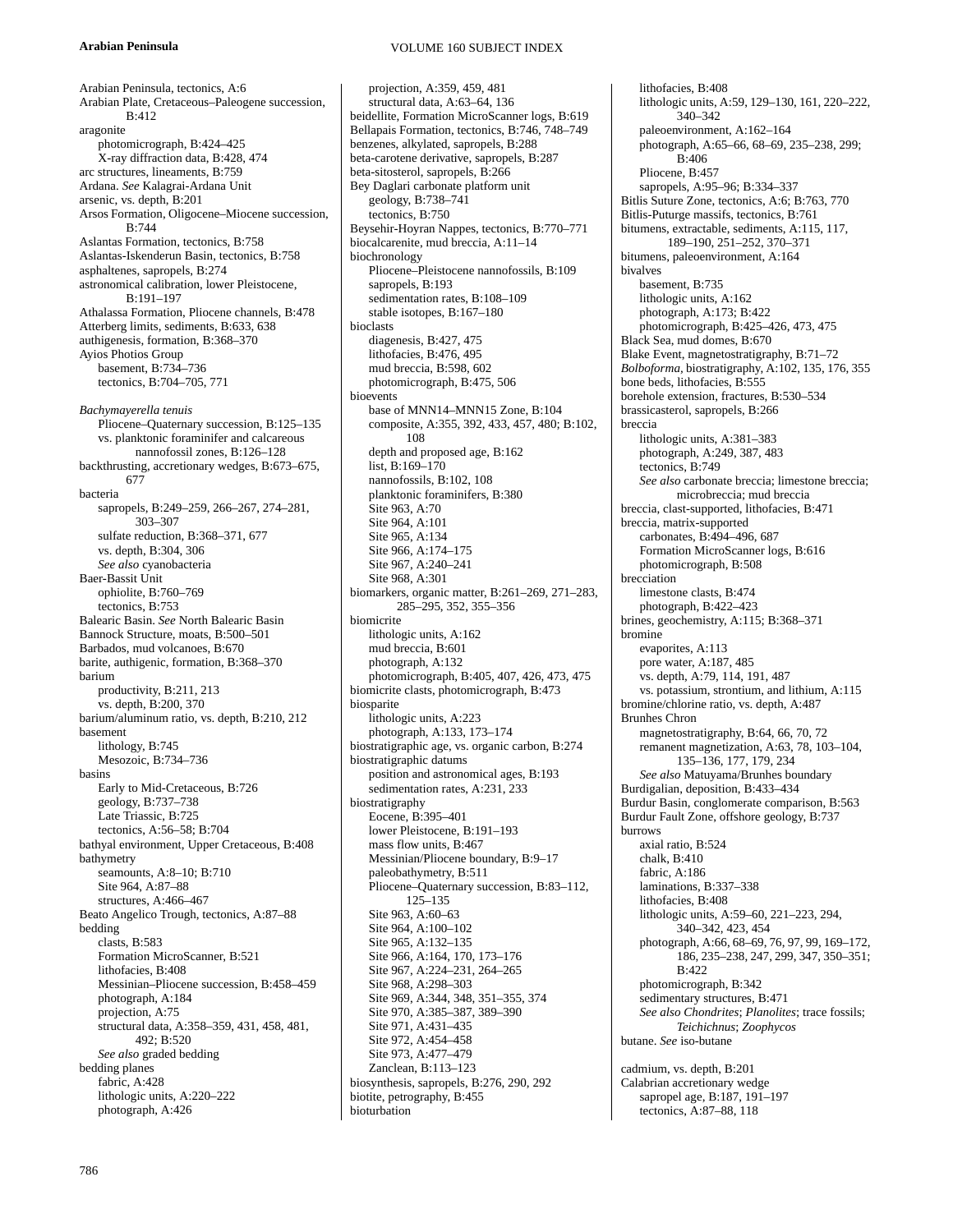## **Arabian Peninsula**

VOLUME 160 SUBJECT INDEX

Arabian Peninsula, tectonics, A:6 Arabian Plate, Cretaceous–Paleogene succession, B:412 aragonite photomicrograph, B:424–425 X-ray diffraction data, B:428, 474 arc structures, lineaments, B:759 Ardana. *See* Kalagrai-Ardana Unit arsenic, vs. depth, B:201 Arsos Formation, Oligocene–Miocene succession, B:744 Aslantas Formation, tectonics, B:758 Aslantas-Iskenderun Basin, tectonics, B:758 asphaltenes, sapropels, B:274 astronomical calibration, lower Pleistocene, B:191–197 Athalassa Formation, Pliocene channels, B:478 Atterberg limits, sediments, B:633, 638 authigenesis, formation, B:368–370 Ayios Photios Group basement, B:734–736 tectonics, B:704–705, 771 *Bachymayerella tenuis* Pliocene–Quaternary succession, B:125–135 vs. planktonic foraminifer and calcareous nannofossil zones, B:126–128 backthrusting, accretionary wedges, B:673–675, 677 bacteria sapropels, B:249–259, 266–267, 274–281, 303–307 sulfate reduction, B:368–371, 677 vs. depth, B:304, 306 *See also* cyanobacteria Baer-Bassit Unit ophiolite, B:760–769 tectonics, B:753 Balearic Basin. *See* North Balearic Basin Bannock Structure, moats, B:500–501 Barbados, mud volcanoes, B:670 barite, authigenic, formation, B:368–370 barium productivity, B:211, 213 vs. depth, B:200, 370 barium/aluminum ratio, vs. depth, B:210, 212 basement lithology, B:745 Mesozoic, B:734–736 basins Early to Mid-Cretaceous, B:726 geology, B:737–738 Late Triassic, B:725 tectonics, A:56–58; B:704 bathyal environment, Upper Cretaceous, B:408 bathymetry seamounts, A:8–10; B:710 Site 964, A:87–88 structures, A:466–467 Beato Angelico Trough, tectonics, A:87–88 bedding clasts, B:583 Formation MicroScanner, B:521 lithofacies, B:408 Messinian–Pliocene succession, B:458–459 photograph, A:184 projection, A:75 structural data, A:358–359, 431, 458, 481, 492; B:520 *See also* graded bedding bedding planes fabric, A:428 lithologic units, A:220–222 photograph, A:426

projection, A:359, 459, 481 structural data, A:63–64, 136 beidellite, Formation MicroScanner logs, B:619 Bellapais Formation, tectonics, B:746, 748–749 benzenes, alkylated, sapropels, B:288 beta-carotene derivative, sapropels, B:287 beta-sitosterol, sapropels, B:266 Bey Daglari carbonate platform unit geology, B:738–741 tectonics, B:750 Beysehir-Hoyran Nappes, tectonics, B:770–771 biocalcarenite, mud breccia, A:11–14 biochronology Pliocene–Pleistocene nannofossils, B:109 sapropels, B:193 sedimentation rates, B:108–109 stable isotopes, B:167–180 bioclasts diagenesis, B:427, 475 lithofacies, B:476, 495 mud breccia, B:598, 602 photomicrograph, B:475, 506 bioevents base of MNN14–MNN15 Zone, B:104 composite, A:355, 392, 433, 457, 480; B:102, 108 depth and proposed age, B:162 list,  $B:169-170$ nannofossils, B:102, 108 planktonic foraminifers, B:380 Site 963, A:70 Site 964, A:101 Site 965, A:134 Site 966, A:174–175 Site 967, A:240-241 Site 968, A:301 biomarkers, organic matter, B:261–269, 271–283, 285–295, 352, 355–356 biomicrite lithologic units, A:162 mud breccia, B:601 photograph, A:132 photomicrograph, B:405, 407, 426, 473, 475 biomicrite clasts, photomicrograph, B:473 biosparite lithologic units, A:223 photograph, A:133, 173–174 biostratigraphic age, vs. organic carbon, B:274 biostratigraphic datums position and astronomical ages, B:193 sedimentation rates, A:231, 233 biostratigraphy Eocene, B:395–401 lower Pleistocene, B:191–193 mass flow units, B:467 Messinian/Pliocene boundary, B:9–17 paleobathymetry, B:511 Pliocene–Quaternary succession, B:83–112, 125–135 Site 963, A:60–63 Site 964, A:100–102 Site 965, A:132-135 Site 966, A:164, 170, 173–176 Site 967, A:224–231, 264–265 Site 968, A:298–303 Site 969, A:344, 348, 351–355, 374 Site 970, A:385–387, 389–390 Site 971, A:431–435 Site 972, A:454–458 Site 973, A:477–479 Zanclean, B:113–123 biosynthesis, sapropels, B:276, 290, 292 biotite, petrography, B:455 bioturbation

lithofacies, B:408 lithologic units, A:59, 129–130, 161, 220–222, 340–342 paleoenvironment, A:162–164 photograph, A:65–66, 68–69, 235–238, 299;  $\mathbf{B} \cdot 406$ Pliocene, B:457 sapropels, A:95–96; B:334–337 Bitlis Suture Zone, tectonics, A:6; B:763, 770 Bitlis-Puturge massifs, tectonics, B:761 bitumens, extractable, sediments, A:115, 117, 189–190, 251–252, 370–371 bitumens, paleoenvironment, A:164 bivalves basement, B:735 lithologic units, A:162 photograph, A:173; B:422 photomicrograph, B:425–426, 473, 475 Black Sea, mud domes, B:670 Blake Event, magnetostratigraphy, B:71–72 *Bolboforma,* biostratigraphy, A:102, 135, 176, 355 bone beds, lithofacies, B:555 borehole extension, fractures, B:530–534 brassicasterol, sapropels, B:266 breccia lithologic units, A:381–383 photograph, A:249, 387, 483 tectonics, B:749 *See also* carbonate breccia; limestone breccia; microbreccia; mud breccia breccia, clast-supported, lithofacies, B:471 breccia, matrix-supported carbonates, B:494–496, 687 Formation MicroScanner logs, B:616 photomicrograph, B:508 brecciation limestone clasts, B:474 photograph, B:422–423 brines, geochemistry, A:115; B:368–371 bromine evaporites, A:113 pore water, A:187, 485 vs. depth, A:79, 114, 191, 487 vs. potassium, strontium, and lithium, A:115 bromine/chlorine ratio, vs. depth, A:487 Brunhes Chron magnetostratigraphy, B:64, 66, 70, 72 remanent magnetization, A:63, 78, 103–104, 135–136, 177, 179, 234 *See also* Matuyama/Brunhes boundary Burdigalian, deposition, B:433–434 Burdur Basin, conglomerate comparison, B:563 Burdur Fault Zone, offshore geology, B:737 burrows axial ratio, B:524 chalk, B:410 fabric, A:186 laminations, B:337–338 lithofacies, B:408 lithologic units, A:59–60, 221–223, 294, 340–342, 423, 454 photograph, A:66, 68–69, 76, 97, 99, 169–172, 186, 235–238, 247, 299, 347, 350–351; B:422 photomicrograph, B:342 sedimentary structures, B:471 *See also Chondrites*; *Planolites*; trace fossils; *Teichichnus*; *Zoophycos* butane. *See* iso-butane cadmium, vs. depth, B:201 Calabrian accretionary wedge

sapropel age, B:187, 191–197 tectonics, A:87–88, 118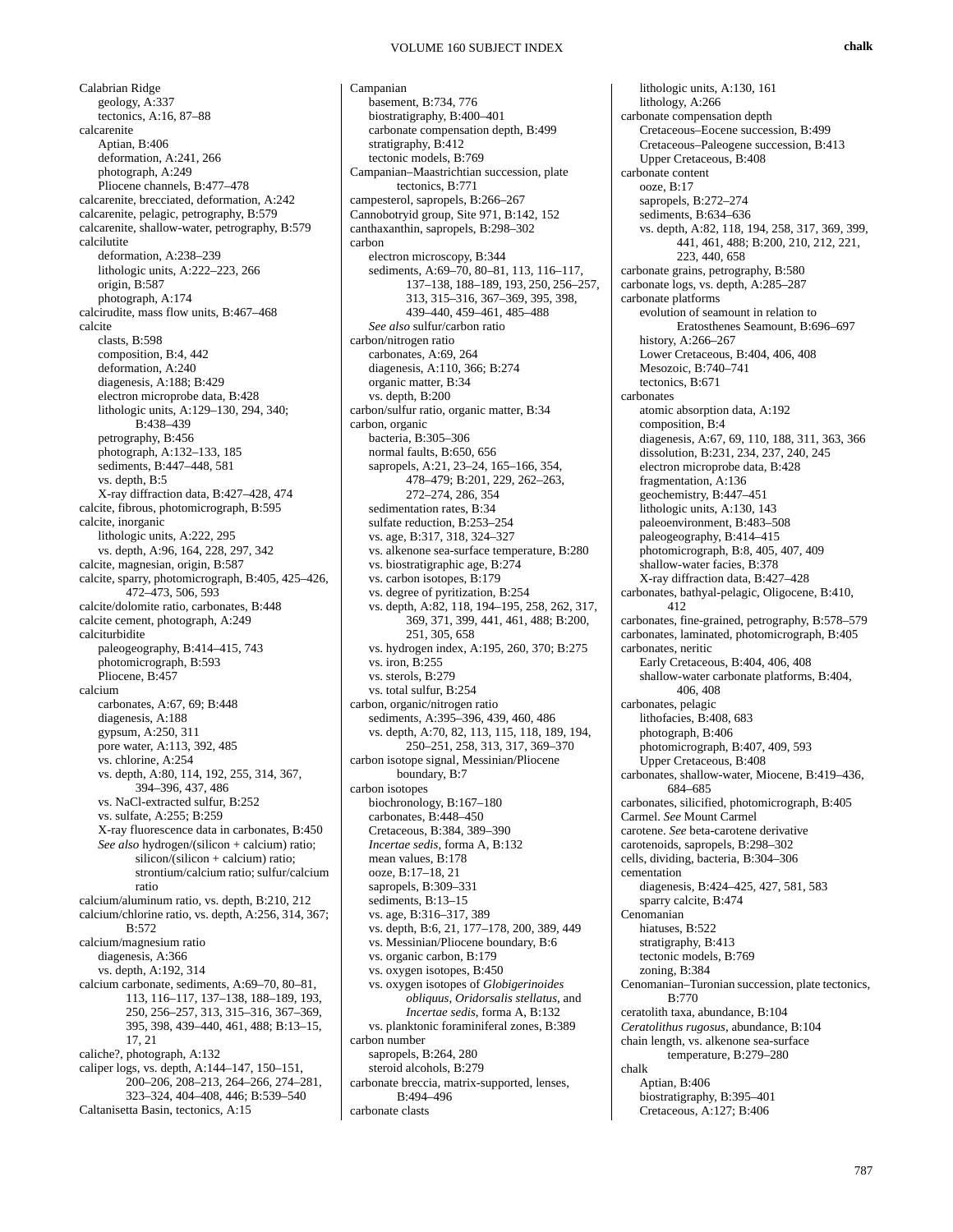Calabrian Ridge geology, A:337 tectonics, A:16, 87–88 calcarenite Aptian, B:406 deformation, A:241, 266 photograph, A:249 Pliocene channels, B:477–478 calcarenite, brecciated, deformation, A:242 calcarenite, pelagic, petrography, B:579 calcarenite, shallow-water, petrography, B:579 calcilutite deformation, A:238–239 lithologic units, A:222–223, 266 origin, B:587 photograph, A:174 calcirudite, mass flow units, B:467–468 calcite clasts, B:598 composition, B:4, 442 deformation, A:240 diagenesis, A:188; B:429 electron microprobe data, B:428 lithologic units, A:129–130, 294, 340; B:438–439 petrography, B:456 photograph, A:132–133, 185 sediments, B:447–448, 581 vs. depth, B:5 X-ray diffraction data, B:427–428, 474 calcite, fibrous, photomicrograph, B:595 calcite, inorganic lithologic units, A:222, 295 vs. depth, A:96, 164, 228, 297, 342 calcite, magnesian, origin, B:587 calcite, sparry, photomicrograph, B:405, 425–426, 472–473, 506, 593 calcite/dolomite ratio, carbonates, B:448 calcite cement, photograph, A:249 calciturbidite paleogeography, B:414–415, 743 photomicrograph, B:593 Pliocene, B:457 calcium carbonates, A:67, 69; B:448 diagenesis, A:188 gypsum, A:250, 311 pore water, A:113, 392, 485 vs. chlorine, A:254 vs. depth, A:80, 114, 192, 255, 314, 367, 394–396, 437, 486 vs. NaCl-extracted sulfur, B:252 vs. sulfate, A:255; B:259 X-ray fluorescence data in carbonates, B:450 *See also* hydrogen/(silicon + calcium) ratio; silicon/(silicon + calcium) ratio; strontium/calcium ratio; sulfur/calcium ratio calcium/aluminum ratio, vs. depth, B:210, 212 calcium/chlorine ratio, vs. depth, A:256, 314, 367; B:572 calcium/magnesium ratio diagenesis, A:366 vs. depth, A:192, 314 calcium carbonate, sediments, A:69–70, 80–81, 113, 116–117, 137–138, 188–189, 193, 250, 256–257, 313, 315–316, 367–369, 395, 398, 439–440, 461, 488; B:13–15, 17, 21 caliche?, photograph, A:132 caliper logs, vs. depth, A:144–147, 150–151, 200–206, 208–213, 264–266, 274–281, 323–324, 404–408, 446; B:539–540 Caltanisetta Basin, tectonics, A:15

Campanian basement, B:734, 776 biostratigraphy, B:400–401 carbonate compensation depth, B:499 stratigraphy, B:412 tectonic models, B:769 Campanian–Maastrichtian succession, plate tectonics, B:771 campesterol, sapropels, B:266–267 Cannobotryid group, Site 971, B:142, 152 canthaxanthin, sapropels, B:298–302 carbon electron microscopy, B:344 sediments, A:69–70, 80–81, 113, 116–117, 137–138, 188–189, 193, 250, 256–257, 313, 315–316, 367–369, 395, 398, 439–440, 459–461, 485–488 *See also* sulfur/carbon ratio carbon/nitrogen ratio carbonates, A:69, 264 diagenesis, A:110, 366; B:274 organic matter, B:34 vs. depth, B:200 carbon/sulfur ratio, organic matter, B:34 carbon, organic bacteria, B:305–306 normal faults, B:650, 656 sapropels, A:21, 23–24, 165–166, 354, 478–479; B:201, 229, 262–263, 272–274, 286, 354 sedimentation rates, B:34 sulfate reduction, B:253–254 vs. age, B:317, 318, 324–327 vs. alkenone sea-surface temperature, B:280 vs. biostratigraphic age, B:274 vs. carbon isotopes, B:179 vs. degree of pyritization, B:254 vs. depth, A:82, 118, 194–195, 258, 262, 317, 369, 371, 399, 441, 461, 488; B:200, 251, 305, 658 vs. hydrogen index, A:195, 260, 370; B:275 vs. iron, B:255 vs. sterols, B:279 vs. total sulfur, B:254 carbon, organic/nitrogen ratio sediments, A:395–396, 439, 460, 486 vs. depth, A:70, 82, 113, 115, 118, 189, 194, 250–251, 258, 313, 317, 369–370 carbon isotope signal, Messinian/Pliocene boundary, B:7 carbon isotopes biochronology, B:167–180 carbonates, B:448–450 Cretaceous, B:384, 389–390 *Incertae sedis*, forma A, B:132 mean values, B:178 ooze, B:17–18, 21 sapropels, B:309–331 sediments, B:13-15 vs. age, B:316–317, 389 vs. depth, B:6, 21, 177–178, 200, 389, 449 vs. Messinian/Pliocene boundary, B:6 vs. organic carbon, B:179 vs. oxygen isotopes, B:450 vs. oxygen isotopes of *Globigerinoides obliquus*, *Oridorsalis stellatus*, and *Incertae sedis*, forma A, B:132 vs. planktonic foraminiferal zones, B:389 carbon number sapropels, B:264, 280 steroid alcohols, B:279 carbonate breccia, matrix-supported, lenses, B:494–496 carbonate clasts

lithologic units, A:130, 161 lithology, A:266 carbonate compensation depth Cretaceous–Eocene succession, B:499 Cretaceous–Paleogene succession, B:413 Upper Cretaceous, B:408 carbonate content ooze, B:17 sapropels, B:272–274 sediments, B:634–636 vs. depth, A:82, 118, 194, 258, 317, 369, 399, 441, 461, 488; B:200, 210, 212, 221, 223, 440, 658 carbonate grains, petrography, B:580 carbonate logs, vs. depth, A:285–287 carbonate platforms evolution of seamount in relation to Eratosthenes Seamount, B:696–697 history, A:266–267 Lower Cretaceous, B:404, 406, 408 Mesozoic, B:740–741 tectonics, B:671 carbonates atomic absorption data, A:192 composition, B:4 diagenesis, A:67, 69, 110, 188, 311, 363, 366 dissolution, B:231, 234, 237, 240, 245 electron microprobe data, B:428 fragmentation, A:136 geochemistry, B:447–451 lithologic units, A:130, 143 paleoenvironment, B:483–508 paleogeography, B:414–415 photomicrograph, B:8, 405, 407, 409 shallow-water facies, B:378 X-ray diffraction data, B:427–428 carbonates, bathyal-pelagic, Oligocene, B:410, 412 carbonates, fine-grained, petrography, B:578–579 carbonates, laminated, photomicrograph, B:405 carbonates, neritic Early Cretaceous, B:404, 406, 408 shallow-water carbonate platforms, B:404, 406, 408 carbonates, pelagic lithofacies, B:408, 683 photograph, B:406 photomicrograph, B:407, 409, 593 Upper Cretaceous, B:408 carbonates, shallow-water, Miocene, B:419–436, 684–685 carbonates, silicified, photomicrograph, B:405 Carmel. *See* Mount Carmel carotene. *See* beta-carotene derivative carotenoids, sapropels, B:298–302 cells, dividing, bacteria, B:304–306 cementation diagenesis, B:424–425, 427, 581, 583 sparry calcite, B:474 Cenomanian hiatuses, B:522 stratigraphy, B:413 tectonic models, B:769 zoning, B:384 Cenomanian–Turonian succession, plate tectonics, B:770 ceratolith taxa, abundance, B:104 *Ceratolithus rugosus*, abundance, B:104 chain length, vs. alkenone sea-surface temperature, B:279–280 chalk Aptian, B:406 biostratigraphy, B:395–401 Cretaceous, A:127; B:406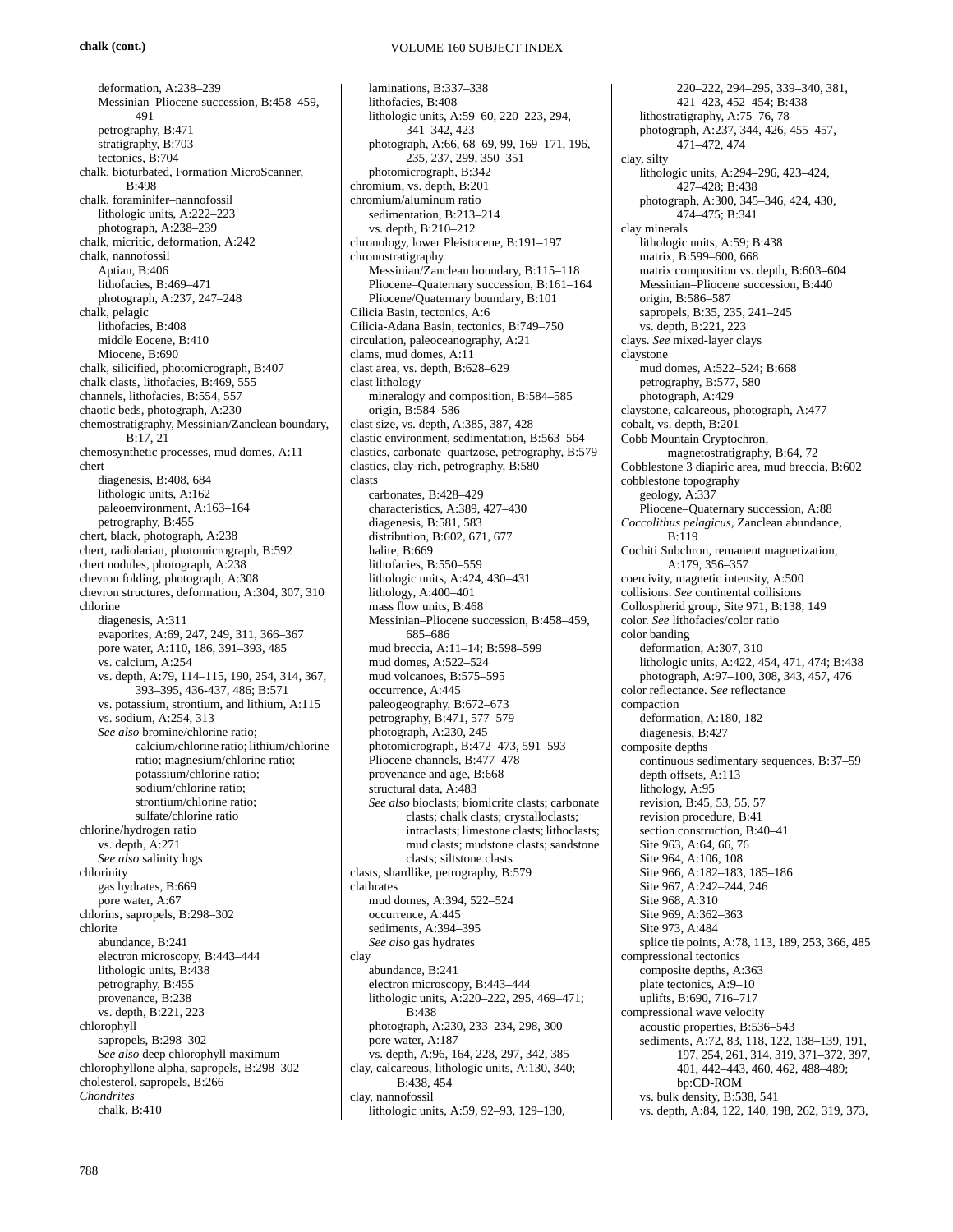## **chalk (cont.)**

### VOLUME 160 SUBJECT INDEX

deformation, A:238–239 Messinian–Pliocene succession, B:458–459, 491 petrography, B:471 stratigraphy, B:703 tectonics, B:704 chalk, bioturbated, Formation MicroScanner, B:498 chalk, foraminifer–nannofossil lithologic units, A:222–223 photograph, A:238–239 chalk, micritic, deformation, A:242 chalk, nannofossil Aptian, B:406 lithofacies, B:469–471 photograph, A:237, 247–248 chalk, pelagic lithofacies, B:408 middle Eocene, B:410 Miocene, B:690 chalk, silicified, photomicrograph, B:407 chalk clasts, lithofacies, B:469, 555 channels, lithofacies, B:554, 557 chaotic beds, photograph, A:230 chemostratigraphy, Messinian/Zanclean boundary, B:17, 21 chemosynthetic processes, mud domes, A:11 chert diagenesis, B:408, 684 lithologic units, A:162 paleoenvironment, A:163–164 petrography, B:455 chert, black, photograph, A:238 chert, radiolarian, photomicrograph, B:592 chert nodules, photograph, A:238 chevron folding, photograph, A:308 chevron structures, deformation, A:304, 307, 310 chlorine diagenesis, A:311 evaporites, A:69, 247, 249, 311, 366–367 pore water, A:110, 186, 391–393, 485 vs. calcium, A:254 vs. depth, A:79, 114–115, 190, 254, 314, 367, 393–395, 436-437, 486; B:571 vs. potassium, strontium, and lithium, A:115 vs. sodium, A:254, 313 *See also* bromine/chlorine ratio; calcium/chlorine ratio; lithium/chlorine ratio; magnesium/chlorine ratio; potassium/chlorine ratio; sodium/chlorine ratio; strontium/chlorine ratio; sulfate/chlorine ratio chlorine/hydrogen ratio vs. depth, A:271 *See also* salinity logs chlorinity gas hydrates, B:669 pore water, A:67 chlorins, sapropels, B:298–302 chlorite abundance, B:241 electron microscopy, B:443–444 lithologic units, B:438 petrography, B:455 provenance, B:238 vs. depth, B:221, 223 chlorophyll sapropels, B:298-302 *See also* deep chlorophyll maximum chlorophyllone alpha, sapropels, B:298–302 cholesterol, sapropels, B:266 *Chondrites* chalk, B:410

laminations, B:337–338 lithofacies, B:408 lithologic units, A:59–60, 220–223, 294, 341–342, 423 photograph, A:66, 68–69, 99, 169–171, 196, 235, 237, 299, 350–351 photomicrograph, B:342 chromium, vs. depth, B:201 chromium/aluminum ratio sedimentation, B:213–214 vs. depth, B:210–212 chronology, lower Pleistocene, B:191–197 chronostratigraphy Messinian/Zanclean boundary, B:115–118 Pliocene–Quaternary succession, B:161–164 Pliocene/Quaternary boundary, B:101 Cilicia Basin, tectonics, A:6 Cilicia-Adana Basin, tectonics, B:749–750 circulation, paleoceanography, A:21 clams, mud domes, A:11 clast area, vs. depth, B:628–629 clast lithology mineralogy and composition, B:584–585 origin, B:584–586 clast size, vs. depth, A:385, 387, 428 clastic environment, sedimentation, B:563–564 clastics, carbonate–quartzose, petrography, B:579 clastics, clay-rich, petrography, B:580 clasts carbonates, B:428–429 characteristics, A:389, 427–430 diagenesis, B:581, 583 distribution, B:602, 671, 677 halite, B:669 lithofacies, B:550–559 lithologic units, A:424, 430–431 lithology, A:400–401 mass flow units, B:468 Messinian–Pliocene succession, B:458–459, 685–686 mud breccia, A:11–14; B:598–599 mud domes, A:522–524 mud volcanoes, B:575–595 occurrence, A:445 paleogeography, B:672–673 petrography, B:471, 577–579 photograph, A:230, 245 photomicrograph, B:472–473, 591–593 Pliocene channels, B:477–478 provenance and age, B:668 structural data, A:483 *See also* bioclasts; biomicrite clasts; carbonate clasts; chalk clasts; crystalloclasts; intraclasts; limestone clasts; lithoclasts; mud clasts; mudstone clasts; sandstone clasts; siltstone clasts clasts, shardlike, petrography, B:579 clathrates mud domes, A:394, 522–524 occurrence, A:445 sediments, A:394–395 *See also* gas hydrates clay abundance, B:241 electron microscopy, B:443–444 lithologic units, A:220–222, 295, 469–471; B:438 photograph, A:230, 233–234, 298, 300 pore water, A:187 vs. depth, A:96, 164, 228, 297, 342, 385 clay, calcareous, lithologic units, A:130, 340; B:438, 454 clay, nannofossil lithologic units, A:59, 92–93, 129–130,

220–222, 294–295, 339–340, 381, 421–423, 452–454; B:438 lithostratigraphy, A:75–76, 78 photograph, A:237, 344, 426, 455–457, 471–472, 474 clay, silty lithologic units, A:294–296, 423–424, 427–428; B:438 photograph, A:300, 345–346, 424, 430, 474–475; B:341 clay minerals lithologic units, A:59; B:438 matrix, B:599–600, 668 matrix composition vs. depth, B:603–604 Messinian–Pliocene succession, B:440 origin, B:586–587 sapropels, B:35, 235, 241–245 vs. depth, B:221, 223 clays. *See* mixed-layer clays claystone mud domes, A:522–524; B:668 petrography, B:577, 580 photograph, A:429 claystone, calcareous, photograph, A:477 cobalt, vs. depth, B:201 Cobb Mountain Cryptochron, magnetostratigraphy, B:64, 72 Cobblestone 3 diapiric area, mud breccia, B:602 cobblestone topography geology, A:337 Pliocene–Quaternary succession, A:88 *Coccolithus pelagicus*, Zanclean abundance, B:119 Cochiti Subchron, remanent magnetization, A:179, 356–357 coercivity, magnetic intensity, A:500 collisions. *See* continental collisions Collospherid group, Site 971, B:138, 149 color. *See* lithofacies/color ratio color banding deformation, A:307, 310 lithologic units, A:422, 454, 471, 474; B:438 photograph, A:97–100, 308, 343, 457, 476 color reflectance. *See* reflectance compaction deformation, A:180, 182 diagenesis, B:427 composite depths continuous sedimentary sequences, B:37–59 depth offsets, A:113 lithology, A:95 revision, B:45, 53, 55, 57 revision procedure, B:41 section construction, B:40–41 Site 963, A:64, 66, 76 Site 964, A:106, 108 Site 966, A:182–183, 185–186 Site 967, A:242–244, 246 Site 968, A:310 Site 969, A:362–363 Site 973, A:484 splice tie points, A:78, 113, 189, 253, 366, 485 compressional tectonics composite depths, A:363 plate tectonics, A:9–10 uplifts, B:690, 716–717 compressional wave velocity acoustic properties, B:536–543 sediments, A:72, 83, 118, 122, 138–139, 191, 197, 254, 261, 314, 319, 371–372, 397, 401, 442–443, 460, 462, 488–489; bp:CD-ROM vs. bulk density, B:538, 541 vs. depth, A:84, 122, 140, 198, 262, 319, 373,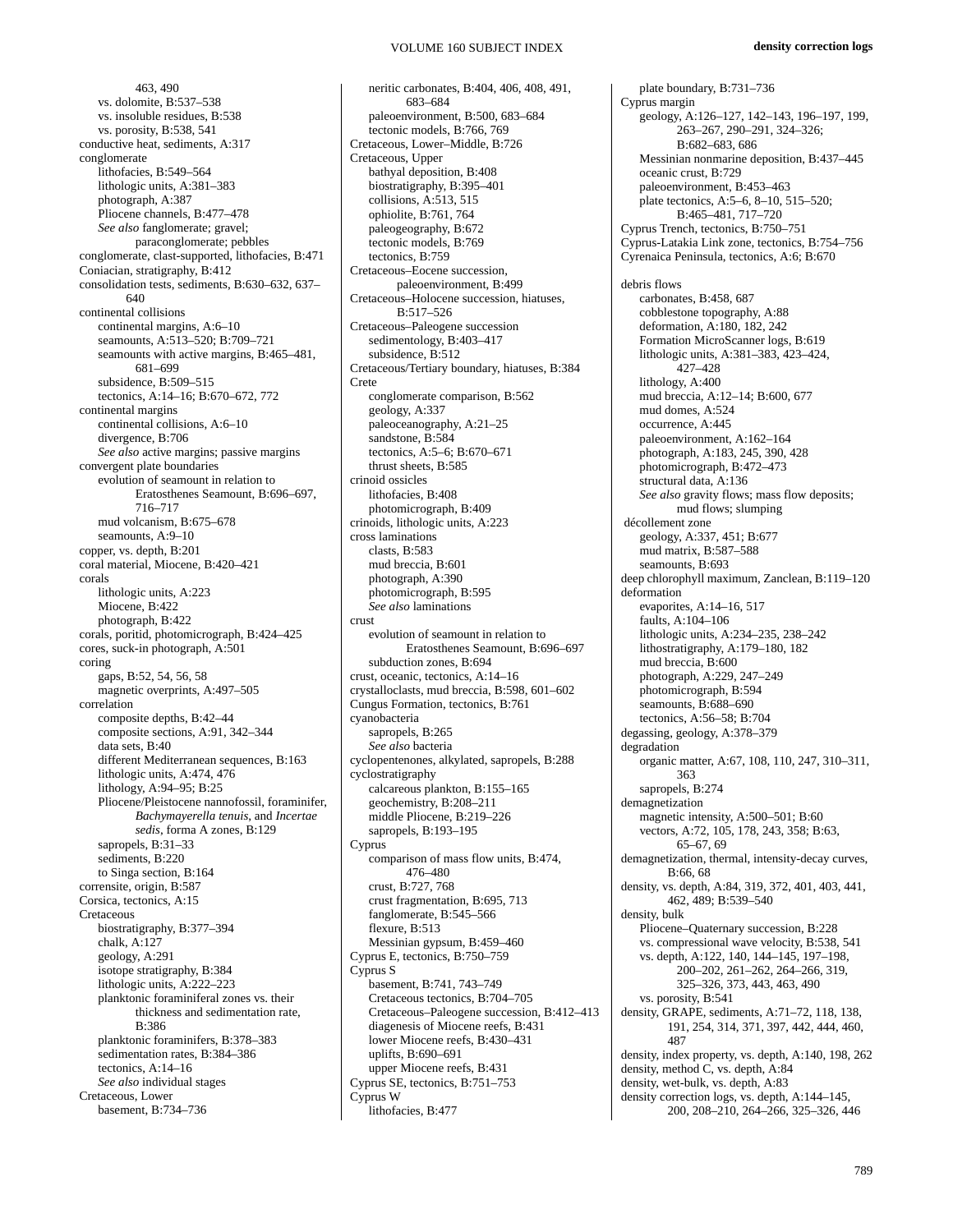463, 490 vs. dolomite, B:537–538 vs. insoluble residues, B:538 vs. porosity, B:538, 541 conductive heat, sediments, A:317 conglomerate lithofacies, B:549–564 lithologic units, A:381–383 photograph, A:387 Pliocene channels, B:477–478 *See also* fanglomerate; gravel; paraconglomerate; pebbles conglomerate, clast-supported, lithofacies, B:471 Coniacian, stratigraphy, B:412 consolidation tests, sediments, B:630–632, 637– 640 continental collisions continental margins, A:6–10 seamounts, A:513–520; B:709–721 seamounts with active margins, B:465–481, 681–699 subsidence, B:509–515 tectonics, A:14–16; B:670–672, 772 continental margins continental collisions, A:6–10 divergence, B:706 *See also* active margins; passive margins convergent plate boundaries evolution of seamount in relation to Eratosthenes Seamount, B:696–697, 716–717 mud volcanism, B:675–678 seamounts, A:9–10 copper, vs. depth, B:201 coral material, Miocene, B:420–421 corals lithologic units, A:223 Miocene, B:422 photograph, B:422 corals, poritid, photomicrograph, B:424–425 cores, suck-in photograph, A:501 coring gaps, B:52, 54, 56, 58 magnetic overprints, A:497–505 correlation composite depths, B:42–44 composite sections, A:91, 342–344 data sets, B:40 different Mediterranean sequences, B:163 lithologic units, A:474, 476 lithology, A:94–95; B:25 Pliocene/Pleistocene nannofossil, foraminifer, *Bachymayerella tenuis*, and *Incertae sedis*, forma A zones, B:129 sapropels, B:31-33 sediments, B:220 to Singa section, B:164 corrensite, origin, B:587 Corsica, tectonics, A:15 **Cretaceous** biostratigraphy, B:377–394 chalk, A:127 geology, A:291 isotope stratigraphy, B:384 lithologic units, A:222–223 planktonic foraminiferal zones vs. their thickness and sedimentation rate, B:386 planktonic foraminifers, B:378–383 sedimentation rates, B:384–386 tectonics, A:14–16 *See also* individual stages Cretaceous, Lower basement, B:734–736

neritic carbonates, B:404, 406, 408, 491, 683–684 paleoenvironment, B:500, 683–684 tectonic models, B:766, 769 Cretaceous, Lower–Middle, B:726 Cretaceous, Upper bathyal deposition, B:408 biostratigraphy, B:395–401 collisions, A:513, 515 ophiolite, B:761, 764 paleogeography, B:672 tectonic models, B:769 tectonics, B:759 Cretaceous–Eocene succession, paleoenvironment, B:499 Cretaceous–Holocene succession, hiatuses, B:517–526 Cretaceous–Paleogene succession sedimentology, B:403–417 subsidence, B:512 Cretaceous/Tertiary boundary, hiatuses, B:384 Crete conglomerate comparison, B:562 geology, A:337 paleoceanography, A:21–25 sandstone, B:584 tectonics, A:5–6; B:670–671 thrust sheets, B:585 crinoid ossicles lithofacies, B:408 photomicrograph, B:409 crinoids, lithologic units, A:223 cross laminations clasts, B:583 mud breccia, B:601 photograph, A:390 photomicrograph, B:595 *See also* laminations crust evolution of seamount in relation to Eratosthenes Seamount, B:696–697 subduction zones, B:694 crust, oceanic, tectonics, A:14–16 crystalloclasts, mud breccia, B:598, 601–602 Cungus Formation, tectonics, B:761 cyanobacteria sapropels, B:265 *See also* bacteria cyclopentenones, alkylated, sapropels, B:288 cyclostratigraphy calcareous plankton, B:155–165 geochemistry, B:208–211 middle Pliocene, B:219–226 sapropels, B:193–195 Cyprus comparison of mass flow units, B:474, 476–480 crust, B:727, 768 crust fragmentation, B:695, 713 fanglomerate, B:545–566 flexure, B:513 Messinian gypsum, B:459–460 Cyprus E, tectonics, B:750–759 Cyprus S basement, B:741, 743–749 Cretaceous tectonics, B:704–705 Cretaceous–Paleogene succession, B:412–413 diagenesis of Miocene reefs, B:431 lower Miocene reefs, B:430–431 uplifts, B:690–691 upper Miocene reefs, B:431 Cyprus SE, tectonics, B:751–753 Cyprus W lithofacies, B:477

plate boundary, B:731–736 Cyprus margin geology, A:126–127, 142–143, 196–197, 199, 263–267, 290–291, 324–326; B:682–683, 686 Messinian nonmarine deposition, B:437–445 oceanic crust, B:729 paleoenvironment, B:453–463 plate tectonics, A:5–6, 8–10, 515–520; B:465–481, 717–720 Cyprus Trench, tectonics, B:750–751 Cyprus-Latakia Link zone, tectonics, B:754–756 Cyrenaica Peninsula, tectonics, A:6; B:670 debris flows carbonates, B:458, 687 cobblestone topography, A:88 deformation, A:180, 182, 242 Formation MicroScanner logs, B:619 lithologic units, A:381–383, 423–424, 427–428 lithology, A:400 mud breccia, A:12–14; B:600, 677 mud domes, A:524 occurrence, A:445 paleoenvironment, A:162–164 photograph, A:183, 245, 390, 428 photomicrograph, B:472–473 structural data, A:136 *See also* gravity flows; mass flow deposits; mud flows; slumping décollement zone geology, A:337, 451; B:677 mud matrix, B:587–588 seamounts, B:693 deep chlorophyll maximum, Zanclean, B:119–120 deformation evaporites, A:14–16, 517 faults, A:104–106 lithologic units, A:234–235, 238–242 lithostratigraphy, A:179–180, 182 mud breccia, B:600 photograph, A:229, 247–249 photomicrograph, B:594 seamounts, B:688–690 tectonics, A:56–58; B:704 degassing, geology, A:378–379 degradation organic matter, A:67, 108, 110, 247, 310–311, 363 sapropels, B:274 demagnetization magnetic intensity, A:500–501; B:60 vectors, A:72, 105, 178, 243, 358; B:63, 65–67, 69 demagnetization, thermal, intensity-decay curves, B:66, 68 density, vs. depth, A:84, 319, 372, 401, 403, 441, 462, 489; B:539–540 density, bulk Pliocene–Quaternary succession, B:228 vs. compressional wave velocity, B:538, 541 vs. depth, A:122, 140, 144–145, 197–198, 200–202, 261–262, 264–266, 319, 325–326, 373, 443, 463, 490 vs. porosity, B:541 density, GRAPE, sediments, A:71–72, 118, 138, 191, 254, 314, 371, 397, 442, 444, 460, 487 density, index property, vs. depth, A:140, 198, 262 density, method C, vs. depth, A:84 density, wet-bulk, vs. depth, A:83 density correction logs, vs. depth, A:144–145, 200, 208–210, 264–266, 325–326, 446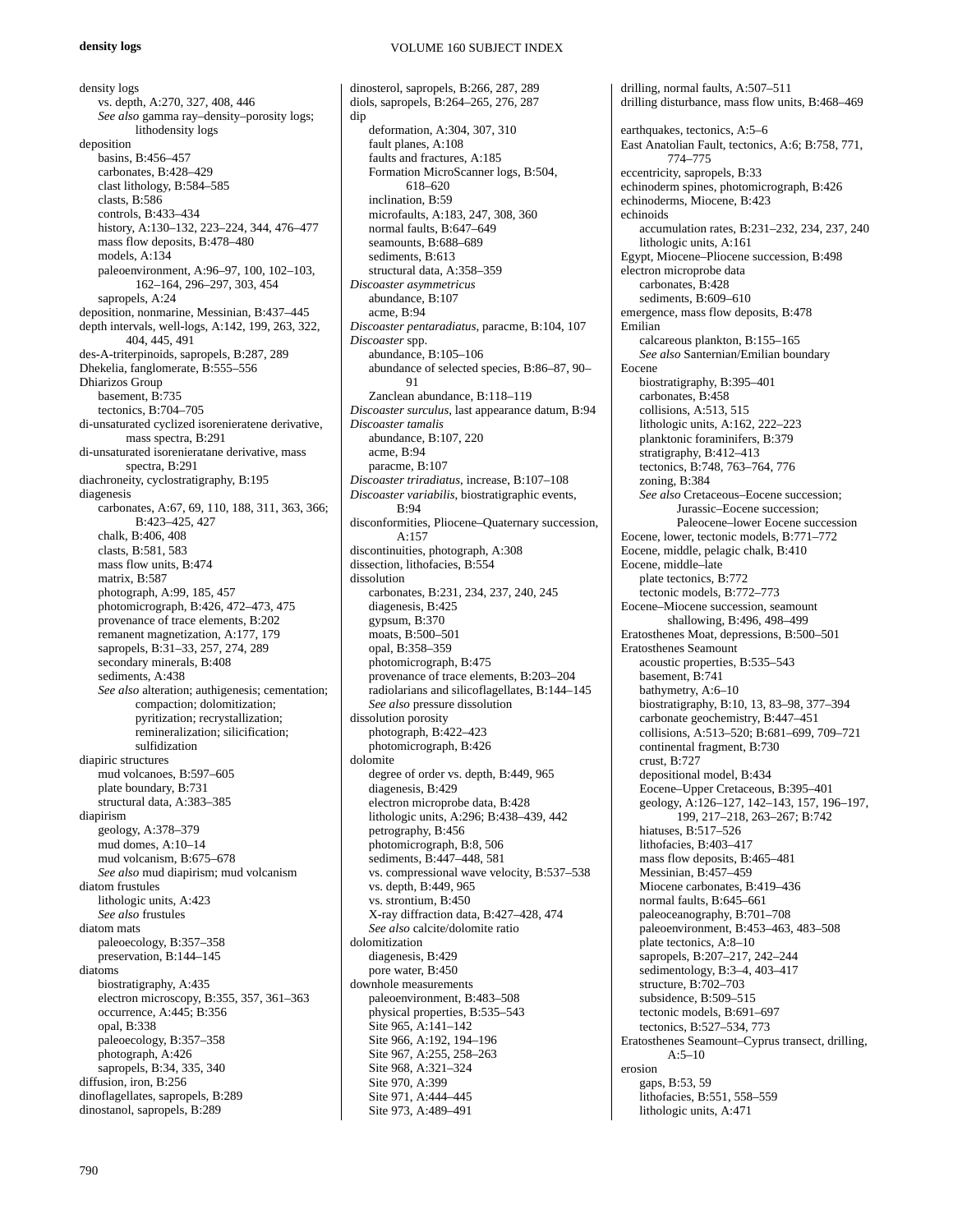## **density logs**

VOLUME 160 SUBJECT INDEX

density logs vs. depth, A:270, 327, 408, 446 *See also* gamma ray–density–porosity logs; lithodensity logs deposition basins, B:456–457 carbonates, B:428–429 clast lithology, B:584–585 clasts, B:586 controls, B:433–434 history, A:130–132, 223–224, 344, 476–477 mass flow deposits, B:478–480 models, A:134 paleoenvironment, A:96–97, 100, 102–103, 162–164, 296–297, 303, 454 sapropels, A:24 deposition, nonmarine, Messinian, B:437–445 depth intervals, well-logs, A:142, 199, 263, 322, 404, 445, 491 des-A-triterpinoids, sapropels, B:287, 289 Dhekelia, fanglomerate, B:555–556 Dhiarizos Group basement, B:735 tectonics, B:704–705 di-unsaturated cyclized isorenieratene derivative, mass spectra, B:291 di-unsaturated isorenieratane derivative, mass spectra, B:291 diachroneity, cyclostratigraphy, B:195 diagenesis carbonates, A:67, 69, 110, 188, 311, 363, 366; B:423–425, 427 chalk, B:406, 408 clasts, B:581, 583 mass flow units, B:474 matrix, B:587 photograph, A:99, 185, 457 photomicrograph, B:426, 472–473, 475 provenance of trace elements, B:202 remanent magnetization, A:177, 179 sapropels, B:31–33, 257, 274, 289 secondary minerals, B:408 sediments, A:438 *See also* alteration; authigenesis; cementation; compaction; dolomitization; pyritization; recrystallization; remineralization; silicification; sulfidization diapiric structures mud volcanoes, B:597–605 plate boundary, B:731 structural data, A:383–385 diapirism geology, A:378–379 mud domes, A:10–14 mud volcanism, B:675–678 *See also* mud diapirism; mud volcanism diatom frustules lithologic units, A:423 *See also* frustules diatom mats paleoecology, B:357–358 preservation, B:144–145 diatoms biostratigraphy, A:435 electron microscopy, B:355, 357, 361–363 occurrence, A:445; B:356 opal, B:338 paleoecology, B:357–358 photograph, A:426 sapropels, B:34, 335, 340 diffusion, iron, B:256 dinoflagellates, sapropels, B:289 dinostanol, sapropels, B:289

dinosterol, sapropels, B:266, 287, 289 diols, sapropels, B:264–265, 276, 287 dip deformation, A:304, 307, 310 fault planes, A:108 faults and fractures, A:185 Formation MicroScanner logs, B:504, 618–620 inclination, B:59 microfaults, A:183, 247, 308, 360 normal faults, B:647–649 seamounts, B:688–689 sediments, B:613 structural data, A:358–359 *Discoaster asymmetricus* abundance, B:107 acme, B:94 *Discoaster pentaradiatus*, paracme, B:104, 107 *Discoaster* spp. abundance, B:105–106 abundance of selected species, B:86–87, 90– 91 Zanclean abundance, B:118–119 *Discoaster surculus*, last appearance datum, B:94 *Discoaster tamalis* abundance, B:107, 220 acme, B:94 paracme, B:107 *Discoaster triradiatus*, increase, B:107–108 *Discoaster variabilis*, biostratigraphic events,  $R·94$ disconformities, Pliocene–Quaternary succession, A:157 discontinuities, photograph, A:308 dissection, lithofacies, B:554 dissolution carbonates, B:231, 234, 237, 240, 245 diagenesis, B:425 gypsum, B:370 moats, B:500–501 opal, B:358–359 photomicrograph, B:475 provenance of trace elements, B:203–204 radiolarians and silicoflagellates, B:144–145 *See also* pressure dissolution dissolution porosity photograph, B:422–423 photomicrograph, B:426 dolomite degree of order vs. depth, B:449, 965 diagenesis, B:429 electron microprobe data, B:428 lithologic units, A:296; B:438–439, 442 petrography, B:456 photomicrograph, B:8, 506 sediments, B:447–448, 581 vs. compressional wave velocity, B:537–538 vs. depth, B:449, 965 vs. strontium, B:450 X-ray diffraction data, B:427–428, 474 *See also* calcite/dolomite ratio dolomitization diagenesis, B:429 pore water, B:450 downhole measurements paleoenvironment, B:483–508 physical properties, B:535–543 Site 965, A:141-142 Site 966, A:192, 194–196 Site 967, A:255, 258–263 Site 968, A:321–324 Site 970, A:399 Site 971, A:444–445 Site 973, A:489–491

drilling, normal faults, A:507–511 drilling disturbance, mass flow units, B:468–469 earthquakes, tectonics, A:5–6 East Anatolian Fault, tectonics, A:6; B:758, 771, 774–775 eccentricity, sapropels, B:33 echinoderm spines, photomicrograph, B:426 echinoderms, Miocene, B:423 echinoids accumulation rates, B:231–232, 234, 237, 240 lithologic units, A:161 Egypt, Miocene–Pliocene succession, B:498 electron microprobe data carbonates, B:428 sediments, B:609–610 emergence, mass flow deposits, B:478 Emilian calcareous plankton, B:155–165 *See also* Santernian/Emilian boundary Eocene biostratigraphy, B:395–401 carbonates, B:458 collisions, A:513, 515 lithologic units, A:162, 222–223 planktonic foraminifers, B:379 stratigraphy, B:412–413 tectonics, B:748, 763–764, 776 zoning, B:384 *See also* Cretaceous–Eocene succession; Jurassic–Eocene succession; Paleocene–lower Eocene succession Eocene, lower, tectonic models, B:771–772 Eocene, middle, pelagic chalk, B:410 Eocene, middle–late plate tectonics, B:772 tectonic models, B:772–773 Eocene–Miocene succession, seamount shallowing, B:496, 498–499 Eratosthenes Moat, depressions, B:500–501 Eratosthenes Seamount acoustic properties, B:535–543 basement, B:741 bathymetry, A:6–10 biostratigraphy, B:10, 13, 83–98, 377–394 carbonate geochemistry, B:447–451 collisions, A:513–520; B:681–699, 709–721 continental fragment, B:730 crust, B:727 depositional model, B:434 Eocene–Upper Cretaceous, B:395–401 geology, A:126–127, 142–143, 157, 196–197, 199, 217–218, 263–267; B:742 hiatuses, B:517–526 lithofacies, B:403–417 mass flow deposits, B:465–481 Messinian, B:457–459 Miocene carbonates, B:419–436 normal faults, B:645–661 paleoceanography, B:701–708 paleoenvironment, B:453–463, 483–508 plate tectonics, A:8–10 sapropels, B:207–217, 242–244 sedimentology, B:3–4, 403–417 structure, B:702–703 subsidence, B:509–515 tectonic models, B:691–697 tectonics, B:527–534, 773 Eratosthenes Seamount–Cyprus transect, drilling, A:5–10 erosion gaps, B:53, 59 lithofacies, B:551, 558–559 lithologic units, A:471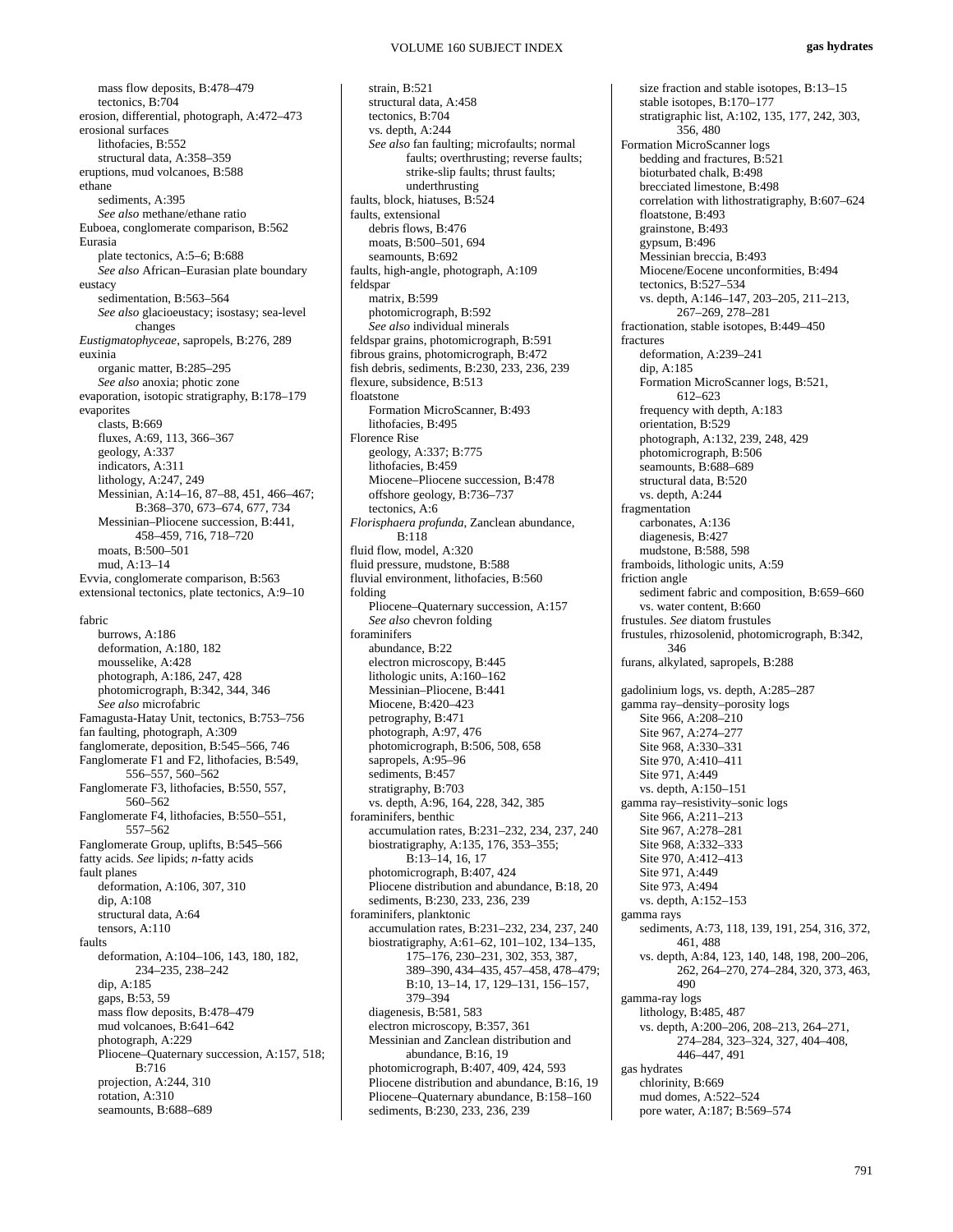mass flow deposits, B:478–479 tectonics, B:704 erosion, differential, photograph, A:472–473 erosional surfaces lithofacies, B:552 structural data, A:358–359 eruptions, mud volcanoes, B:588 ethane sediments, A:395 *See also* methane/ethane ratio Euboea, conglomerate comparison, B:562 Eurasia plate tectonics, A:5–6; B:688 *See also* African–Eurasian plate boundary eustacy sedimentation, B:563–564 *See also* glacioeustacy; isostasy; sea-level changes *Eustigmatophyceae*, sapropels, B:276, 289 euxinia organic matter, B:285–295 *See also* anoxia; photic zone evaporation, isotopic stratigraphy, B:178–179 evaporites clasts, B:669 fluxes, A:69, 113, 366–367 geology, A:337 indicators, A:311 lithology, A:247, 249 Messinian, A:14–16, 87–88, 451, 466–467; B:368–370, 673–674, 677, 734 Messinian–Pliocene succession, B:441, 458–459, 716, 718–720 moats, B:500–501 mud, A:13–14 Evvia, conglomerate comparison, B:563 extensional tectonics, plate tectonics, A:9–10 fabric burrows, A:186 deformation, A:180, 182 mousselike, A:428 photograph, A:186, 247, 428 photomicrograph, B:342, 344, 346 *See also* microfabric Famagusta-Hatay Unit, tectonics, B:753–756 fan faulting, photograph, A:309 fanglomerate, deposition, B:545–566, 746 Fanglomerate F1 and F2, lithofacies, B:549, 556–557, 560–562 Fanglomerate F3, lithofacies, B:550, 557, 560–562 Fanglomerate F4, lithofacies, B:550–551, 557–562 Fanglomerate Group, uplifts, B:545–566 fatty acids. *See* lipids; *n*-fatty acids fault planes deformation, A:106, 307, 310 dip, A:108 structural data, A:64 tensors, A:110 faults deformation, A:104–106, 143, 180, 182, 234–235, 238–242 dip, A:185 gaps, B:53, 59 mass flow deposits, B:478–479 mud volcanoes, B:641–642 photograph, A:229 Pliocene–Quaternary succession, A:157, 518; B:716 projection, A:244, 310 rotation, A:310 seamounts, B:688–689

strain, B:521 structural data, A:458 tectonics, B:704 vs. depth, A:244 *See also* fan faulting; microfaults; normal faults; overthrusting; reverse faults; strike-slip faults; thrust faults; underthrusting faults, block, hiatuses, B:524 faults, extensional debris flows, B:476 moats, B:500–501, 694 seamounts, B:692 faults, high-angle, photograph, A:109 feldspar matrix, B:599 photomicrograph, B:592 *See also* individual minerals feldspar grains, photomicrograph, B:591 fibrous grains, photomicrograph, B:472 fish debris, sediments, B:230, 233, 236, 239 flexure, subsidence, B:513 floatstone Formation MicroScanner, B:493 lithofacies, B:495 Florence Rise geology, A:337; B:775 lithofacies, B:459 Miocene–Pliocene succession, B:478 offshore geology, B:736–737 tectonics, A:6 *Florisphaera profunda*, Zanclean abundance,  $B.118$ fluid flow, model, A:320 fluid pressure, mudstone, B:588 fluvial environment, lithofacies, B:560 folding Pliocene–Quaternary succession, A:157 *See also* chevron folding foraminifers abundance, B:22 electron microscopy, B:445 lithologic units, A:160–162 Messinian–Pliocene, B:441 Miocene, B:420–423 petrography, B:471 photograph, A:97, 476 photomicrograph, B:506, 508, 658 sapropels,  $\overline{A}$ :95–96 sediments, B:457 stratigraphy, B:703 vs. depth, A:96, 164, 228, 342, 385 foraminifers, benthic accumulation rates, B:231–232, 234, 237, 240 biostratigraphy, A:135, 176, 353–355; B:13–14, 16, 17 photomicrograph, B:407, 424 Pliocene distribution and abundance, B:18, 20 sediments, B:230, 233, 236, 239 foraminifers, planktonic accumulation rates, B:231–232, 234, 237, 240 biostratigraphy, A:61–62, 101–102, 134–135, 175–176, 230–231, 302, 353, 387, 389–390, 434–435, 457–458, 478–479; B:10, 13–14, 17, 129–131, 156–157, 379–394 diagenesis, B:581, 583 electron microscopy, B:357, 361 Messinian and Zanclean distribution and abundance, B:16, 19 photomicrograph, B:407, 409, 424, 593 Pliocene distribution and abundance, B:16, 19 Pliocene–Quaternary abundance, B:158–160 sediments, B:230, 233, 236, 239

size fraction and stable isotopes, B:13–15 stable isotopes, B:170–177 stratigraphic list, A:102, 135, 177, 242, 303, 356, 480 Formation MicroScanner logs bedding and fractures, B:521 bioturbated chalk, B:498 brecciated limestone, B:498 correlation with lithostratigraphy, B:607–624 floatstone, B:493 grainstone, B:493 gypsum, B:496 Messinian breccia, B:493 Miocene/Eocene unconformities, B:494 tectonics, B:527–534 vs. depth, A:146–147, 203–205, 211–213, 267–269, 278–281 fractionation, stable isotopes, B:449–450 fractures deformation, A:239–241 dip, A:185 Formation MicroScanner logs, B:521, 612–623 frequency with depth, A:183 orientation, B:529 photograph, A:132, 239, 248, 429 photomicrograph, B:506 seamounts, B:688–689 structural data, B:520 vs. depth, A:244 fragmentation carbonates, A:136 diagenesis, B:427 mudstone, B:588, 598 framboids, lithologic units, A:59 friction angle sediment fabric and composition, B:659–660 vs. water content, B:660 frustules. *See* diatom frustules frustules, rhizosolenid, photomicrograph, B:342, 346 furans, alkylated, sapropels, B:288 gadolinium logs, vs. depth, A:285–287 gamma ray–density–porosity logs Site 966, A:208–210 Site 967, A:274–277 Site 968, A:330–331 Site 970, A:410–411 Site 971, A:449 vs. depth, A:150–151 gamma ray–resistivity–sonic logs Site 966, A:211–213 Site 967, A:278–281 Site 968, A:332–333 Site 970, A:412–413 Site 971, A:449 Site 973, A:494 vs. depth, A:152–153 gamma rays sediments, A:73, 118, 139, 191, 254, 316, 372, 461, 488 vs. depth, A:84, 123, 140, 148, 198, 200–206, 262, 264–270, 274–284, 320, 373, 463, 490 gamma-ray logs lithology, B:485, 487 vs. depth, A:200–206, 208–213, 264–271, 274–284, 323–324, 327, 404–408, 446–447, 491 gas hydrates chlorinity, B:669 mud domes, A:522–524 pore water, A:187; B:569–574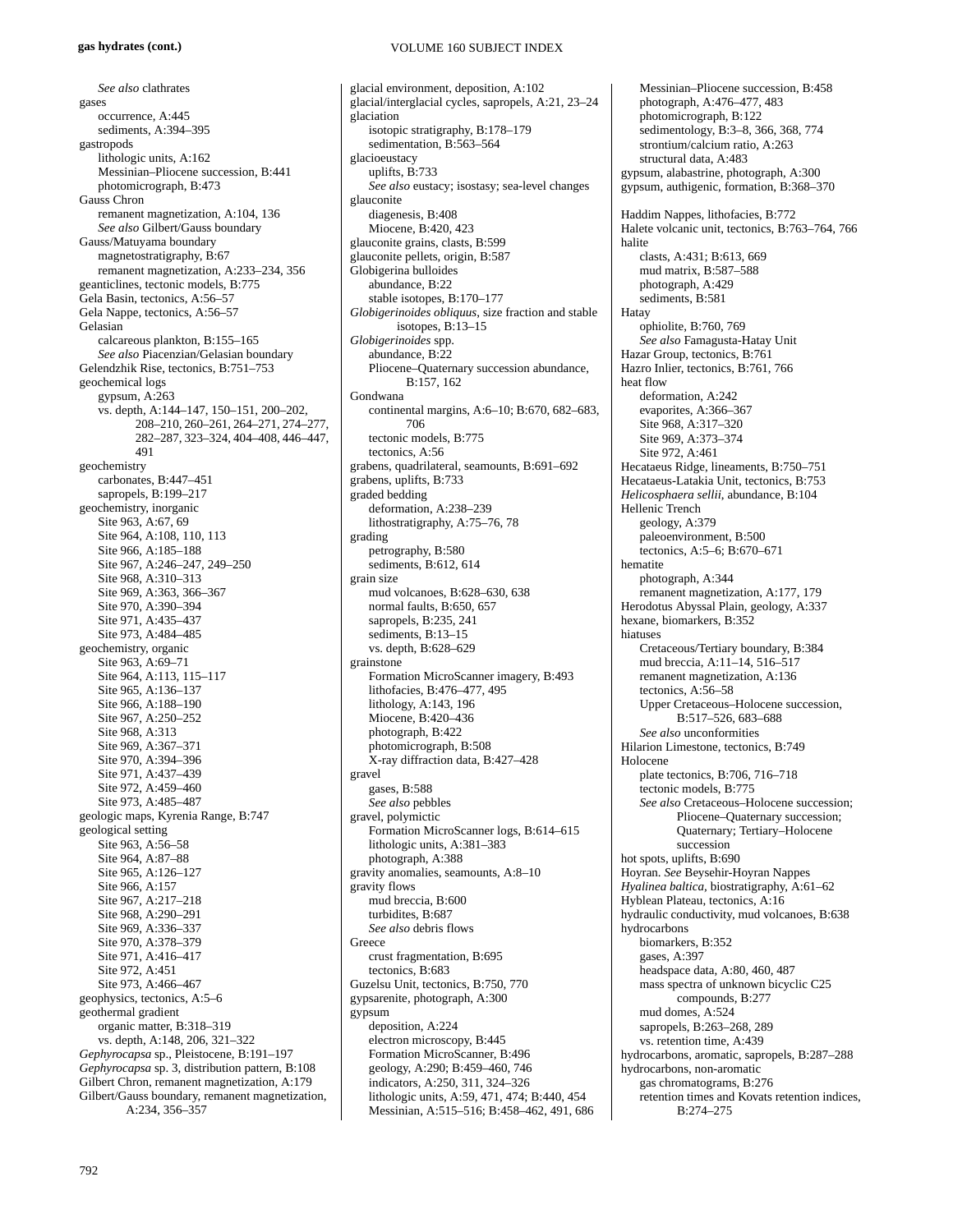# *See also* clathrates gases occurrence, A:445 sediments, A:394–395 gastropods lithologic units, A:162 Messinian–Pliocene succession, B:441 photomicrograph, B:473 Gauss Chron remanent magnetization, A:104, 136 *See also* Gilbert/Gauss boundary Gauss/Matuyama boundary magnetostratigraphy, B:67 remanent magnetization, A:233–234, 356 geanticlines, tectonic models, B:775 Gela Basin, tectonics, A:56–57 Gela Nappe, tectonics, A:56–57 Gelasian calcareous plankton, B:155–165 *See also* Piacenzian/Gelasian boundary Gelendzhik Rise, tectonics, B:751–753 geochemical logs gypsum, A:263 vs. depth, A:144–147, 150–151, 200–202, 208–210, 260–261, 264–271, 274–277, 282–287, 323–324, 404–408, 446–447, 491 geochemistry carbonates, B:447–451 sapropels, B:199–217 geochemistry, inorganic Site 963, A:67, 69 Site 964, A:108, 110, 113 Site 966, A:185–188 Site 967, A:246–247, 249–250 Site 968, A:310–313 Site 969, A:363, 366–367 Site 970, A:390–394 Site 971, A:435–437 Site 973, A:484–485 geochemistry, organic Site 963, A:69-71 Site 964, A:113, 115–117 Site 965, A:136–137 Site 966, A:188–190 Site 967, A:250–252 Site 968, A:313 Site 969, A:367–371 Site 970, A:394–396 Site 971, A:437–439 Site 972, A:459–460 Site 973, A:485–487 geologic maps, Kyrenia Range, B:747 geological setting Site 963, A:56–58 Site 964, A:87–88 Site 965, A:126–127 Site 966, A:157 Site 967, A:217–218 Site 968, A:290–291 Site 969, A:336–337 Site 970, A:378–379 Site 971, A:416–417 Site 972, A:451 Site 973, A:466–467 geophysics, tectonics, A:5–6 geothermal gradient organic matter, B:318–319 vs. depth, A:148, 206, 321–322 *Gephyrocapsa* sp., Pleistocene, B:191–197 *Gephyrocapsa* sp. 3, distribution pattern, B:108 Gilbert Chron, remanent magnetization, A:179 Gilbert/Gauss boundary, remanent magnetization, A:234, 356–357

## VOLUME 160 SUBJECT INDEX

glacial environment, deposition, A:102 glacial/interglacial cycles, sapropels, A:21, 23–24 glaciation isotopic stratigraphy, B:178–179 sedimentation, B:563–564 glacioeustacy uplifts, B:733 *See also* eustacy; isostasy; sea-level changes glauconite diagenesis, B:408 Miocene, B:420, 423 glauconite grains, clasts, B:599 glauconite pellets, origin, B:587 Globigerina bulloides abundance, B:22 stable isotopes, B:170–177 *Globigerinoides obliquus*, size fraction and stable isotopes, B:13–15 *Globigerinoides* spp. abundance, B:22 Pliocene–Quaternary succession abundance, B:157, 162 Gondwana continental margins, A:6–10; B:670, 682–683, 706 tectonic models, B:775 tectonics, A:56 grabens, quadrilateral, seamounts, B:691–692 grabens, uplifts, B:733 graded bedding deformation, A:238–239 lithostratigraphy, A:75–76, 78 grading petrography, B:580 sediments, B:612, 614 grain size mud volcanoes, B:628–630, 638 normal faults, B:650, 657 sapropels, B:235, 241 sediments, B:13-15 vs. depth, B:628–629 grainstone Formation MicroScanner imagery, B:493 lithofacies, B:476–477, 495 lithology, A:143, 196 Miocene, B:420–436 photograph, B:422 photomicrograph, B:508 X-ray diffraction data, B:427–428 gravel gases, B:588 *See also* pebbles gravel, polymictic Formation MicroScanner logs, B:614–615 lithologic units, A:381–383 photograph, A:388 gravity anomalies, seamounts, A:8–10 gravity flows mud breccia, B:600 turbidites, B:687 *See also* debris flows Greece crust fragmentation, B:695 tectonics, B:683 Guzelsu Unit, tectonics, B:750, 770 gypsarenite, photograph, A:300 gypsum deposition, A:224 electron microscopy, B:445 Formation MicroScanner, B:496 geology, A:290; B:459–460, 746 indicators, A:250, 311, 324–326 lithologic units, A:59, 471, 474; B:440, 454 Messinian, A:515–516; B:458–462, 491, 686

Messinian–Pliocene succession, B:458 photograph, A:476–477, 483 photomicrograph, B:122 sedimentology, B:3–8, 366, 368, 774 strontium/calcium ratio, A:263 structural data, A:483 gypsum, alabastrine, photograph, A:300 gypsum, authigenic, formation, B:368–370 Haddim Nappes, lithofacies, B:772 Halete volcanic unit, tectonics, B:763–764, 766 halite clasts, A:431; B:613, 669 mud matrix, B:587–588 photograph, A:429 sediments, B:581 Hatay ophiolite, B:760, 769 *See also* Famagusta-Hatay Unit Hazar Group, tectonics, B:761 Hazro Inlier, tectonics, B:761, 766 heat flow deformation, A:242 evaporites, A:366–367 Site 968, A:317–320 Site 969, A:373–374 Site 972, A:461 Hecataeus Ridge, lineaments, B:750–751 Hecataeus-Latakia Unit, tectonics, B:753 *Helicosphaera sellii*, abundance, B:104 Hellenic Trench geology, A:379 paleoenvironment, B:500 tectonics, A:5–6; B:670–671 hematite photograph, A:344 remanent magnetization, A:177, 179 Herodotus Abyssal Plain, geology, A:337 hexane, biomarkers, B:352 hiatuses Cretaceous/Tertiary boundary, B:384 mud breccia, A:11–14, 516–517 remanent magnetization, A:136 tectonics, A:56–58 Upper Cretaceous–Holocene succession, B:517–526, 683–688 *See also* unconformities Hilarion Limestone, tectonics, B:749 Holocene plate tectonics, B:706, 716–718 tectonic models, B:775 *See also* Cretaceous–Holocene succession; Pliocene–Quaternary succession; Quaternary; Tertiary–Holocene succession hot spots, uplifts, B:690 Hoyran. *See* Beysehir-Hoyran Nappes *Hyalinea baltica,* biostratigraphy, A:61–62 Hyblean Plateau, tectonics, A:16 hydraulic conductivity, mud volcanoes, B:638 hydrocarbons biomarkers, B:352 gases, A:397 headspace data, A:80, 460, 487 mass spectra of unknown bicyclic C25 compounds, B:277 mud domes, A:524 sapropels, B:263–268, 289 vs. retention time, A:439 hydrocarbons, aromatic, sapropels, B:287–288 hydrocarbons, non-aromatic gas chromatograms, B:276 retention times and Kovats retention indices, B:274–275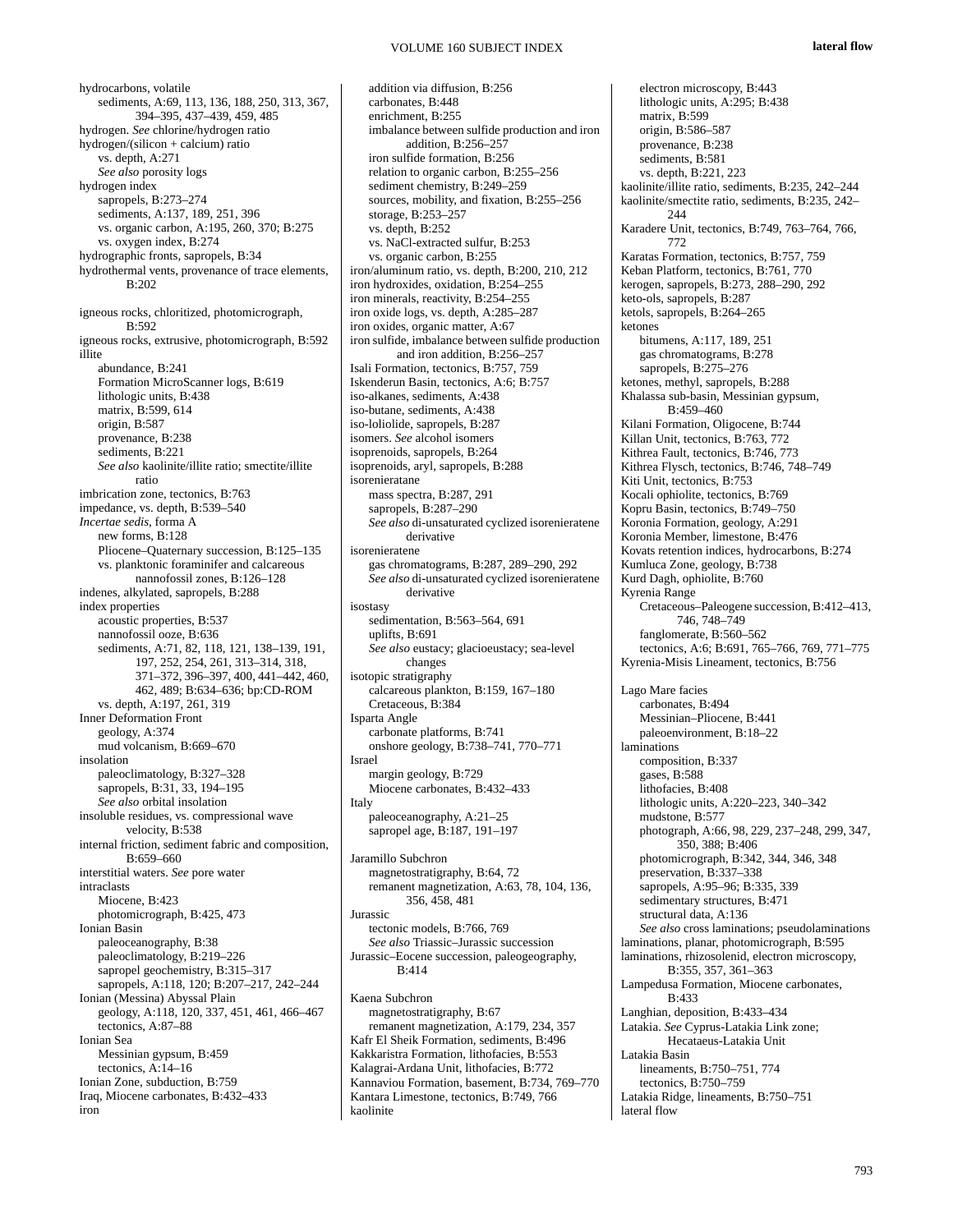hydrocarbons, volatile sediments, A:69, 113, 136, 188, 250, 313, 367, 394–395, 437–439, 459, 485 hydrogen. *See* chlorine/hydrogen ratio hydrogen/(silicon + calcium) ratio vs. depth, A:271 *See also* porosity logs hydrogen index sapropels, B:273–274 sediments, A:137, 189, 251, 396 vs. organic carbon, A:195, 260, 370; B:275 vs. oxygen index, B:274 hydrographic fronts, sapropels, B:34 hydrothermal vents, provenance of trace elements, B:202 igneous rocks, chloritized, photomicrograph,  $B.592$ igneous rocks, extrusive, photomicrograph, B:592 illite abundance, B:241 Formation MicroScanner logs, B:619 lithologic units, B:438 matrix, B:599, 614 origin, B:587 provenance, B:238 sediments, B:221 *See also* kaolinite/illite ratio; smectite/illite ratio imbrication zone, tectonics, B:763 impedance, vs. depth, B:539–540 *Incertae sedis*, forma A new forms, B:128 Pliocene–Quaternary succession, B:125–135 vs. planktonic foraminifer and calcareous nannofossil zones, B:126–128 indenes, alkylated, sapropels, B:288 index properties acoustic properties, B:537 nannofossil ooze, B:636 sediments, A:71, 82, 118, 121, 138–139, 191, 197, 252, 254, 261, 313–314, 318, 371–372, 396–397, 400, 441–442, 460, 462, 489; B:634–636; bp:CD-ROM vs. depth, A:197, 261, 319 Inner Deformation Front geology, A:374 mud volcanism, B:669–670 insolation paleoclimatology, B:327–328 sapropels, B:31, 33, 194–195 *See also* orbital insolation insoluble residues, vs. compressional wave velocity, B:538 internal friction, sediment fabric and composition, B:659–660 interstitial waters. *See* pore water intraclasts Miocene, B:423 photomicrograph, B:425, 473 Ionian Basin paleoceanography, B:38 paleoclimatology, B:219–226 sapropel geochemistry, B:315-317 sapropels, A:118, 120; B:207–217, 242–244 Ionian (Messina) Abyssal Plain geology, A:118, 120, 337, 451, 461, 466–467 tectonics, A:87–88 Ionian Sea Messinian gypsum, B:459 tectonics,  $A:14-16$ Ionian Zone, subduction, B:759 Iraq, Miocene carbonates, B:432–433 iron

addition via diffusion, B:256 carbonates, B:448 enrichment, B:255 imbalance between sulfide production and iron addition, B:256–257 iron sulfide formation, B:256 relation to organic carbon, B:255–256 sediment chemistry, B:249–259 sources, mobility, and fixation, B:255–256 storage, B:253–257 vs. depth, B:252 vs. NaCl-extracted sulfur, B:253 vs. organic carbon, B:255 iron/aluminum ratio, vs. depth, B:200, 210, 212 iron hydroxides, oxidation, B:254–255 iron minerals, reactivity, B:254–255 iron oxide logs, vs. depth, A:285–287 iron oxides, organic matter, A:67 iron sulfide, imbalance between sulfide production and iron addition, B:256–257 Isali Formation, tectonics, B:757, 759 Iskenderun Basin, tectonics, A:6; B:757 iso-alkanes, sediments, A:438 iso-butane, sediments, A:438 iso-loliolide, sapropels, B:287 isomers. *See* alcohol isomers isoprenoids, sapropels, B:264 isoprenoids, aryl, sapropels, B:288 isorenieratane mass spectra, B:287, 291 sapropels, B:287–290 *See also* di-unsaturated cyclized isorenieratene derivative isorenieratene gas chromatograms, B:287, 289–290, 292 *See also* di-unsaturated cyclized isorenieratene derivative isostasy sedimentation, B:563–564, 691 uplifts, B:691 *See also* eustacy; glacioeustacy; sea-level changes isotopic stratigraphy calcareous plankton, B:159, 167–180 Cretaceous, B:384 Isparta Angle carbonate platforms, B:741 onshore geology, B:738–741, 770–771 Israel margin geology, B:729 Miocene carbonates, B:432–433 Italy paleoceanography, A:21–25 sapropel age, B:187, 191-197 Jaramillo Subchron magnetostratigraphy, B:64, 72 remanent magnetization, A:63, 78, 104, 136, 356, 458, 481 Jurassic tectonic models, B:766, 769 *See also* Triassic–Jurassic succession Jurassic–Eocene succession, paleogeography, B:414 Kaena Subchron magnetostratigraphy, B:67

remanent magnetization, A:179, 234, 357 Kafr El Sheik Formation, sediments, B:496 Kakkaristra Formation, lithofacies, B:553 Kalagrai-Ardana Unit, lithofacies, B:772 Kannaviou Formation, basement, B:734, 769–770 Kantara Limestone, tectonics, B:749, 766 kaolinite

lateral flow

electron microscopy, B:443 lithologic units, A:295; B:438 matrix, B:599 origin, B:586–587 provenance, B:238 sediments, B:581 vs. depth, B:221, 223 kaolinite/illite ratio, sediments, B:235, 242–244 kaolinite/smectite ratio, sediments, B:235, 242– 244 Karadere Unit, tectonics, B:749, 763–764, 766, 772 Karatas Formation, tectonics, B:757, 759 Keban Platform, tectonics, B:761, 770 kerogen, sapropels, B:273, 288–290, 292 keto-ols, sapropels, B:287 ketols, sapropels, B:264–265 ketones bitumens, A:117, 189, 251 gas chromatograms, B:278 sapropels, B:275-276 ketones, methyl, sapropels, B:288 Khalassa sub-basin, Messinian gypsum, B:459–460 Kilani Formation, Oligocene, B:744 Killan Unit, tectonics, B:763, 772 Kithrea Fault, tectonics, B:746, 773 Kithrea Flysch, tectonics, B:746, 748–749 Kiti Unit, tectonics, B:753 Kocali ophiolite, tectonics, B:769 Kopru Basin, tectonics, B:749–750 Koronia Formation, geology, A:291 Koronia Member, limestone, B:476 Kovats retention indices, hydrocarbons, B:274 Kumluca Zone, geology, B:738 Kurd Dagh, ophiolite, B:760 Kyrenia Range Cretaceous–Paleogene succession, B:412–413, 746, 748–749 fanglomerate, B:560–562 tectonics, A:6; B:691, 765–766, 769, 771–775 Kyrenia-Misis Lineament, tectonics, B:756 Lago Mare facies carbonates, B:494 Messinian–Pliocene, B:441 paleoenvironment, B:18–22 laminations composition, B:337 gases, B:588 lithofacies, B:408 lithologic units, A:220–223, 340–342 mudstone, B:577 photograph, A:66, 98, 229, 237–248, 299, 347, 350, 388; B:406 photomicrograph, B:342, 344, 346, 348 preservation, B:337–338 sapropels, A:95–96; B:335, 339 sedimentary structures, B:471 structural data, A:136 *See also* cross laminations; pseudolaminations laminations, planar, photomicrograph, B:595 laminations, rhizosolenid, electron microscopy, B:355, 357, 361–363 Lampedusa Formation, Miocene carbonates, B:433 Langhian, deposition, B:433–434 Latakia. *See* Cyprus-Latakia Link zone; Hecataeus-Latakia Unit Latakia Basin lineaments, B:750–751, 774 tectonics, B:750–759 Latakia Ridge, lineaments, B:750–751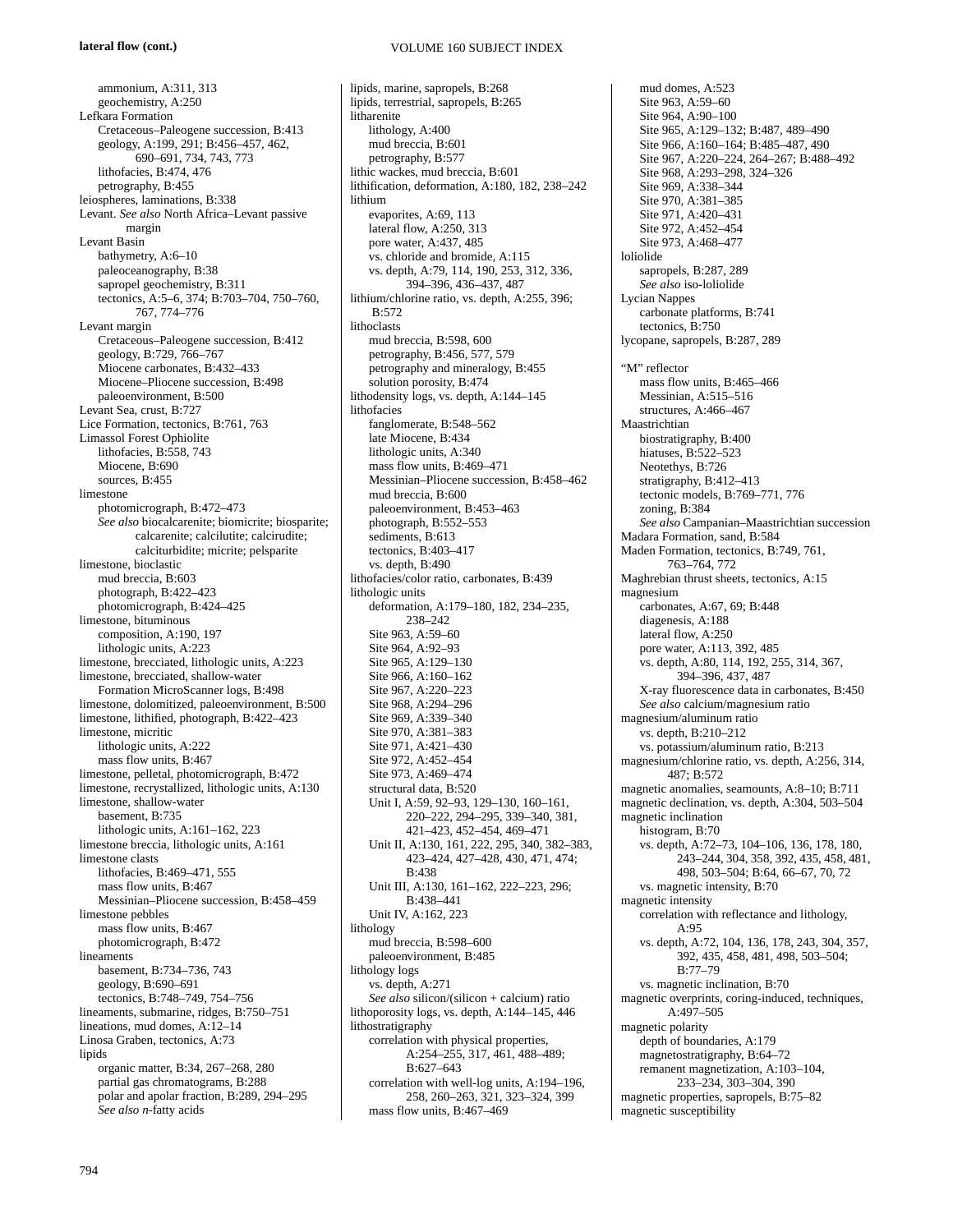## **lateral flow (cont.)**

VOLUME 160 SUBJECT INDEX

ammonium, A:311, 313 geochemistry, A:250 Lefkara Formation Cretaceous–Paleogene succession, B:413 geology, A:199, 291; B:456–457, 462, 690–691, 734, 743, 773 lithofacies, B:474, 476 petrography, B:455 leiospheres, laminations, B:338 Levant. *See also* North Africa–Levant passive margin Levant Basin bathymetry, A:6–10 paleoceanography, B:38 sapropel geochemistry, B:311 tectonics, A:5–6, 374; B:703–704, 750–760, 767, 774–776 Levant margin Cretaceous–Paleogene succession, B:412 geology, B:729, 766–767 Miocene carbonates, B:432–433 Miocene–Pliocene succession, B:498 paleoenvironment, B:500 Levant Sea, crust, B:727 Lice Formation, tectonics, B:761, 763 Limassol Forest Ophiolite lithofacies, B:558, 743 Miocene, B:690 sources, B:455 limestone photomicrograph, B:472–473 *See also* biocalcarenite; biomicrite; biosparite; calcarenite; calcilutite; calcirudite; calciturbidite; micrite; pelsparite limestone, bioclastic mud breccia, B:603 photograph, B:422–423 photomicrograph, B:424–425 limestone, bituminous composition, A:190, 197 lithologic units, A:223 limestone, brecciated, lithologic units, A:223 limestone, brecciated, shallow-water Formation MicroScanner logs, B:498 limestone, dolomitized, paleoenvironment, B:500 limestone, lithified, photograph, B:422–423 limestone, micritic lithologic units, A:222 mass flow units, B:467 limestone, pelletal, photomicrograph, B:472 limestone, recrystallized, lithologic units, A:130 limestone, shallow-water basement, B:735 lithologic units, A:161–162, 223 limestone breccia, lithologic units, A:161 limestone clasts lithofacies, B:469–471, 555 mass flow units, B:467 Messinian–Pliocene succession, B:458–459 limestone pebbles mass flow units, B:467 photomicrograph, B:472 lineaments basement, B:734–736, 743 geology, B:690–691 tectonics, B:748–749, 754–756 lineaments, submarine, ridges, B:750–751 lineations, mud domes, A:12–14 Linosa Graben, tectonics, A:73 lipids organic matter, B:34, 267–268, 280 partial gas chromatograms, B:288 polar and apolar fraction, B:289, 294–295 *See also n*-fatty acids

lipids, marine, sapropels, B:268 lipids, terrestrial, sapropels, B:265 litharenite lithology, A:400 mud breccia, B:601 petrography, B:577 lithic wackes, mud breccia, B:601 lithification, deformation, A:180, 182, 238–242 lithium evaporites, A:69, 113 lateral flow, A:250, 313 pore water, A:437, 485 vs. chloride and bromide, A:115 vs. depth, A:79, 114, 190, 253, 312, 336, 394–396, 436–437, 487 lithium/chlorine ratio, vs. depth, A:255, 396; B:572 lithoclasts mud breccia, B:598, 600 petrography, B:456, 577, 579 petrography and mineralogy, B:455 solution porosity, B:474 lithodensity logs, vs. depth, A:144–145 lithofacies fanglomerate, B:548–562 late Miocene, B:434 lithologic units, A:340 mass flow units, B:469–471 Messinian–Pliocene succession, B:458–462 mud breccia, B:600 paleoenvironment, B:453–463 photograph, B:552–553 sediments, B:613 tectonics, B:403–417 vs. depth, B:490 lithofacies/color ratio, carbonates, B:439 lithologic units deformation, A:179–180, 182, 234–235, 238–242 Site 963, A:59–60 Site 964, A:92–93 Site 965, A:129-130 Site 966, A:160–162 Site 967, A:220–223 Site 968, A:294–296 Site 969, A:339–340 Site 970, A:381–383 Site 971, A:421–430 Site 972, A:452–454 Site 973, A:469–474 structural data, B:520 Unit I, A:59, 92–93, 129–130, 160–161, 220–222, 294–295, 339–340, 381, 421–423, 452–454, 469–471 Unit II, A:130, 161, 222, 295, 340, 382–383, 423–424, 427–428, 430, 471, 474; B:438 Unit III, A:130, 161–162, 222–223, 296; B:438–441 Unit IV, A:162, 223 lithology mud breccia, B:598–600 paleoenvironment, B:485 lithology logs vs. depth, A:271 *See also* silicon/(silicon + calcium) ratio lithoporosity logs, vs. depth, A:144–145, 446 lithostratigraphy correlation with physical properties, A:254–255, 317, 461, 488–489; B:627–643 correlation with well-log units, A:194–196, 258, 260–263, 321, 323–324, 399 mass flow units, B:467–469

mud domes,  $A.523$ Site 963, A:59–60 Site 964, A:90–100 Site 965, A:129–132; B:487, 489–490 Site 966, A:160–164; B:485–487, 490 Site 967, A:220–224, 264–267; B:488–492 Site 968, A:293–298, 324–326 Site 969, A:338–344 Site 970, A:381–385 Site 971, A:420–431 Site 972, A:452–454 Site 973, A:468–477 loliolide sapropels, B:287, 289 *See also* iso-loliolide Lycian Nappes carbonate platforms, B:741 tectonics, B:750 lycopane, sapropels, B:287, 289 "M" reflector mass flow units, B:465–466 Messinian, A:515–516 structures, A:466–467 Maastrichtian biostratigraphy, B:400 hiatuses, B:522–523 Neotethys, B:726 stratigraphy, B:412–413 tectonic models, B:769–771, 776 zoning, B:384 *See also* Campanian–Maastrichtian succession Madara Formation, sand, B:584 Maden Formation, tectonics, B:749, 761, 763–764, 772 Maghrebian thrust sheets, tectonics, A:15 magnesium carbonates, A:67, 69; B:448 diagenesis, A:188 lateral flow, A:250 pore water, A:113, 392, 485 vs. depth, A:80, 114, 192, 255, 314, 367, 394–396, 437, 487 X-ray fluorescence data in carbonates, B:450 *See also* calcium/magnesium ratio magnesium/aluminum ratio vs. depth, B:210–212 vs. potassium/aluminum ratio, B:213 magnesium/chlorine ratio, vs. depth, A:256, 314, 487; B:572 magnetic anomalies, seamounts, A:8–10; B:711 magnetic declination, vs. depth, A:304, 503–504 magnetic inclination histogram, B:70 vs. depth, A:72–73, 104–106, 136, 178, 180, 243–244, 304, 358, 392, 435, 458, 481, 498, 503–504; B:64, 66–67, 70, 72 vs. magnetic intensity, B:70 magnetic intensity correlation with reflectance and lithology,  $A:95$ vs. depth, A:72, 104, 136, 178, 243, 304, 357, 392, 435, 458, 481, 498, 503–504; B:77–79 vs. magnetic inclination, B:70 magnetic overprints, coring-induced, techniques, A:497–505 magnetic polarity depth of boundaries, A:179 magnetostratigraphy, B:64–72 remanent magnetization, A:103–104, 233–234, 303–304, 390 magnetic properties, sapropels, B:75–82 magnetic susceptibility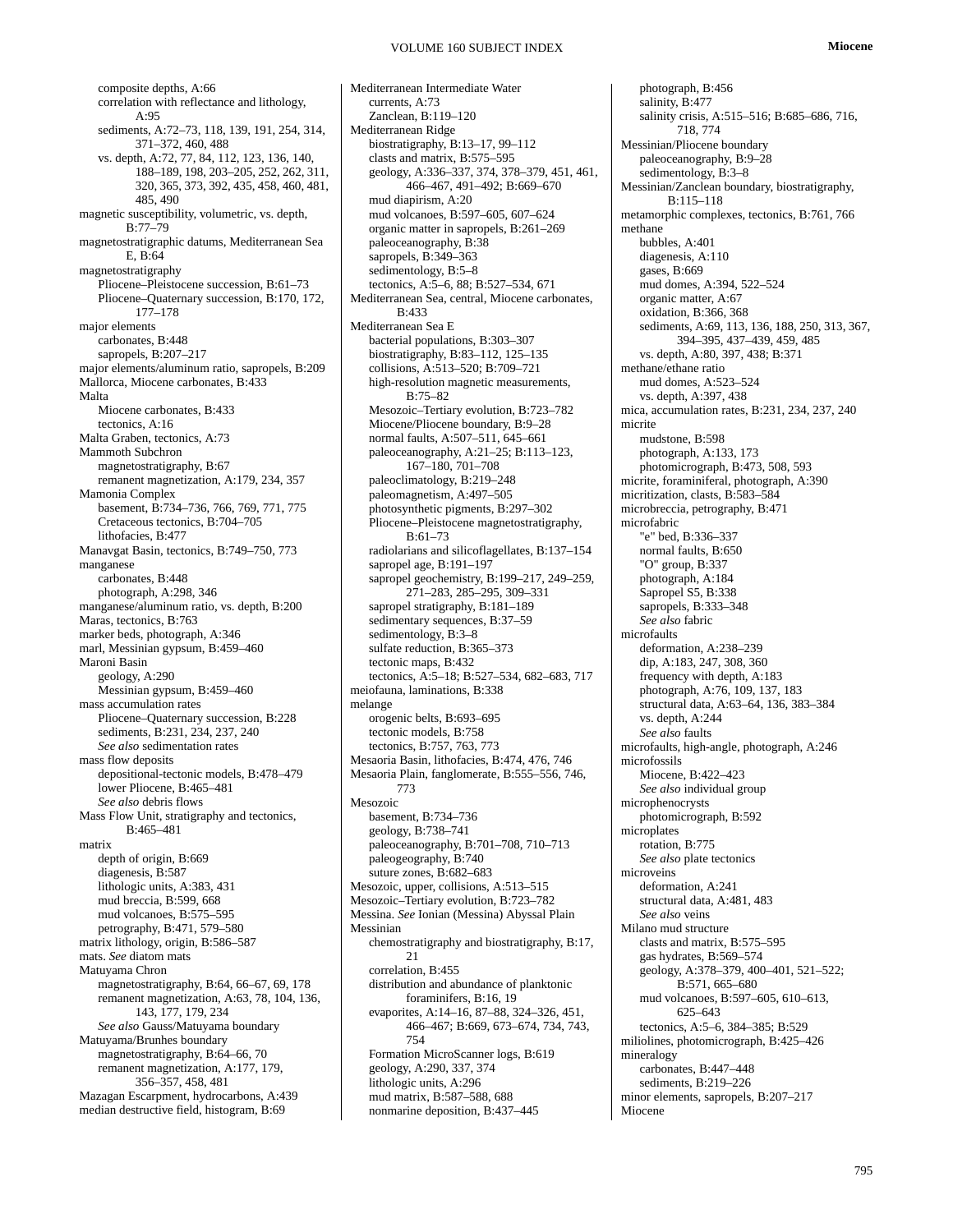composite depths, A:66 correlation with reflectance and lithology,  $A:95$ sediments, A:72–73, 118, 139, 191, 254, 314, 371–372, 460, 488 vs. depth, A:72, 77, 84, 112, 123, 136, 140, 188–189, 198, 203–205, 252, 262, 311, 320, 365, 373, 392, 435, 458, 460, 481, 485, 490 magnetic susceptibility, volumetric, vs. depth, B:77–79 magnetostratigraphic datums, Mediterranean Sea E, B:64 magnetostratigraphy Pliocene–Pleistocene succession, B:61–73 Pliocene–Quaternary succession, B:170, 172, 177–178 major elements carbonates, B:448 sapropels, B:207–217 major elements/aluminum ratio, sapropels, B:209 Mallorca, Miocene carbonates, B:433 Malta Miocene carbonates, B:433 tectonics, A:16 Malta Graben, tectonics, A:73 Mammoth Subchron magnetostratigraphy, B:67 remanent magnetization, A:179, 234, 357 Mamonia Complex basement, B:734–736, 766, 769, 771, 775 Cretaceous tectonics, B:704–705 lithofacies, B:477 Manavgat Basin, tectonics, B:749–750, 773 manganese carbonates, B:448 photograph, A:298, 346 manganese/aluminum ratio, vs. depth, B:200 Maras, tectonics, B:763 marker beds, photograph, A:346 marl, Messinian gypsum, B:459–460 Maroni Basin geology, A:290 Messinian gypsum, B:459–460 mass accumulation rates Pliocene–Quaternary succession, B:228 sediments, B:231, 234, 237, 240 *See also* sedimentation rates mass flow deposits depositional-tectonic models, B:478–479 lower Pliocene, B:465–481 *See also* debris flows Mass Flow Unit, stratigraphy and tectonics, B:465–481 matrix depth of origin, B:669 diagenesis, B:587 lithologic units, A:383, 431 mud breccia, B:599, 668 mud volcanoes, B:575–595 petrography, B:471, 579–580 matrix lithology, origin, B:586–587 mats. *See* diatom mats Matuyama Chron magnetostratigraphy, B:64, 66–67, 69, 178 remanent magnetization, A:63, 78, 104, 136, 143, 177, 179, 234 *See also* Gauss/Matuyama boundary Matuyama/Brunhes boundary magnetostratigraphy, B:64–66, 70 remanent magnetization, A:177, 179, 356–357, 458, 481 Mazagan Escarpment, hydrocarbons, A:439 median destructive field, histogram, B:69

Mediterranean Intermediate Water currents, A:73 Zanclean, B:119–120 Mediterranean Ridge biostratigraphy, B:13–17, 99–112 clasts and matrix, B:575–595 geology, A:336–337, 374, 378–379, 451, 461, 466–467, 491–492; B:669–670 mud diapirism, A:20 mud volcanoes, B:597–605, 607–624 organic matter in sapropels, B:261–269 paleoceanography, B:38 sapropels,  $\overline{B}$ :349–363 sedimentology, B:5–8 tectonics, A:5–6, 88; B:527–534, 671 Mediterranean Sea, central, Miocene carbonates, B:433 Mediterranean Sea E bacterial populations, B:303–307 biostratigraphy, B:83–112, 125–135 collisions, A:513–520; B:709–721 high-resolution magnetic measurements, B:75–82 Mesozoic–Tertiary evolution, B:723–782 Miocene/Pliocene boundary, B:9–28 normal faults, A:507–511, 645–661 paleoceanography, A:21–25; B:113–123, 167–180, 701–708 paleoclimatology, B:219–248 paleomagnetism, A:497–505 photosynthetic pigments, B:297–302 Pliocene–Pleistocene magnetostratigraphy, B:61–73 radiolarians and silicoflagellates, B:137–154 sapropel age, B:191-197 sapropel geochemistry, B:199–217, 249–259, 271–283, 285–295, 309–331 sapropel stratigraphy, B:181–189 sedimentary sequences, B:37-59 sedimentology, B:3–8 sulfate reduction, B:365–373 tectonic maps, B:432 tectonics, A:5–18; B:527–534, 682–683, 717 meiofauna, laminations, B:338 melange orogenic belts, B:693–695 tectonic models, B:758 tectonics, B:757, 763, 773 Mesaoria Basin, lithofacies, B:474, 476, 746 Mesaoria Plain, fanglomerate, B:555–556, 746, 773 Mesozoic basement, B:734–736 geology, B:738–741 paleoceanography, B:701–708, 710–713 paleogeography, B:740 suture zones, B:682–683 Mesozoic, upper, collisions, A:513–515 Mesozoic–Tertiary evolution, B:723–782 Messina. *See* Ionian (Messina) Abyssal Plain Messinian chemostratigraphy and biostratigraphy, B:17, 21 correlation, B:455 distribution and abundance of planktonic foraminifers, B:16, 19 evaporites, A:14–16, 87–88, 324–326, 451, 466–467; B:669, 673–674, 734, 743, 754 Formation MicroScanner logs, B:619 geology, A:290, 337, 374 lithologic units, A:296 mud matrix, B:587–588, 688 nonmarine deposition, B:437–445

photograph, B:456 salinity, B:477 salinity crisis, A:515–516; B:685–686, 716, 718, 774 Messinian/Pliocene boundary paleoceanography, B:9–28 sedimentology, B:3-8 Messinian/Zanclean boundary, biostratigraphy, B:115–118 metamorphic complexes, tectonics, B:761, 766 methane bubbles, A:401 diagenesis, A:110 gases, B:669 mud domes, A:394, 522–524 organic matter, A:67 oxidation, B:366, 368 sediments, A:69, 113, 136, 188, 250, 313, 367, 394–395, 437–439, 459, 485 vs. depth, A:80, 397, 438; B:371 methane/ethane ratio mud domes, A:523–524 vs. depth, A:397, 438 mica, accumulation rates, B:231, 234, 237, 240 micrite mudstone, B:598 photograph, A:133, 173 photomicrograph, B:473, 508, 593 micrite, foraminiferal, photograph, A:390 micritization, clasts, B:583–584 microbreccia, petrography, B:471 microfabric "e" bed, B:336–337 normal faults, B:650 "O" group, B:337 photograph, A:184 Sapropel S5, B:338 sapropels, B:333–348 *See also* fabric microfaults deformation, A:238–239 dip, A:183, 247, 308, 360 frequency with depth, A:183 photograph, A:76, 109, 137, 183 structural data, A:63–64, 136, 383–384 vs. depth, A:244 *See also* faults microfaults, high-angle, photograph, A:246 microfossils Miocene, B:422–423 *See also* individual group microphenocrysts photomicrograph, B:592 microplates rotation, B:775 *See also* plate tectonics microveins deformation, A:241 structural data, A:481, 483 *See also* veins Milano mud structure clasts and matrix, B:575–595 gas hydrates, B:569–574 geology, A:378–379, 400–401, 521–522; B:571, 665–680 mud volcanoes, B:597–605, 610–613, 625–643 tectonics, A:5–6, 384–385; B:529 miliolines, photomicrograph, B:425–426 mineralogy carbonates, B:447–448 sediments, B:219–226 minor elements, sapropels, B:207–217 Miocene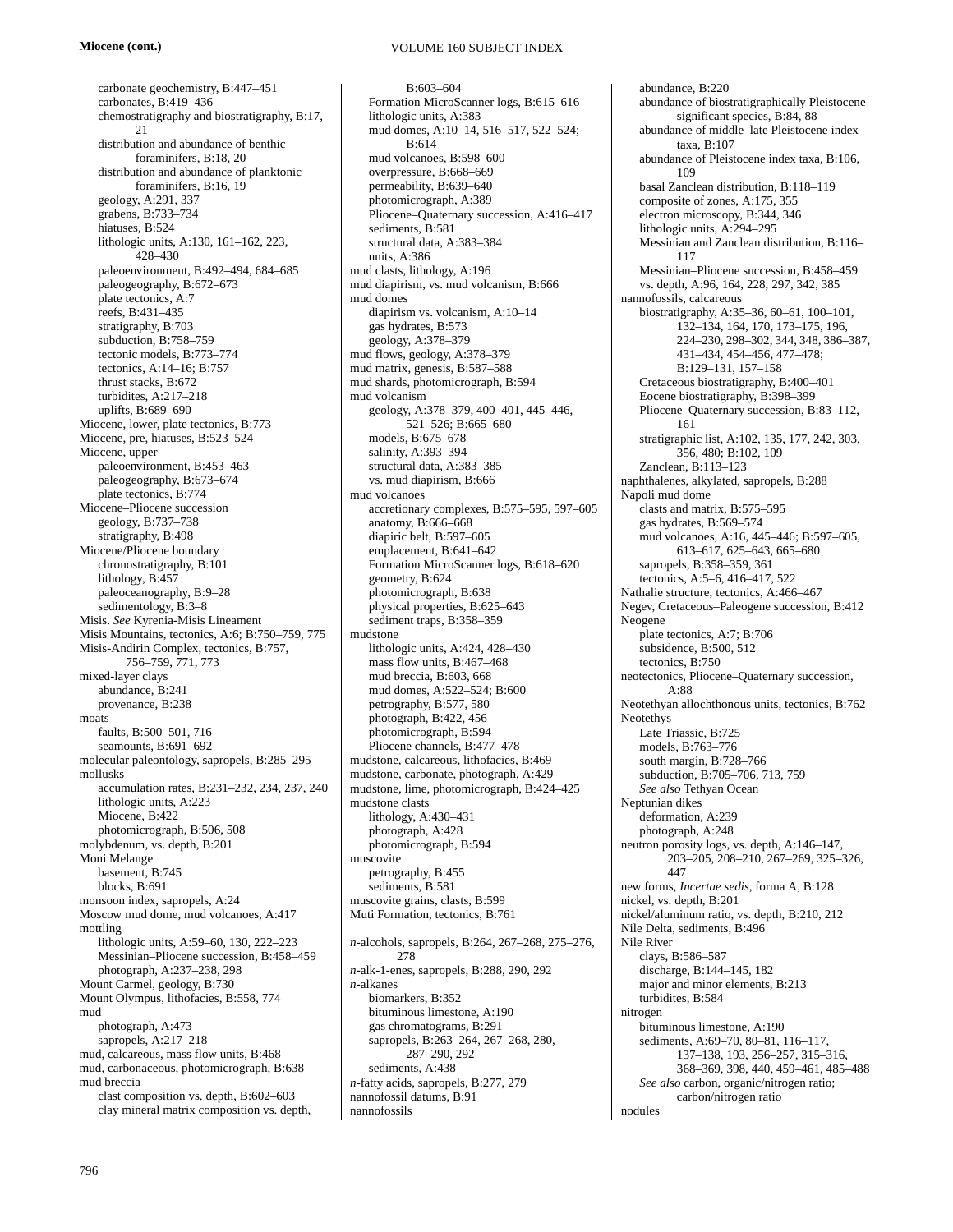# **Miocene (cont.)**

carbonate geochemistry, B:447–451 carbonates, B:419–436 chemostratigraphy and biostratigraphy, B:17, 21 distribution and abundance of benthic foraminifers, B:18, 20 distribution and abundance of planktonic foraminifers, B:16, 19 geology, A:291, 337 grabens, B:733–734 hiatuses, B:524 lithologic units, A:130, 161–162, 223, 428–430 paleoenvironment, B:492–494, 684–685 paleogeography, B:672–673 plate tectonics, A:7 reefs, B:431–435 stratigraphy, B:703 subduction, B:758–759 tectonic models, B:773–774 tectonics, A:14–16; B:757 thrust stacks, B:672 turbidites, A:217–218 uplifts, B:689–690 Miocene, lower, plate tectonics, B:773 Miocene, pre, hiatuses, B:523–524 Miocene, upper paleoenvironment, B:453–463 paleogeography, B:673–674 plate tectonics, B:774 Miocene–Pliocene succession geology, B:737–738 stratigraphy, B:498 Miocene/Pliocene boundary chronostratigraphy, B:101 lithology, B:457 paleoceanography, B:9–28 sedimentology, B:3–8 Misis. *See* Kyrenia-Misis Lineament Misis Mountains, tectonics, A:6; B:750–759, 775 Misis-Andirin Complex, tectonics, B:757, 756–759, 771, 773 mixed-layer clays abundance, B:241 provenance, B:238 moats faults, B:500–501, 716 seamounts, B:691–692 molecular paleontology, sapropels, B:285–295 mollusks accumulation rates, B:231–232, 234, 237, 240 lithologic units, A:223 Miocene, B:422 photomicrograph, B:506, 508 molybdenum, vs. depth, B:201 Moni Melange basement, B:745 blocks, B:691 monsoon index, sapropels, A:24 Moscow mud dome, mud volcanoes, A:417 mottling lithologic units, A:59–60, 130, 222–223 Messinian–Pliocene succession, B:458–459 photograph, A:237–238, 298 Mount Carmel, geology, B:730 Mount Olympus, lithofacies, B:558, 774 mud photograph, A:473 sapropels, A:217–218 mud, calcareous, mass flow units, B:468 mud, carbonaceous, photomicrograph, B:638 mud breccia clast composition vs. depth, B:602–603 clay mineral matrix composition vs. depth,

# VOLUME 160 SUBJECT INDEX

B:603–604 Formation MicroScanner logs, B:615–616 lithologic units, A:383 mud domes, A:10–14, 516–517, 522–524; B:614 mud volcanoes, B:598–600 overpressure, B:668–669 permeability, B:639–640 photomicrograph, A:389 Pliocene–Quaternary succession, A:416–417 sediments, B:581 structural data, A:383–384 units, A:386 mud clasts, lithology, A:196 mud diapirism, vs. mud volcanism, B:666 mud domes diapirism vs. volcanism, A:10–14 gas hydrates, B:573 geology, A:378–379 mud flows, geology, A:378–379 mud matrix, genesis, B:587–588 mud shards, photomicrograph, B:594 mud volcanism geology, A:378–379, 400–401, 445–446, 521–526; B:665–680 models, B:675–678 salinity, A:393–394 structural data, A:383–385 vs. mud diapirism, B:666 mud volcanoes accretionary complexes, B:575–595, 597–605 anatomy, B:666–668 diapiric belt, B:597–605 emplacement, B:641–642 Formation MicroScanner logs, B:618–620 geometry, B:624 photomicrograph, B:638 physical properties, B:625–643 sediment traps, B:358-359 mudstone lithologic units, A:424, 428–430 mass flow units, B:467–468 mud breccia, B:603, 668 mud domes, A:522–524; B:600 petrography, B:577, 580 photograph, B:422, 456 photomicrograph, B:594 Pliocene channels, B:477–478 mudstone, calcareous, lithofacies, B:469 mudstone, carbonate, photograph, A:429 mudstone, lime, photomicrograph, B:424–425 mudstone clasts lithology, A:430–431 photograph, A:428 photomicrograph, B:594 muscovite petrography, B:455 sediments, B:581 muscovite grains, clasts, B:599 Muti Formation, tectonics, B:761 *n-*alcohols, sapropels, B:264, 267–268, 275–276, 278 *n-*alk-1-enes, sapropels, B:288, 290, 292 *n-*alkanes biomarkers, B:352 bituminous limestone, A:190 gas chromatograms, B:291 sapropels, B:263–264, 267–268, 280, 287–290, 292 sediments, A:438 *n-*fatty acids, sapropels, B:277, 279 nannofossil datums, B:91 nannofossils

abundance, B:220 abundance of biostratigraphically Pleistocene significant species, B:84, 88 abundance of middle–late Pleistocene index taxa, B:107 abundance of Pleistocene index taxa, B:106, 109 basal Zanclean distribution, B:118–119 composite of zones, A:175, 355 electron microscopy, B:344, 346 lithologic units, A:294–295 Messinian and Zanclean distribution, B:116– 117 Messinian–Pliocene succession, B:458–459 vs. depth, A:96, 164, 228, 297, 342, 385 nannofossils, calcareous biostratigraphy, A:35–36, 60–61, 100–101, 132–134, 164, 170, 173–175, 196, 224–230, 298–302, 344, 348, 386–387, 431–434, 454–456, 477–478; B:129–131, 157–158 Cretaceous biostratigraphy, B:400–401 Eocene biostratigraphy, B:398–399 Pliocene–Quaternary succession, B:83–112, 161 stratigraphic list, A:102, 135, 177, 242, 303, 356, 480; B:102, 109 Zanclean, B:113–123 naphthalenes, alkylated, sapropels, B:288 Napoli mud dome clasts and matrix, B:575–595 gas hydrates, B:569–574 mud volcanoes, A:16, 445–446; B:597–605, 613–617, 625–643, 665–680 sapropels, B:358–359, 361 tectonics, A:5–6, 416–417, 522 Nathalie structure, tectonics, A:466–467 Negev, Cretaceous–Paleogene succession, B:412 Neogene plate tectonics, A:7; B:706 subsidence, B:500, 512 tectonics, B:750 neotectonics, Pliocene–Quaternary succession,  $A.88$ Neotethyan allochthonous units, tectonics, B:762 Neotethys Late Triassic, B:725 models, B:763–776 south margin, B:728–766 subduction, B:705–706, 713, 759 *See also* Tethyan Ocean Neptunian dikes deformation, A:239 photograph, A:248 neutron porosity logs, vs. depth, A:146–147, 203–205, 208–210, 267–269, 325–326, 447 new forms, *Incertae sedis*, forma A, B:128 nickel, vs. depth, B:201 nickel/aluminum ratio, vs. depth, B:210, 212 Nile Delta, sediments, B:496 Nile River clays, B:586–587 discharge, B:144–145, 182 major and minor elements, B:213 turbidites, B:584 nitrogen bituminous limestone, A:190 sediments, A:69–70, 80–81, 116–117, 137–138, 193, 256–257, 315–316, 368–369, 398, 440, 459–461, 485–488 *See also* carbon, organic/nitrogen ratio; carbon/nitrogen ratio nodules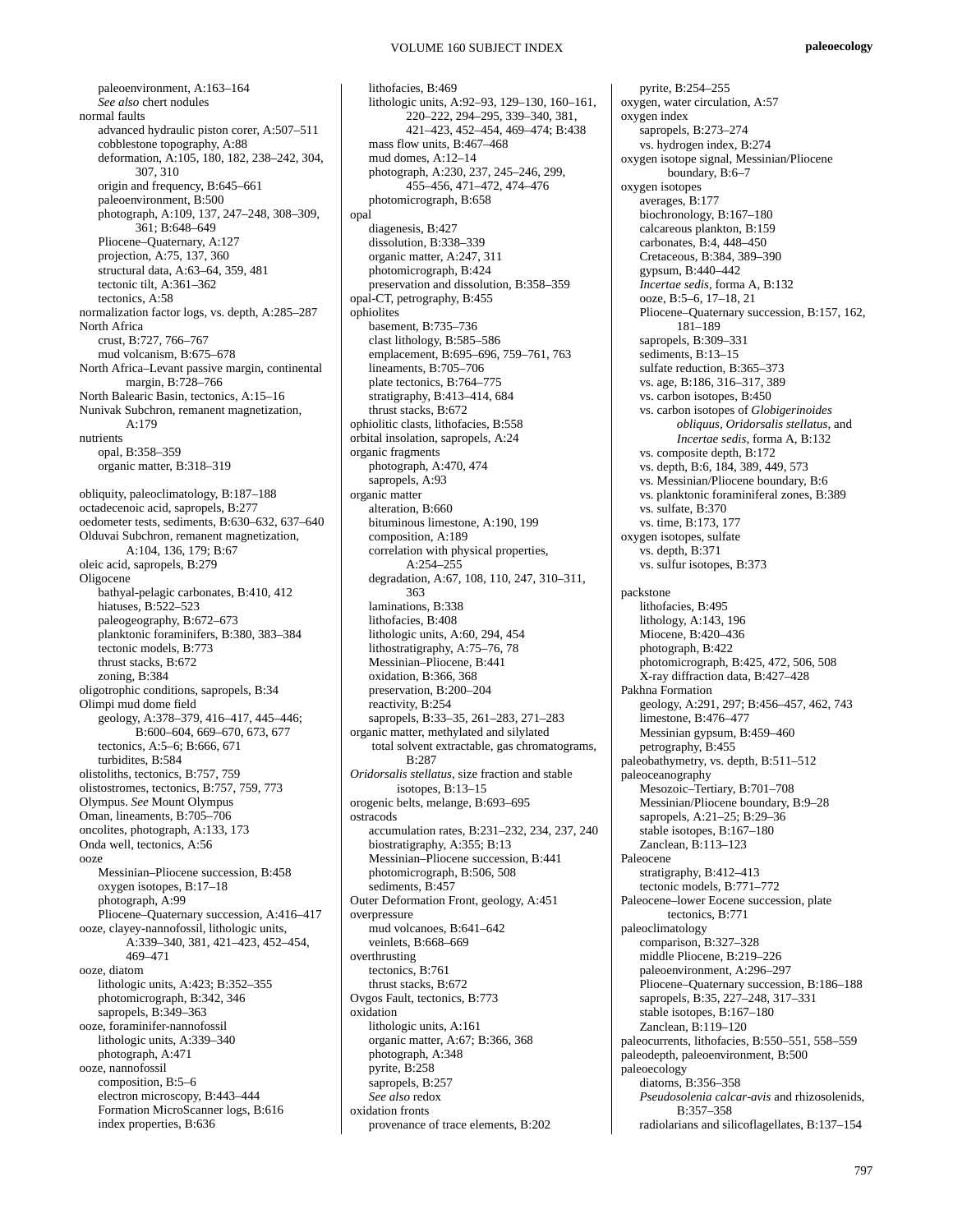paleoenvironment, A:163–164 *See also* chert nodules normal faults advanced hydraulic piston corer, A:507–511 cobblestone topography, A:88 deformation, A:105, 180, 182, 238–242, 304, 307, 310 origin and frequency, B:645–661 paleoenvironment, B:500 photograph, A:109, 137, 247–248, 308–309, 361; B:648–649 Pliocene–Quaternary, A:127 projection, A:75, 137, 360 structural data, A:63–64, 359, 481 tectonic tilt, A:361–362 tectonics, A:58 normalization factor logs, vs. depth, A:285–287 North Africa crust, B:727, 766–767 mud volcanism, B:675–678 North Africa–Levant passive margin, continental margin, B:728–766 North Balearic Basin, tectonics, A:15–16 Nunivak Subchron, remanent magnetization,  $A:179$ nutrients opal, B:358–359 organic matter, B:318–319 obliquity, paleoclimatology, B:187–188 octadecenoic acid, sapropels, B:277 oedometer tests, sediments, B:630–632, 637–640 Olduvai Subchron, remanent magnetization, A:104, 136, 179; B:67 oleic acid, sapropels, B:279 Oligocene bathyal-pelagic carbonates, B:410, 412 hiatuses, B:522–523 paleogeography, B:672–673 planktonic foraminifers, B:380, 383–384 tectonic models, B:773 thrust stacks, B:672 zoning, B:384 oligotrophic conditions, sapropels, B:34 Olimpi mud dome field geology, A:378–379, 416–417, 445–446; B:600–604, 669–670, 673, 677 tectonics, A:5–6; B:666, 671 turbidites, B:584 olistoliths, tectonics, B:757, 759 olistostromes, tectonics, B:757, 759, 773 Olympus. *See* Mount Olympus Oman, lineaments, B:705–706 oncolites, photograph, A:133, 173 Onda well, tectonics, A:56 ooze Messinian–Pliocene succession, B:458 oxygen isotopes, B:17–18 photograph, A:99 Pliocene–Quaternary succession, A:416–417 ooze, clayey-nannofossil, lithologic units, A:339–340, 381, 421–423, 452–454, 469–471 ooze, diatom lithologic units, A:423; B:352–355 photomicrograph, B:342, 346 sapropels, B:349–363 ooze, foraminifer-nannofossil lithologic units, A:339–340 photograph, A:471 ooze, nannofossil composition, B:5–6 electron microscopy, B:443–444 Formation MicroScanner logs, B:616 index properties, B:636

lithofacies, B:469 lithologic units, A:92–93, 129–130, 160–161, 220–222, 294–295, 339–340, 381, 421–423, 452–454, 469–474; B:438 mass flow units, B:467–468 mud domes, A:12–14 photograph, A:230, 237, 245–246, 299, 455–456, 471–472, 474–476 photomicrograph, B:658 opal diagenesis, B:427 dissolution, B:338–339 organic matter, A:247, 311 photomicrograph, B:424 preservation and dissolution, B:358–359 opal-CT, petrography, B:455 ophiolites basement, B:735–736 clast lithology, B:585–586 emplacement, B:695–696, 759–761, 763 lineaments, B:705–706 plate tectonics, B:764–775 stratigraphy, B:413–414, 684 thrust stacks, B:672 ophiolitic clasts, lithofacies, B:558 orbital insolation, sapropels, A:24 organic fragments photograph, A:470, 474 sapropels, A:93 organic matter alteration, B:660 bituminous limestone, A:190, 199 composition, A:189 correlation with physical properties,  $A:254-255$ degradation, A:67, 108, 110, 247, 310–311, 363 laminations, B:338 lithofacies, B:408 lithologic units, A:60, 294, 454 lithostratigraphy, A:75–76, 78 Messinian–Pliocene, B:441 oxidation, B:366, 368 preservation, B:200–204 reactivity, B:254 sapropels, B:33–35, 261–283, 271–283 organic matter, methylated and silylated total solvent extractable, gas chromatograms,  $B.287$ *Oridorsalis stellatus*, size fraction and stable isotopes, B:13–15 orogenic belts, melange, B:693–695 ostracods accumulation rates, B:231–232, 234, 237, 240 biostratigraphy, A:355; B:13 Messinian–Pliocene succession, B:441 photomicrograph, B:506, 508 sediments, B:457 Outer Deformation Front, geology, A:451 overpressure mud volcanoes, B:641–642 veinlets, B:668–669 overthrusting tectonics, B:761 thrust stacks, B:672 Ovgos Fault, tectonics, B:773 oxidation lithologic units, A:161 organic matter, A:67; B:366, 368 photograph, A:348 pyrite, B:258 sapropels, B:257 *See also* redox oxidation fronts provenance of trace elements, B:202

pyrite, B:254–255 oxygen, water circulation, A:57 oxygen index sapropels, B:273–274 vs. hydrogen index, B:274 oxygen isotope signal, Messinian/Pliocene boundary, B:6–7 oxygen isotopes averages, B:177 biochronology, B:167–180 calcareous plankton, B:159 carbonates, B:4, 448–450 Cretaceous, B:384, 389–390 gypsum, B:440–442 *Incertae sedis*, forma A, B:132 ooze, B:5–6, 17–18, 21 Pliocene–Quaternary succession, B:157, 162, 181–189 sapropels, B:309–331 sediments, B:13-15 sulfate reduction, B:365–373 vs. age, B:186, 316–317, 389 vs. carbon isotopes, B:450 vs. carbon isotopes of *Globigerinoides obliquus, Oridorsalis stellatus*, and *Incertae sedis*, forma A, B:132 vs. composite depth, B:172 vs. depth, B:6, 184, 389, 449, 573 vs. Messinian/Pliocene boundary, B:6 vs. planktonic foraminiferal zones, B:389 vs. sulfate, B:370 vs. time, B:173, 177 oxygen isotopes, sulfate  $\overline{\text{vs. depth}}$ , B:371 vs. sulfur isotopes, B:373 packstone lithofacies, B:495 lithology, A:143, 196 Miocene, B:420–436 photograph, B:422 photomicrograph, B:425, 472, 506, 508 X-ray diffraction data, B:427–428 Pakhna Formation geology, A:291, 297; B:456–457, 462, 743 limestone, B:476–477 Messinian gypsum, B:459–460 petrography, B:455 paleobathymetry, vs. depth, B:511–512 paleoceanography Mesozoic–Tertiary, B:701–708 Messinian/Pliocene boundary, B:9–28 sapropels, A:21–25; B:29–36 stable isotopes, B:167–180 Zanclean, B:113–123 Paleocene stratigraphy, B:412–413 tectonic models, B:771–772 Paleocene–lower Eocene succession, plate tectonics, B:771 paleoclimatology comparison, B:327–328 middle Pliocene, B:219–226 paleoenvironment, A:296–297 Pliocene–Quaternary succession, B:186–188 sapropels, B:35, 227–248, 317–331 stable isotopes, B:167–180 Zanclean, B:119–120 paleocurrents, lithofacies, B:550–551, 558–559 paleodepth, paleoenvironment, B:500 paleoecology diatoms, B:356–358 *Pseudosolenia calcar-avis* and rhizosolenids, B:357–358 radiolarians and silicoflagellates, B:137–154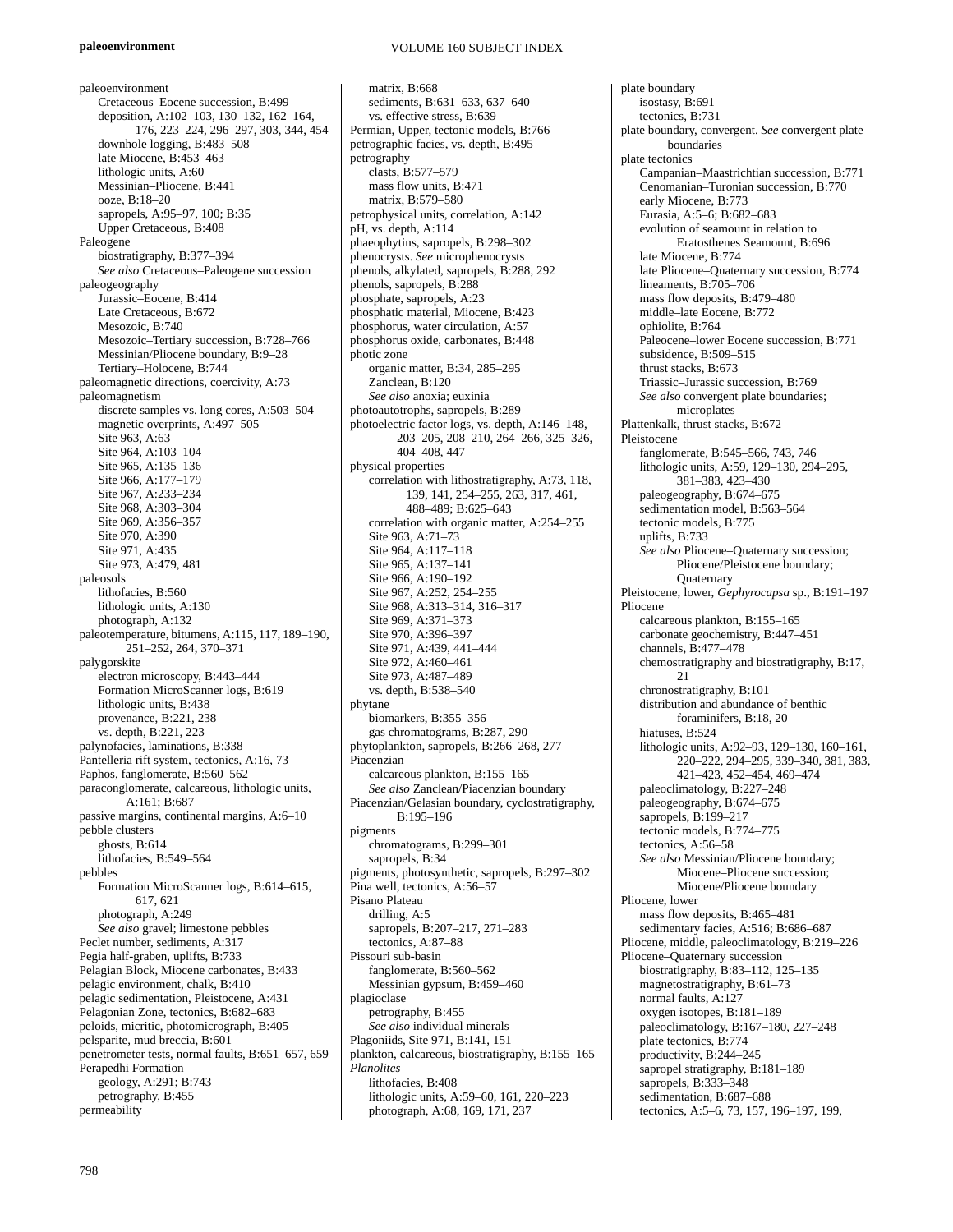#### **paleoenvironment**

paleoenvironment Cretaceous–Eocene succession, B:499 deposition, A:102–103, 130–132, 162–164, 176, 223–224, 296–297, 303, 344, 454 downhole logging, B:483–508 late Miocene, B:453–463 lithologic units, A:60 Messinian–Pliocene, B:441 ooze, B:18–20 sapropels, A:95–97, 100; B:35 Upper Cretaceous, B:408 Paleogene biostratigraphy, B:377–394 *See also* Cretaceous–Paleogene succession paleogeography Jurassic–Eocene, B:414 Late Cretaceous, B:672 Mesozoic, B:740 Mesozoic–Tertiary succession, B:728–766 Messinian/Pliocene boundary, B:9–28 Tertiary–Holocene, B:744 paleomagnetic directions, coercivity, A:73 paleomagnetism discrete samples vs. long cores, A:503–504 magnetic overprints, A:497–505 Site 963, A:63 Site 964, A:103–104 Site 965, A:135–136 Site 966, A:177–179 Site 967, A:233–234 Site 968, A:303–304 Site 969, A:356–357 Site 970, A:390 Site 971, A:435 Site 973, A:479, 481 paleosols lithofacies, B:560 lithologic units, A:130 photograph, A:132 paleotemperature, bitumens, A:115, 117, 189–190, 251–252, 264, 370–371 palygorskite electron microscopy, B:443–444 Formation MicroScanner logs, B:619 lithologic units, B:438 provenance, B:221, 238 vs. depth, B:221, 223 palynofacies, laminations, B:338 Pantelleria rift system, tectonics, A:16, 73 Paphos, fanglomerate, B:560–562 paraconglomerate, calcareous, lithologic units, A:161; B:687 passive margins, continental margins, A:6–10 pebble clusters ghosts, B:614 lithofacies, B:549–564 pebbles Formation MicroScanner logs, B:614–615, 617, 621 photograph, A:249 *See also* gravel; limestone pebbles Peclet number, sediments, A:317 Pegia half-graben, uplifts, B:733 Pelagian Block, Miocene carbonates, B:433 pelagic environment, chalk, B:410 pelagic sedimentation, Pleistocene, A:431 Pelagonian Zone, tectonics, B:682–683 peloids, micritic, photomicrograph, B:405 pelsparite, mud breccia, B:601 penetrometer tests, normal faults, B:651–657, 659 Perapedhi Formation geology, A:291; B:743 petrography, B:455 permeability

matrix, B:668 sediments, B:631–633, 637–640 vs. effective stress, B:639 Permian, Upper, tectonic models, B:766 petrographic facies, vs. depth, B:495 petrography clasts, B:577–579 mass flow units, B:471 matrix, B:579–580 petrophysical units, correlation, A:142 pH, vs. depth, A:114 phaeophytins, sapropels, B:298–302 phenocrysts. *See* microphenocrysts phenols, alkylated, sapropels, B:288, 292 phenols, sapropels, B:288 phosphate, sapropels, A:23 phosphatic material, Miocene, B:423 phosphorus, water circulation, A:57 phosphorus oxide, carbonates, B:448 photic zone organic matter, B:34, 285–295 Zanclean, B:120 *See also* anoxia; euxinia photoautotrophs, sapropels, B:289 photoelectric factor logs, vs. depth, A:146–148, 203–205, 208–210, 264–266, 325–326, 404–408, 447 physical properties correlation with lithostratigraphy, A:73, 118, 139, 141, 254–255, 263, 317, 461, 488–489; B:625–643 correlation with organic matter, A:254–255 Site 963, A:71–73 Site 964, A:117–118 Site 965, A:137–141 Site 966, A:190–192 Site 967, A:252, 254–255 Site 968, A:313–314, 316–317 Site 969, A:371–373 Site 970, A:396–397 Site 971, A:439, 441–444 Site 972, A:460–461 Site 973, A:487–489 vs. depth, B:538–540 phytane biomarkers, B:355–356 gas chromatograms, B:287, 290 phytoplankton, sapropels, B:266–268, 277 Piacenzian calcareous plankton, B:155–165 *See also* Zanclean/Piacenzian boundary Piacenzian/Gelasian boundary, cyclostratigraphy, B:195–196 pigments chromatograms, B:299–301 sapropels, B:34 pigments, photosynthetic, sapropels, B:297–302 Pina well, tectonics, A:56–57 Pisano Plateau drilling, A:5 sapropels, B:207–217, 271–283 tectonics, A:87–88 Pissouri sub-basin fanglomerate, B:560–562 Messinian gypsum, B:459–460 plagioclase petrography, B:455 *See also* individual minerals Plagoniids*,* Site 971, B:141, 151 plankton, calcareous, biostratigraphy, B:155–165 *Planolites* lithofacies, B:408 lithologic units, A:59–60, 161, 220–223 photograph, A:68, 169, 171, 237

plate boundary isostasy, B:691 tectonics, B:731 plate boundary, convergent. *See* convergent plate boundaries plate tectonics Campanian–Maastrichtian succession, B:771 Cenomanian–Turonian succession, B:770 early Miocene, B:773 Eurasia, A:5–6; B:682–683 evolution of seamount in relation to Eratosthenes Seamount, B:696 late Miocene, B:774 late Pliocene–Quaternary succession, B:774 lineaments, B:705–706 mass flow deposits, B:479–480 middle–late Eocene, B:772 ophiolite, B:764 Paleocene–lower Eocene succession, B:771 subsidence, B:509–515 thrust stacks, B:673 Triassic–Jurassic succession, B:769 *See also* convergent plate boundaries; microplates Plattenkalk, thrust stacks, B:672 Pleistocene fanglomerate, B:545–566, 743, 746 lithologic units, A:59, 129–130, 294–295, 381–383, 423–430 paleogeography, B:674–675 sedimentation model, B:563–564 tectonic models, B:775 uplifts, B:733 *See also* Pliocene–Quaternary succession; Pliocene/Pleistocene boundary; **Ouaternary** Pleistocene, lower, *Gephyrocapsa* sp., B:191–197 Pliocene calcareous plankton, B:155–165 carbonate geochemistry, B:447–451 channels, B:477–478 chemostratigraphy and biostratigraphy, B:17, 21 chronostratigraphy, B:101 distribution and abundance of benthic foraminifers, B:18, 20 hiatuses, B:524 lithologic units, A:92–93, 129–130, 160–161, 220–222, 294–295, 339–340, 381, 383, 421–423, 452–454, 469–474 paleoclimatology, B:227–248 paleogeography, B:674–675 sapropels, B:199–217 tectonic models, B:774–775 tectonics, A:56–58 *See also* Messinian/Pliocene boundary; Miocene–Pliocene succession; Miocene/Pliocene boundary Pliocene, lower mass flow deposits, B:465–481 sedimentary facies, A:516; B:686–687 Pliocene, middle, paleoclimatology, B:219–226 Pliocene–Quaternary succession biostratigraphy, B:83–112, 125–135 magnetostratigraphy, B:61–73 normal faults, A:127 oxygen isotopes, B:181–189 paleoclimatology, B:167–180, 227–248 plate tectonics, B:774 productivity, B:244–245 sapropel stratigraphy, B:181–189 sapropels, B:333–348 sedimentation, B:687–688 tectonics, A:5–6, 73, 157, 196–197, 199,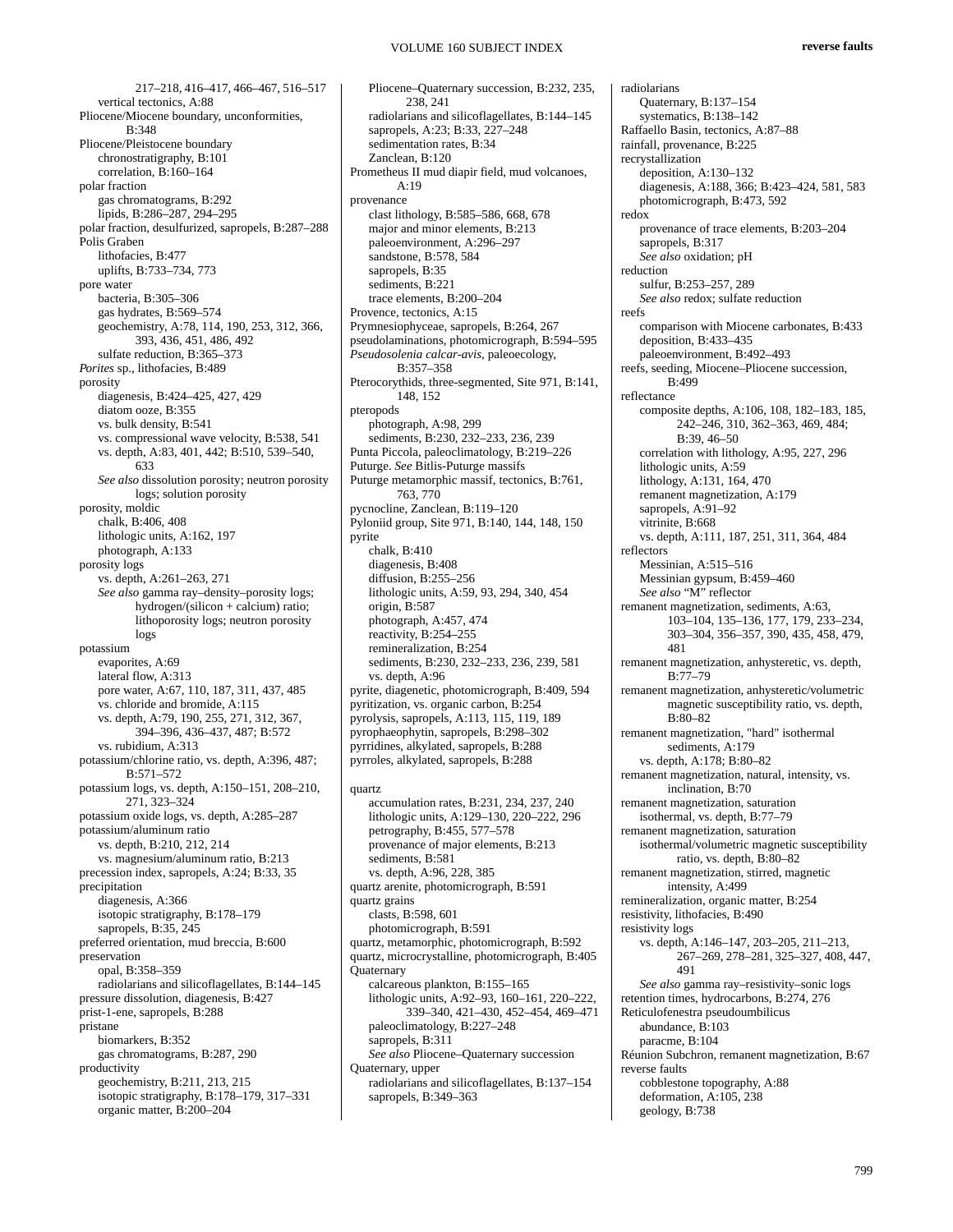217–218, 416–417, 466–467, 516–517 vertical tectonics, A:88 Pliocene/Miocene boundary, unconformities, B:348 Pliocene/Pleistocene boundary chronostratigraphy, B:101 correlation, B:160–164 polar fraction gas chromatograms, B:292 lipids, B:286–287, 294–295 polar fraction, desulfurized, sapropels, B:287–288 Polis Graben lithofacies, B:477 uplifts, B:733–734, 773 pore water bacteria, B:305–306 gas hydrates, B:569–574 geochemistry, A:78, 114, 190, 253, 312, 366, 393, 436, 451, 486, 492 sulfate reduction, B:365–373 *Porites* sp., lithofacies, B:489 porosity diagenesis, B:424–425, 427, 429 diatom ooze, B:355 vs. bulk density, B:541 vs. compressional wave velocity, B:538, 541 vs. depth, A:83, 401, 442; B:510, 539–540, 633 *See also* dissolution porosity; neutron porosity logs; solution porosity porosity, moldic chalk, B:406, 408 lithologic units, A:162, 197 photograph, A:133 porosity logs vs. depth, A:261–263, 271 *See also* gamma ray–density–porosity logs; hydrogen/(silicon + calcium) ratio; lithoporosity logs; neutron porosity logs potassium evaporites, A:69 lateral flow, A:313 pore water, A:67, 110, 187, 311, 437, 485 vs. chloride and bromide, A:115 vs. depth, A:79, 190, 255, 271, 312, 367, 394–396, 436–437, 487; B:572 vs. rubidium, A:313 potassium/chlorine ratio, vs. depth, A:396, 487; B:571–572 potassium logs, vs. depth, A:150–151, 208–210, 271, 323–324 potassium oxide logs, vs. depth, A:285–287 potassium/aluminum ratio vs. depth, B:210, 212, 214 vs. magnesium/aluminum ratio, B:213 precession index, sapropels, A:24; B:33, 35 precipitation diagenesis, A:366 isotopic stratigraphy, B:178–179 sapropels, B:35, 245 preferred orientation, mud breccia, B:600 preservation opal, B:358–359 radiolarians and silicoflagellates, B:144–145 pressure dissolution, diagenesis, B:427 prist-1-ene, sapropels, B:288 pristane biomarkers, B:352 gas chromatograms, B:287, 290 productivity geochemistry, B:211, 213, 215 isotopic stratigraphy, B:178–179, 317–331 organic matter, B:200–204

Pliocene–Quaternary succession, B:232, 235, 238, 241 radiolarians and silicoflagellates, B:144–145 sapropels, A:23; B:33, 227–248 sedimentation rates, B:34 Zanclean, B:120 Prometheus II mud diapir field, mud volcanoes,  $A.19$ provenance clast lithology, B:585–586, 668, 678 major and minor elements, B:213 paleoenvironment, A:296–297 sandstone, B:578, 584 sapropels, B:35 sediments, B:221 trace elements, B:200–204 Provence, tectonics, A:15 Prymnesiophyceae, sapropels, B:264, 267 pseudolaminations, photomicrograph, B:594–595 *Pseudosolenia calcar-avis*, paleoecology, B:357–358 Pterocorythids, three-segmented, Site 971, B:141, 148, 152 pteropods photograph, A:98, 299 sediments, B:230, 232–233, 236, 239 Punta Piccola, paleoclimatology, B:219–226 Puturge. *See* Bitlis-Puturge massifs Puturge metamorphic massif, tectonics, B:761, 763, 770 pycnocline, Zanclean, B:119–120 Pyloniid group, Site 971, B:140, 144, 148, 150 pyrite chalk, B:410 diagenesis, B:408 diffusion, B:255–256 lithologic units, A:59, 93, 294, 340, 454 origin, B:587 photograph, A:457, 474 reactivity, B:254–255 remineralization, B:254 sediments, B:230, 232–233, 236, 239, 581 vs. depth, A:96 pyrite, diagenetic, photomicrograph, B:409, 594 pyritization, vs. organic carbon, B:254 pyrolysis, sapropels, A:113, 115, 119, 189 pyrophaeophytin, sapropels, B:298–302 pyrridines, alkylated, sapropels, B:288 pyrroles, alkylated, sapropels, B:288 quartz accumulation rates, B:231, 234, 237, 240 lithologic units, A:129–130, 220–222, 296 petrography, B:455, 577–578 provenance of major elements, B:213 sediments, B:581 vs. depth, A:96, 228, 385 quartz arenite, photomicrograph, B:591

quartz grains clasts, B:598, 601 photomicrograph, B:591 quartz, metamorphic, photomicrograph, B:592 quartz, microcrystalline, photomicrograph, B:405 **Ouaternary** calcareous plankton, B:155–165 lithologic units, A:92–93, 160–161, 220–222, 339–340, 421–430, 452–454, 469–471 paleoclimatology, B:227–248 sapropels, B:311 *See also* Pliocene–Quaternary succession Quaternary, upper

radiolarians and silicoflagellates, B:137–154 sapropels, B:349-363

radiolarians Quaternary, B:137–154 systematics, B:138–142 Raffaello Basin, tectonics, A:87–88 rainfall, provenance, B:225 recrystallization deposition, A:130–132 diagenesis, A:188, 366; B:423–424, 581, 583 photomicrograph, B:473, 592 redox provenance of trace elements, B:203–204 sapropels, B:317 *See also* oxidation; pH reduction sulfur, B:253–257, 289 *See also* redox; sulfate reduction reefs comparison with Miocene carbonates, B:433 deposition, B:433–435 paleoenvironment, B:492–493 reefs, seeding, Miocene–Pliocene succession,  $R.\overline{499}$ reflectance composite depths, A:106, 108, 182–183, 185, 242–246, 310, 362–363, 469, 484; B:39, 46–50 correlation with lithology, A:95, 227, 296 lithologic units, A:59 lithology, A:131, 164, 470 remanent magnetization, A:179 sapropels, A:91-92 vitrinite, B:668 vs. depth, A:111, 187, 251, 311, 364, 484 reflectors Messinian, A:515–516 Messinian gypsum, B:459–460 *See also* "M" reflector remanent magnetization, sediments, A:63, 103–104, 135–136, 177, 179, 233–234, 303–304, 356–357, 390, 435, 458, 479, 481 remanent magnetization, anhysteretic, vs. depth, B:77–79 remanent magnetization, anhysteretic/volumetric magnetic susceptibility ratio, vs. depth, B:80–82 remanent magnetization, "hard" isothermal sediments, A:179 vs. depth, A:178; B:80–82 remanent magnetization, natural, intensity, vs. inclination, B:70 remanent magnetization, saturation isothermal, vs. depth, B:77–79 remanent magnetization, saturation isothermal/volumetric magnetic susceptibility ratio, vs. depth, B:80–82 remanent magnetization, stirred, magnetic intensity, A:499 remineralization, organic matter, B:254 resistivity, lithofacies, B:490 resistivity logs vs. depth, A:146–147, 203–205, 211–213, 267–269, 278–281, 325–327, 408, 447, 491 *See also* gamma ray–resistivity–sonic logs retention times, hydrocarbons, B:274, 276 Reticulofenestra pseudoumbilicus abundance, B:103 paracme, B:104 Réunion Subchron, remanent magnetization, B:67 reverse faults cobblestone topography, A:88 deformation, A:105, 238 geology, B:738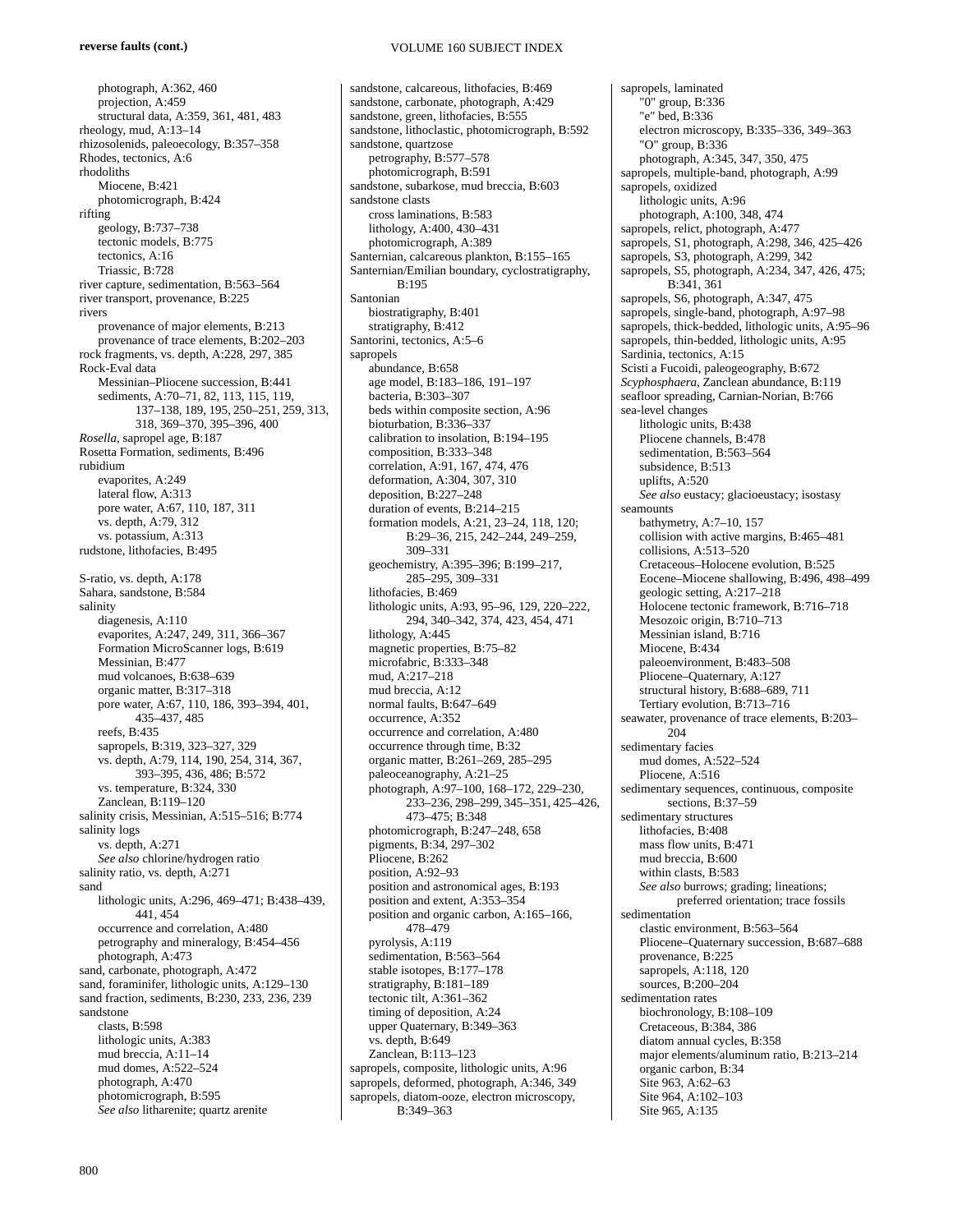photograph, A:362, 460 projection, A:459 structural data, A:359, 361, 481, 483 rheology, mud, A:13–14 rhizosolenids, paleoecology, B:357–358 Rhodes, tectonics, A:6 rhodoliths Miocene, B:421 photomicrograph, B:424 rifting geology, B:737–738 tectonic models, B:775 tectonics, A:16 Triassic, B:728 river capture, sedimentation, B:563–564 river transport, provenance, B:225 rivers provenance of major elements, B:213 provenance of trace elements, B:202–203 rock fragments, vs. depth, A:228, 297, 385 Rock-Eval data Messinian–Pliocene succession, B:441 sediments, A:70–71, 82, 113, 115, 119, 137–138, 189, 195, 250–251, 259, 313, 318, 369–370, 395–396, 400 *Rosella*, sapropel age, B:187 Rosetta Formation, sediments, B:496 rubidium evaporites, A:249 lateral flow, A:313 pore water, A:67, 110, 187, 311 vs. depth, A:79, 312 vs. potassium, A:313 rudstone, lithofacies, B:495 S-ratio, vs. depth, A:178 Sahara, sandstone, B:584 salinity diagenesis, A:110 evaporites, A:247, 249, 311, 366–367 Formation MicroScanner logs, B:619 Messinian, B:477 mud volcanoes, B:638–639 organic matter, B:317–318 pore water, A:67, 110, 186, 393–394, 401, 435–437, 485 reefs, B:435 sapropels, B:319, 323–327, 329 vs. depth, A:79, 114, 190, 254, 314, 367, 393–395, 436, 486; B:572 vs. temperature, B:324, 330 Zanclean, B:119–120 salinity crisis, Messinian, A:515–516; B:774 salinity logs vs. depth, A:271 *See also* chlorine/hydrogen ratio salinity ratio, vs. depth, A:271 sand lithologic units, A:296, 469–471; B:438–439, 441, 454 occurrence and correlation, A:480 petrography and mineralogy, B:454–456 photograph, A:473 sand, carbonate, photograph, A:472 sand, foraminifer, lithologic units, A:129–130 sand fraction, sediments, B:230, 233, 236, 239 sandstone clasts, B:598 lithologic units, A:383 mud breccia, A:11–14 mud domes, A:522–524 photograph, A:470 photomicrograph, B:595 *See also* litharenite; quartz arenite

sandstone, calcareous, lithofacies, B:469 sandstone, carbonate, photograph, A:429 sandstone, green, lithofacies, B:555 sandstone, lithoclastic, photomicrograph, B:592 sandstone, quartzose petrography, B:577–578 photomicrograph, B:591 sandstone, subarkose, mud breccia, B:603 sandstone clasts cross laminations, B:583 lithology, A:400, 430–431 photomicrograph, A:389 Santernian, calcareous plankton, B:155–165 Santernian/Emilian boundary, cyclostratigraphy, B:195 Santonian biostratigraphy, B:401 stratigraphy, B:412 Santorini, tectonics, A:5–6 sapropels abundance, B:658 age model, B:183–186, 191–197 bacteria, B:303–307 beds within composite section, A:96 bioturbation, B:336–337 calibration to insolation, B:194–195 composition, B:333–348 correlation, A:91, 167, 474, 476 deformation, A:304, 307, 310 deposition, B:227–248 duration of events, B:214–215 formation models, A:21, 23–24, 118, 120; B:29–36, 215, 242–244, 249–259, 309–331 geochemistry, A:395–396; B:199–217, 285–295, 309–331 lithofacies, B:469 lithologic units, A:93, 95–96, 129, 220–222, 294, 340–342, 374, 423, 454, 471 lithology, A:445 magnetic properties, B:75–82 microfabric, B:333–348 mud, A:217–218 mud breccia, A:12 normal faults, B:647–649 occurrence, A:352 occurrence and correlation, A:480 occurrence through time, B:32 organic matter, B:261–269, 285–295 paleoceanography, A:21–25 photograph, A:97–100, 168–172, 229–230, 233–236, 298–299, 345–351, 425–426, 473–475; B:348 photomicrograph, B:247–248, 658 pigments, B:34, 297–302 Pliocene, B:262 position, A:92–93 position and astronomical ages, B:193 position and extent, A:353–354 position and organic carbon, A:165–166, 478–479 pyrolysis, A:119 sedimentation, B:563–564 stable isotopes, B:177–178 stratigraphy, B:181–189 tectonic tilt, A:361–362 timing of deposition, A:24 upper Quaternary, B:349–363 vs. depth, B:649 Zanclean, B:113–123 sapropels, composite, lithologic units, A:96 sapropels, deformed, photograph, A:346, 349 sapropels, diatom-ooze, electron microscopy, B:349–363

sapropels, laminated "0" group, B:336 "e" bed, B:336 electron microscopy, B:335–336, 349–363 "O" group, B:336 photograph, A:345, 347, 350, 475 sapropels, multiple-band, photograph, A:99 sapropels, oxidized lithologic units, A:96 photograph, A:100, 348, 474 sapropels, relict, photograph, A:477 sapropels, S1, photograph, A:298, 346, 425–426 sapropels, S3, photograph, A:299, 342 sapropels, S5, photograph, A:234, 347, 426, 475; B:341, 361 sapropels, S6, photograph, A:347, 475 sapropels, single-band, photograph, A:97–98 sapropels, thick-bedded, lithologic units, A:95–96 sapropels, thin-bedded, lithologic units, A:95 Sardinia, tectonics, A:15 Scisti a Fucoidi, paleogeography, B:672 *Scyphosphaera*, Zanclean abundance, B:119 seafloor spreading, Carnian-Norian, B:766 sea-level changes lithologic units, B:438 Pliocene channels, B:478 sedimentation, B:563–564 subsidence, B:513 uplifts, A:520 *See also* eustacy; glacioeustacy; isostasy seamounts bathymetry, A:7–10, 157 collision with active margins, B:465–481 collisions, A:513–520 Cretaceous–Holocene evolution, B:525 Eocene–Miocene shallowing, B:496, 498–499 geologic setting, A:217–218 Holocene tectonic framework, B:716–718 Mesozoic origin, B:710–713 Messinian island, B:716 Miocene, B:434 paleoenvironment, B:483–508 Pliocene–Quaternary, A:127 structural history, B:688–689, 711 Tertiary evolution, B:713–716 seawater, provenance of trace elements, B:203– 204 sedimentary facies mud domes, A:522–524 Pliocene, A:516 sedimentary sequences, continuous, composite sections, B:37–59 sedimentary structures lithofacies, B:408 mass flow units, B:471 mud breccia, B:600 within clasts, B:583 *See also* burrows; grading; lineations; preferred orientation; trace fossils sedimentation clastic environment, B:563–564 Pliocene–Quaternary succession, B:687–688 provenance, B:225 sapropels, A:118, 120 sources, B:200–204 sedimentation rates biochronology, B:108–109 Cretaceous, B:384, 386 diatom annual cycles, B:358 major elements/aluminum ratio, B:213–214 organic carbon, B:34 Site 963, A:62–63 Site 964, A:102–103 Site 965, A:135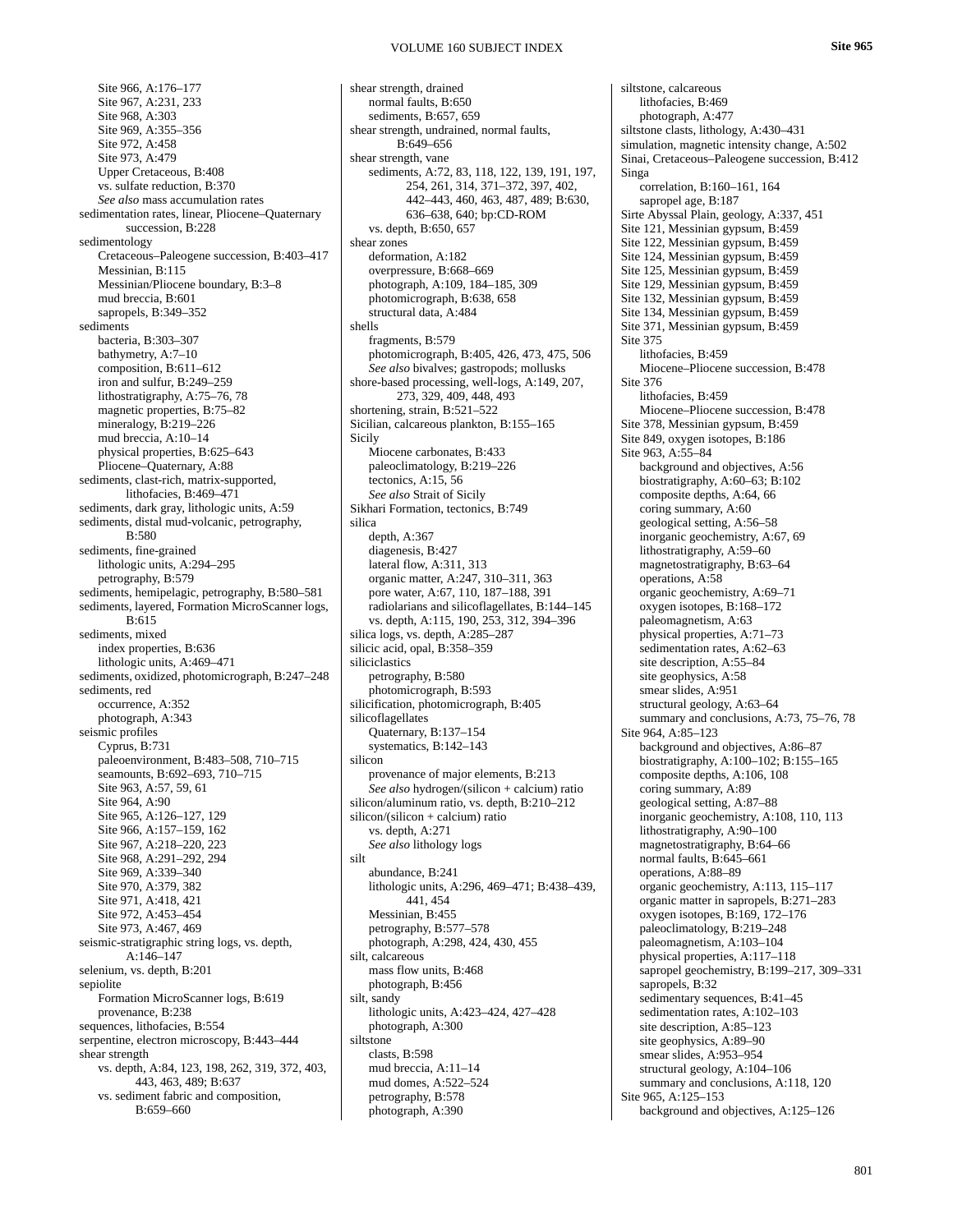Site 966, A:176–177 Site 967, A:231, 233 Site 968, A:303 Site 969, A:355–356 Site 972, A:458 Site 973, A:479 Upper Cretaceous, B:408 vs. sulfate reduction, B:370 *See also* mass accumulation rates sedimentation rates, linear, Pliocene–Quaternary succession, B:228 sedimentology Cretaceous–Paleogene succession, B:403–417 Messinian, B:115 Messinian/Pliocene boundary, B:3–8 mud breccia, B:601 sapropels, B:349–352 sediments bacteria, B:303–307 bathymetry, A:7–10 composition, B:611–612 iron and sulfur, B:249–259 lithostratigraphy, A:75–76, 78 magnetic properties, B:75–82 mineralogy, B:219–226 mud breccia, A:10–14 physical properties, B:625–643 Pliocene–Quaternary, A:88 sediments, clast-rich, matrix-supported, lithofacies, B:469–471 sediments, dark gray, lithologic units, A:59 sediments, distal mud-volcanic, petrography, B:580 sediments, fine-grained lithologic units, A:294–295 petrography, B:579 sediments, hemipelagic, petrography, B:580–581 sediments, layered, Formation MicroScanner logs, B:615 sediments, mixed index properties, B:636 lithologic units, A:469–471 sediments, oxidized, photomicrograph, B:247–248 sediments, red occurrence, A:352 photograph, A:343 seismic profiles Cyprus, B:731 paleoenvironment, B:483–508, 710–715 seamounts, B:692–693, 710–715 Site 963, A:57, 59, 61 Site 964, A:90 Site 965, A:126–127, 129 Site 966, A:157–159, 162 Site 967, A:218–220, 223 Site 968, A:291–292, 294 Site 969, A:339–340 Site 970, A:379, 382 Site 971, A:418, 421 Site 972, A:453–454 Site 973, A:467, 469 seismic-stratigraphic string logs, vs. depth, A:146–147 selenium, vs. depth, B:201 sepiolite Formation MicroScanner logs, B:619 provenance, B:238 sequences, lithofacies, B:554 serpentine, electron microscopy, B:443–444 shear strength vs. depth, A:84, 123, 198, 262, 319, 372, 403, 443, 463, 489; B:637 vs. sediment fabric and composition, B:659–660

shear strength, drained normal faults, B:650 sediments, B:657, 659 shear strength, undrained, normal faults, B:649–656 shear strength, vane sediments, A:72, 83, 118, 122, 139, 191, 197, 254, 261, 314, 371–372, 397, 402, 442–443, 460, 463, 487, 489; B:630, 636–638, 640; bp:CD-ROM vs. depth, B:650, 657 shear zones deformation, A:182 overpressure, B:668–669 photograph, A:109, 184–185, 309 photomicrograph, B:638, 658 structural data, A:484 shells fragments, B:579 photomicrograph, B:405, 426, 473, 475, 506 *See also* bivalves; gastropods; mollusks shore-based processing, well-logs, A:149, 207, 273, 329, 409, 448, 493 shortening, strain, B:521–522 Sicilian, calcareous plankton, B:155–165 Sicily Miocene carbonates, B:433 paleoclimatology, B:219–226 tectonics, A:15, 56 *See also* Strait of Sicily Sikhari Formation, tectonics, B:749 silica depth, A:367 diagenesis, B:427 lateral flow, A:311, 313 organic matter, A:247, 310–311, 363 pore water, A:67, 110, 187–188, 391 radiolarians and silicoflagellates, B:144–145 vs. depth, A:115, 190, 253, 312, 394–396 silica logs, vs. depth, A:285–287 silicic acid, opal, B:358–359 siliciclastics petrography, B:580 photomicrograph, B:593 silicification, photomicrograph, B:405 silicoflagellates Quaternary, B:137–154 systematics, B:142–143 silicon provenance of major elements, B:213 *See also* hydrogen/(silicon + calcium) ratio silicon/aluminum ratio, vs. depth, B:210–212 silicon/(silicon + calcium) ratio vs. depth, A:271 *See also* lithology logs silt abundance, B:241 lithologic units, A:296, 469–471; B:438–439, 441, 454 Messinian, B:455 petrography, B:577–578 photograph, A:298, 424, 430, 455 silt, calcareous mass flow units, B:468 photograph, B:456 silt, sandy lithologic units, A:423–424, 427–428 photograph, A:300 siltstone clasts, B:598 mud breccia, A:11–14 mud domes, A:522–524 petrography, B:578 photograph, A:390

siltstone, calcareous lithofacies, B:469 photograph, A:477 siltstone clasts, lithology, A:430–431 simulation, magnetic intensity change, A:502 Sinai, Cretaceous–Paleogene succession, B:412 Singa correlation, B:160–161, 164 sapropel age, B:187 Sirte Abyssal Plain, geology, A:337, 451 Site 121, Messinian gypsum, B:459 Site 122, Messinian gypsum, B:459 Site 124, Messinian gypsum, B:459 Site 125, Messinian gypsum, B:459 Site 129, Messinian gypsum, B:459 Site 132, Messinian gypsum, B:459 Site 134, Messinian gypsum, B:459 Site 371, Messinian gypsum, B:459 Site 375 lithofacies, B:459 Miocene–Pliocene succession, B:478 Site 376 lithofacies, B:459 Miocene–Pliocene succession, B:478 Site 378, Messinian gypsum, B:459 Site 849, oxygen isotopes, B:186 Site 963, A:55–84 background and objectives, A:56 biostratigraphy, A:60–63; B:102 composite depths, A:64, 66 coring summary, A:60 geological setting, A:56–58 inorganic geochemistry, A:67, 69 lithostratigraphy, A:59–60 magnetostratigraphy, B:63–64 operations, A:58 organic geochemistry, A:69–71 oxygen isotopes, B:168–172 paleomagnetism, A:63 physical properties, A:71–73 sedimentation rates, A:62–63 site description, A:55–84 site geophysics, A:58 smear slides, A:951 structural geology, A:63–64 summary and conclusions, A:73, 75–76, 78 Site 964, A:85–123 background and objectives, A:86–87 biostratigraphy, A:100–102; B:155–165 composite depths, A:106, 108 coring summary, A:89 geological setting, A:87–88 inorganic geochemistry, A:108, 110, 113 lithostratigraphy, A:90–100 magnetostratigraphy, B:64–66 normal faults, B:645–661 operations, A:88–89 organic geochemistry, A:113, 115–117 organic matter in sapropels, B:271–283 oxygen isotopes, B:169, 172–176 paleoclimatology, B:219–248 paleomagnetism, A:103–104 physical properties, A:117–118 sapropel geochemistry, B:199–217, 309–331 sapropels, B:32 sedimentary sequences, B:41–45 sedimentation rates, A:102–103 site description, A:85–123 site geophysics, A:89–90 smear slides, A:953–954 structural geology, A:104–106 summary and conclusions, A:118, 120 Site 965, A:125–153 background and objectives, A:125–126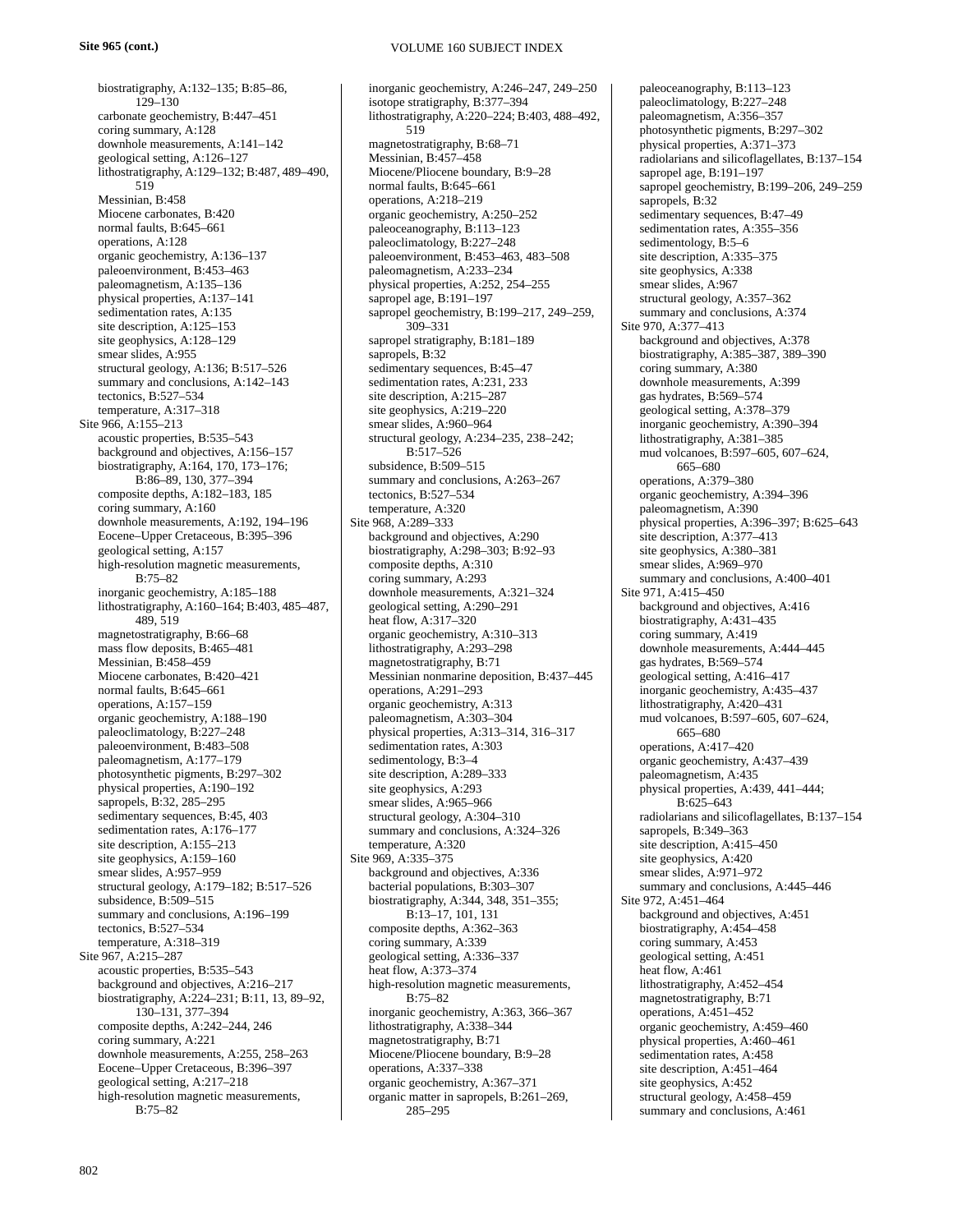biostratigraphy, A:132–135; B:85–86, 129–130 carbonate geochemistry, B:447–451 coring summary, A:128 downhole measurements, A:141–142 geological setting, A:126–127 lithostratigraphy, A:129–132; B:487, 489–490, 519 Messinian, B:458 Miocene carbonates, B:420 normal faults, B:645–661 operations, A:128 organic geochemistry, A:136–137 paleoenvironment, B:453–463 paleomagnetism, A:135–136 physical properties, A:137–141 sedimentation rates, A:135 site description, A:125–153 site geophysics, A:128–129 smear slides, A:955 structural geology, A:136; B:517–526 summary and conclusions, A:142–143 tectonics, B:527–534 temperature, A:317–318 Site 966, A:155–213 acoustic properties, B:535–543 background and objectives, A:156–157 biostratigraphy, A:164, 170, 173–176; B:86–89, 130, 377–394 composite depths, A:182–183, 185 coring summary, A:160 downhole measurements, A:192, 194–196 Eocene–Upper Cretaceous, B:395–396 geological setting, A:157 high-resolution magnetic measurements, B:75–82 inorganic geochemistry, A:185–188 lithostratigraphy, A:160–164; B:403, 485–487, 489, 519 magnetostratigraphy, B:66–68 mass flow deposits, B:465–481 Messinian, B:458–459 Miocene carbonates, B:420–421 normal faults, B:645–661 operations, A:157–159 organic geochemistry, A:188–190 paleoclimatology, B:227–248 paleoenvironment, B:483–508 paleomagnetism, A:177–179 photosynthetic pigments, B:297–302 physical properties, A:190–192 sapropels, B:32, 285–295 sedimentary sequences, B:45, 403 sedimentation rates, A:176–177 site description, A:155–213 site geophysics, A:159–160 smear slides, A:957–959 structural geology, A:179–182; B:517–526 subsidence, B:509-515 summary and conclusions, A:196–199 tectonics, B:527–534 temperature, A:318–319 Site 967, A:215–287 acoustic properties, B:535–543 background and objectives, A:216–217 biostratigraphy, A:224–231; B:11, 13, 89–92, 130–131, 377–394 composite depths, A:242–244, 246 coring summary, A:221 downhole measurements, A:255, 258–263 Eocene–Upper Cretaceous, B:396–397 geological setting, A:217–218 high-resolution magnetic measurements,  $B.75-82$ 

inorganic geochemistry, A:246–247, 249–250 isotope stratigraphy, B:377–394 lithostratigraphy, A:220–224; B:403, 488–492, 519 magnetostratigraphy, B:68–71 Messinian, B:457–458 Miocene/Pliocene boundary, B:9–28 normal faults, B:645–661 operations, A:218–219 organic geochemistry, A:250–252 paleoceanography, B:113–123 paleoclimatology, B:227–248 paleoenvironment, B:453–463, 483–508 paleomagnetism, A:233–234 physical properties, A:252, 254–255 sapropel age, B:191–197 sapropel geochemistry, B:199–217, 249–259, 309–331 sapropel stratigraphy, B:181–189 sapropels, B:32 sedimentary sequences, B:45–47 sedimentation rates, A:231, 233 site description, A:215–287 site geophysics, A:219–220 smear slides, A:960–964 structural geology, A:234–235, 238–242; B:517–526 subsidence, B:509–515 summary and conclusions, A:263–267 tectonics, B:527–534 temperature, A:320 Site 968, A:289–333 background and objectives, A:290 biostratigraphy, A:298–303; B:92–93 composite depths, A:310 coring summary, A:293 downhole measurements, A:321–324 geological setting, A:290–291 heat flow, A:317–320 organic geochemistry, A:310–313 lithostratigraphy, A:293–298 magnetostratigraphy, B:71 Messinian nonmarine deposition, B:437–445 operations, A:291–293 organic geochemistry, A:313 paleomagnetism, A:303–304 physical properties, A:313–314, 316–317 sedimentation rates, A:303 sedimentology, B:3–4 site description, A:289–333 site geophysics, A:293 smear slides, A:965–966 structural geology, A:304–310 summary and conclusions, A:324–326 temperature, A:320 Site 969, A:335–375 background and objectives, A:336 bacterial populations, B:303–307 biostratigraphy, A:344, 348, 351–355; B:13–17, 101, 131 composite depths, A:362–363 coring summary, A:339 geological setting, A:336–337 heat flow, A:373–374 high-resolution magnetic measurements, B:75–82 inorganic geochemistry, A:363, 366–367 lithostratigraphy, A:338–344 magnetostratigraphy, B:71 Miocene/Pliocene boundary, B:9–28 operations, A:337–338 organic geochemistry, A:367–371 organic matter in sapropels, B:261–269, 285–295

paleoceanography, B:113–123 paleoclimatology, B:227–248 paleomagnetism, A:356–357 photosynthetic pigments, B:297–302 physical properties, A:371–373 radiolarians and silicoflagellates, B:137–154 sapropel age, B:191–197 sapropel geochemistry, B:199–206, 249–259 sapropels, B:32 sedimentary sequences, B:47–49 sedimentation rates, A:355–356 sedimentology, B:5–6 site description, A:335–375 site geophysics, A:338 smear slides, A:967 structural geology, A:357–362 summary and conclusions, A:374 Site 970, A:377–413 background and objectives, A:378 biostratigraphy, A:385–387, 389–390 coring summary, A:380 downhole measurements, A:399 gas hydrates, B:569–574 geological setting, A:378–379 inorganic geochemistry, A:390–394 lithostratigraphy, A:381–385 mud volcanoes, B:597–605, 607–624, 665–680 operations, A:379–380 organic geochemistry, A:394–396 paleomagnetism, A:390 physical properties, A:396–397; B:625–643 site description, A:377–413 site geophysics, A:380–381 smear slides, A:969–970 summary and conclusions, A:400–401 Site 971, A:415–450 background and objectives, A:416 biostratigraphy, A:431–435 coring summary, A:419 downhole measurements, A:444–445 gas hydrates, B:569–574 geological setting, A:416–417 inorganic geochemistry, A:435–437 lithostratigraphy, A:420–431 mud volcanoes, B:597–605, 607–624, 665–680 operations, A:417–420 organic geochemistry, A:437–439 paleomagnetism, A:435 physical properties, A:439, 441–444; B:625–643 radiolarians and silicoflagellates, B:137–154 sapropels, B:349–363 site description, A:415–450 site geophysics, A:420 smear slides, A:971–972 summary and conclusions, A:445–446 Site 972, A:451–464 background and objectives, A:451 biostratigraphy, A:454–458 coring summary, A:453 geological setting, A:451 heat flow, A:461 lithostratigraphy, A:452–454 magnetostratigraphy, B:71 operations, A:451–452 organic geochemistry, A:459–460 physical properties, A:460–461 sedimentation rates, A:458 site description, A:451–464 site geophysics, A:452 structural geology, A:458–459 summary and conclusions, A:461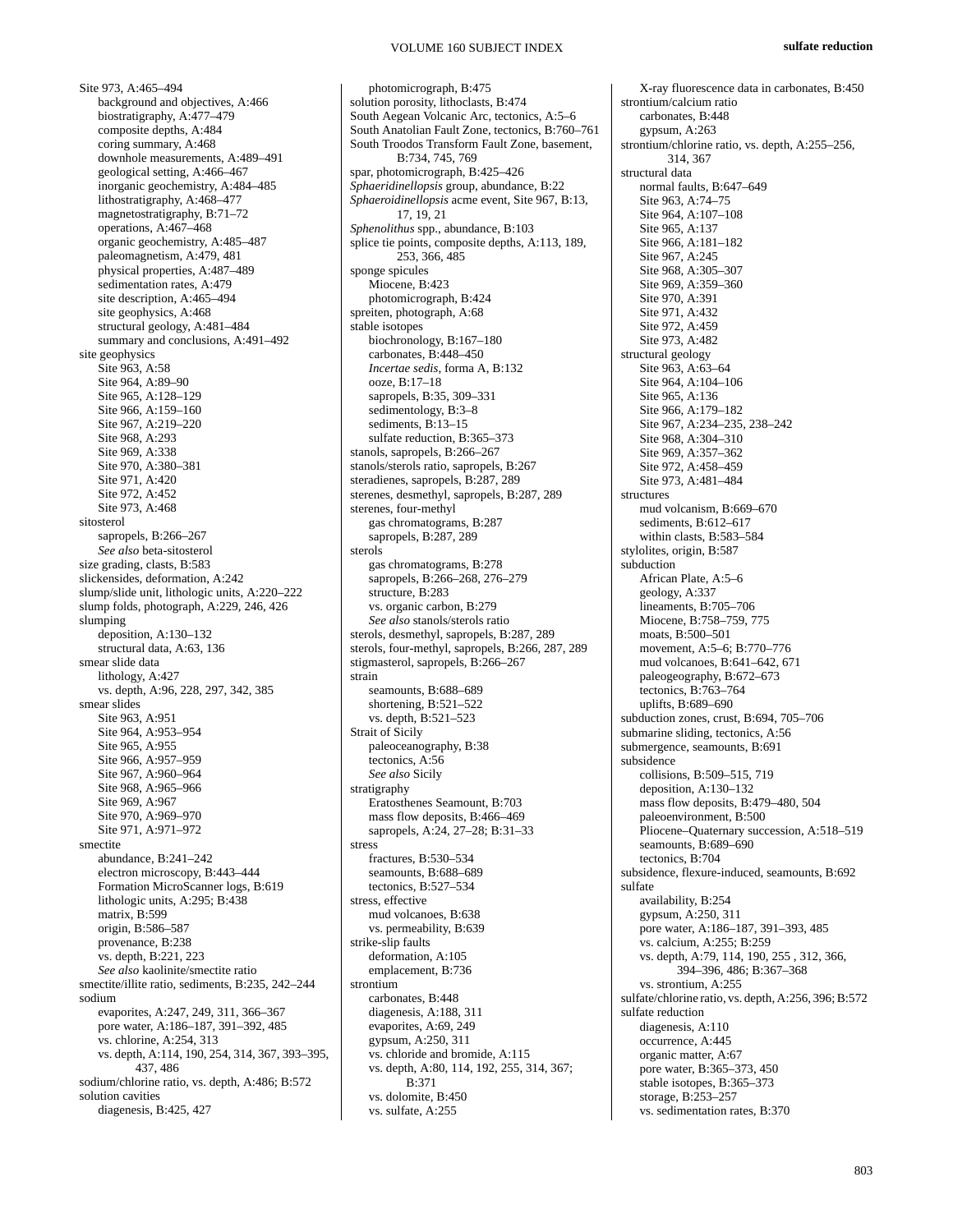Site 973, A:465–494 background and objectives, A:466 biostratigraphy, A:477–479 composite depths, A:484 coring summary, A:468 downhole measurements, A:489–491 geological setting, A:466–467 inorganic geochemistry, A:484–485 lithostratigraphy, A:468–477 magnetostratigraphy, B:71–72 operations, A:467–468 organic geochemistry, A:485–487 paleomagnetism, A:479, 481 physical properties, A:487–489 sedimentation rates, A:479 site description, A:465–494 site geophysics, A:468 structural geology, A:481–484 summary and conclusions, A:491–492 site geophysics Site 963, A:58 Site 964, A:89–90 Site 965, A:128–129 Site 966, A:159–160 Site 967, A:219–220 Site 968, A:293 Site 969, A:338 Site 970, A:380–381 Site 971, A:420 Site 972, A:452 Site 973, A:468 sitosterol sapropels, B:266-267 *See also* beta-sitosterol size grading, clasts, B:583 slickensides, deformation, A:242 slump/slide unit, lithologic units, A:220–222 slump folds, photograph, A:229, 246, 426 slumping deposition, A:130–132 structural data, A:63, 136 smear slide data lithology, A:427 vs. depth, A:96, 228, 297, 342, 385 smear slides Site 963, A:951 Site 964, A:953–954 Site 965, A:955 Site 966, A:957–959 Site 967, A:960–964 Site 968, A:965–966 Site 969, A:967 Site 970, A:969–970 Site 971, A:971–972 smectite abundance, B:241–242 electron microscopy, B:443–444 Formation MicroScanner logs, B:619 lithologic units, A:295; B:438 matrix, B:599 origin, B:586–587 provenance, B:238 vs. depth, B:221, 223 *See also* kaolinite/smectite ratio smectite/illite ratio, sediments, B:235, 242–244 sodium evaporites, A:247, 249, 311, 366–367 pore water, A:186–187, 391–392, 485 vs. chlorine, A:254, 313 vs. depth, A:114, 190, 254, 314, 367, 393–395, 437, 486 sodium/chlorine ratio, vs. depth, A:486; B:572 solution cavities diagenesis, B:425, 427

photomicrograph, B:475 solution porosity, lithoclasts, B:474 South Aegean Volcanic Arc, tectonics, A:5–6 South Anatolian Fault Zone, tectonics, B:760–761 South Troodos Transform Fault Zone, basement, B:734, 745, 769 spar, photomicrograph, B:425–426 *Sphaeridinellopsis* group, abundance, B:22 *Sphaeroidinellopsis* acme event, Site 967, B:13, 17, 19, 21 *Sphenolithus* spp., abundance, B:103 splice tie points, composite depths, A:113, 189, 253, 366, 485 sponge spicules Miocene, B:423 photomicrograph, B:424 spreiten, photograph, A:68 stable isotopes biochronology, B:167–180 carbonates, B:448–450 *Incertae sedis*, forma A, B:132 ooze, B:17–18 sapropels, B:35, 309–331 sedimentology, B:3-8 sediments, B:13-15 sulfate reduction, B:365–373 stanols, sapropels, B:266–267 stanols/sterols ratio, sapropels, B:267 steradienes, sapropels, B:287, 289 sterenes, desmethyl, sapropels, B:287, 289 sterenes, four-methyl gas chromatograms, B:287 sapropels, B:287, 289 sterols gas chromatograms, B:278 sapropels, B:266–268, 276–279 structure, B:283 vs. organic carbon, B:279 *See also* stanols/sterols ratio sterols, desmethyl, sapropels, B:287, 289 sterols, four-methyl, sapropels, B:266, 287, 289 stigmasterol, sapropels, B:266–267 strain seamounts, B:688–689 shortening, B:521–522 vs. depth, B:521–523 Strait of Sicily paleoceanography, B:38 tectonics, A:56 *See also* Sicily stratigraphy Eratosthenes Seamount, B:703 mass flow deposits, B:466–469 sapropels, A:24, 27–28; B:31–33 stress fractures, B:530–534 seamounts, B:688-689 tectonics, B:527–534 stress, effective mud volcanoes, B:638 vs. permeability, B:639 strike-slip faults deformation, A:105 emplacement, B:736 strontium carbonates, B:448 diagenesis, A:188, 311 evaporites, A:69, 249 gypsum, A:250, 311 vs. chloride and bromide, A:115 vs. depth, A:80, 114, 192, 255, 314, 367;  $B.371$ vs. dolomite, B:450 vs. sulfate, A:255

X-ray fluorescence data in carbonates, B:450 strontium/calcium ratio carbonates, B:448 gypsum, A:263 strontium/chlorine ratio, vs. depth, A:255–256, 314, 367 structural data normal faults, B:647–649 Site 963, A:74–75 Site 964, A:107–108 Site 965, A:137 Site 966, A:181–182 Site 967, A:245 Site 968, A:305–307 Site 969, A:359-360 Site 970, A:391 Site 971, A:432 Site 972, A:459 Site 973, A:482 structural geology Site 963, A:63–64 Site 964, A:104–106 Site 965, A:136 Site 966, A:179–182 Site 967, A:234–235, 238–242 Site 968, A:304–310 Site 969, A:357–362 Site 972, A:458-459 Site 973, A:481–484 structures mud volcanism, B:669–670 sediments, B:612–617 within clasts, B:583–584 stylolites, origin, B:587 subduction African Plate, A:5–6 geology, A:337 lineaments, B:705–706 Miocene, B:758–759, 775 moats, B:500–501 movement, A:5–6; B:770–776 mud volcanoes, B:641–642, 671 paleogeography, B:672–673 tectonics, B:763–764 uplifts, B:689–690 subduction zones, crust, B:694, 705–706 submarine sliding, tectonics, A:56 submergence, seamounts, B:691 subsidence collisions, B:509–515, 719 deposition, A:130–132 mass flow deposits, B:479–480, 504 paleoenvironment, B:500 Pliocene–Quaternary succession, A:518–519 seamounts, B:689–690 tectonics, B:704 subsidence, flexure-induced, seamounts, B:692 sulfate availability, B:254 gypsum, A:250, 311 pore water, A:186–187, 391–393, 485 vs. calcium, A:255; B:259 vs. depth, A:79, 114, 190, 255 , 312, 366, 394–396, 486; B:367–368 vs. strontium, A:255 sulfate/chlorine ratio, vs. depth, A:256, 396; B:572 sulfate reduction diagenesis, A:110 occurrence, A:445 organic matter, A:67 pore water, B:365–373, 450 stable isotopes, B:365–373 storage, B:253–257 vs. sedimentation rates, B:370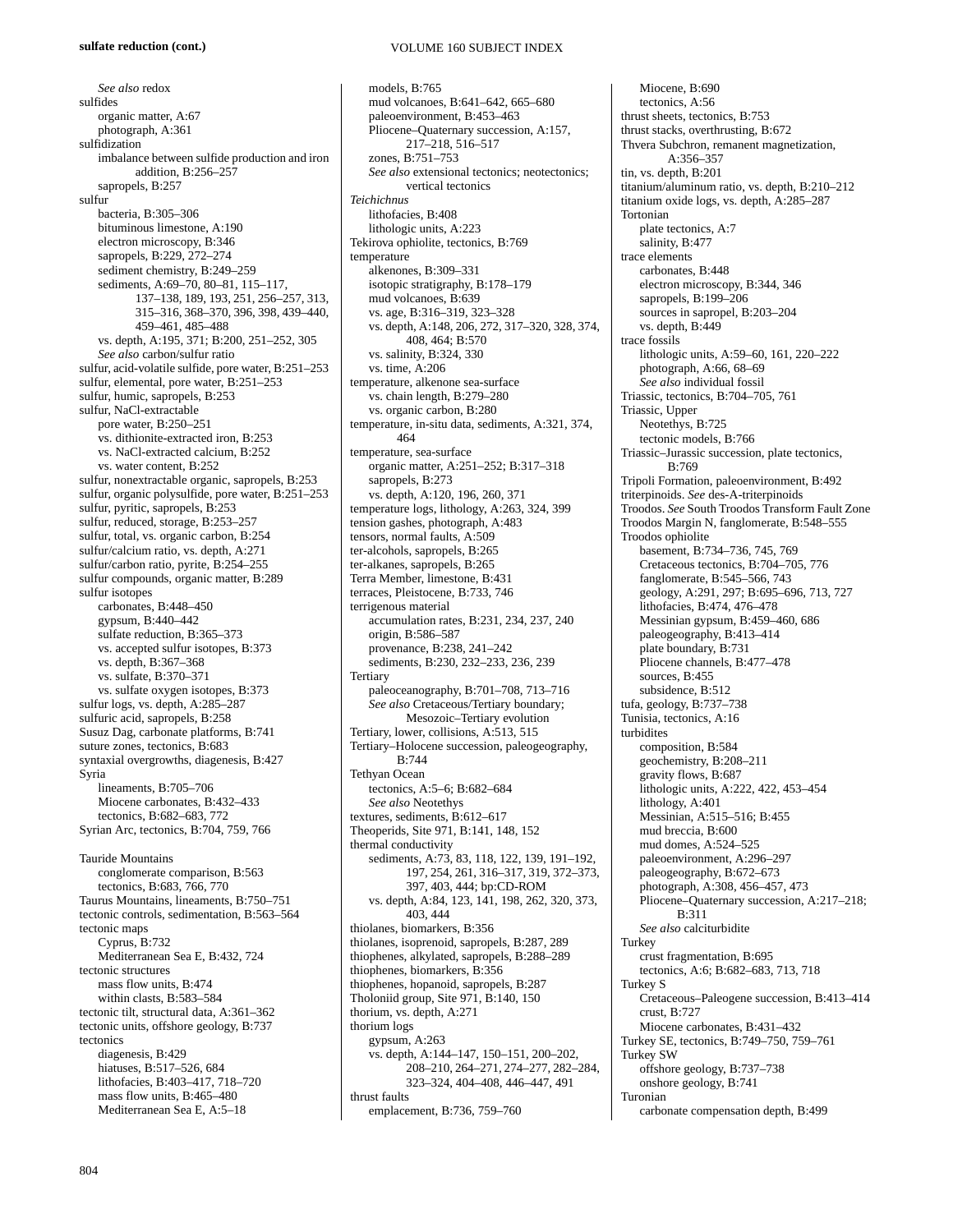*See also* redox sulfides organic matter, A:67 photograph, A:361 sulfidization imbalance between sulfide production and iron addition, B:256–257 sapropels, B:257 sulfur bacteria, B:305–306 bituminous limestone, A:190 electron microscopy, B:346 sapropels, B:229, 272–274 sediment chemistry, B:249–259 sediments, A:69–70, 80–81, 115–117, 137–138, 189, 193, 251, 256–257, 313, 315–316, 368–370, 396, 398, 439–440, 459–461, 485–488 vs. depth, A:195, 371; B:200, 251–252, 305 *See also* carbon/sulfur ratio sulfur, acid-volatile sulfide, pore water, B:251–253 sulfur, elemental, pore water, B:251–253 sulfur, humic, sapropels, B:253 sulfur, NaCl-extractable pore water, B:250–251 vs. dithionite-extracted iron, B:253 vs. NaCl-extracted calcium, B:252 vs. water content, B:252 sulfur, nonextractable organic, sapropels, B:253 sulfur, organic polysulfide, pore water, B:251–253 sulfur, pyritic, sapropels, B:253 sulfur, reduced, storage, B:253–257 sulfur, total, vs. organic carbon, B:254 sulfur/calcium ratio, vs. depth, A:271 sulfur/carbon ratio, pyrite, B:254–255 sulfur compounds, organic matter, B:289 sulfur isotopes carbonates, B:448–450 gypsum, B:440–442 sulfate reduction, B:365-373 vs. accepted sulfur isotopes, B:373 vs. depth, B:367–368 vs. sulfate, B:370–371 vs. sulfate oxygen isotopes, B:373 sulfur logs, vs. depth, A:285–287 sulfuric acid, sapropels, B:258 Susuz Dag, carbonate platforms, B:741 suture zones, tectonics, B:683 syntaxial overgrowths, diagenesis, B:427 Syria lineaments, B:705–706 Miocene carbonates, B:432–433 tectonics, B:682–683, 772 Syrian Arc, tectonics, B:704, 759, 766 Tauride Mountains conglomerate comparison, B:563 tectonics, B:683, 766, 770 Taurus Mountains, lineaments, B:750–751 tectonic controls, sedimentation, B:563–564 tectonic maps Cyprus, B:732 Mediterranean Sea E, B:432, 724 tectonic structures mass flow units, B:474 within clasts, B:583–584 tectonic tilt, structural data, A:361–362 tectonic units, offshore geology, B:737 tectonics diagenesis, B:429 hiatuses, B:517–526, 684 lithofacies, B:403–417, 718–720 mass flow units, B:465–480

models, B:765 mud volcanoes, B:641–642, 665–680 paleoenvironment, B:453–463 Pliocene–Quaternary succession, A:157, 217–218, 516–517 zones, B:751–753 *See also* extensional tectonics; neotectonics; vertical tectonics *Teichichnus* lithofacies, B:408 lithologic units, A:223 Tekirova ophiolite, tectonics, B:769 temperature alkenones, B:309–331 isotopic stratigraphy, B:178–179 mud volcanoes, B:639 vs. age, B:316–319, 323–328 vs. depth, A:148, 206, 272, 317–320, 328, 374, 408, 464; B:570 vs. salinity, B:324, 330 vs. time, A:206 temperature, alkenone sea-surface vs. chain length, B:279–280 vs. organic carbon, B:280 temperature, in-situ data, sediments, A:321, 374, 464 temperature, sea-surface organic matter, A:251–252; B:317–318 sapropels, B:273 vs. depth, A:120, 196, 260, 371 temperature logs, lithology, A:263, 324, 399 tension gashes, photograph, A:483 tensors, normal faults, A:509 ter-alcohols, sapropels, B:265 ter-alkanes, sapropels, B:265 Terra Member, limestone, B:431 terraces, Pleistocene, B:733, 746 terrigenous material accumulation rates, B:231, 234, 237, 240 origin, B:586–587 provenance, B:238, 241–242 sediments, B:230, 232–233, 236, 239 **Tertiary** paleoceanography, B:701–708, 713–716 *See also* Cretaceous/Tertiary boundary; Mesozoic–Tertiary evolution Tertiary, lower, collisions, A:513, 515 Tertiary–Holocene succession, paleogeography, B:744 Tethyan Ocean tectonics, A:5–6; B:682–684 *See also* Neotethys textures, sediments, B:612–617 Theoperids*,* Site 971, B:141, 148, 152 thermal conductivity sediments, A:73, 83, 118, 122, 139, 191–192, 197, 254, 261, 316–317, 319, 372–373, 397, 403, 444; bp:CD-ROM vs. depth, A:84, 123, 141, 198, 262, 320, 373, 403, 444 thiolanes, biomarkers, B:356 thiolanes, isoprenoid, sapropels, B:287, 289 thiophenes, alkylated, sapropels, B:288–289 thiophenes, biomarkers, B:356 thiophenes, hopanoid, sapropels, B:287 Tholoniid group, Site 971, B:140, 150 thorium, vs. depth, A:271 thorium logs gypsum, A:263 vs. depth, A:144–147, 150–151, 200–202, 208–210, 264–271, 274–277, 282–284, 323–324, 404–408, 446–447, 491 thrust faults emplacement, B:736, 759–760

Miocene, B:690 tectonics, A:56 thrust sheets, tectonics, B:753 thrust stacks, overthrusting, B:672 Thvera Subchron, remanent magnetization, A:356–357 tin, vs. depth, B:201 titanium/aluminum ratio, vs. depth, B:210–212 titanium oxide logs, vs. depth, A:285–287 Tortonian plate tectonics, A:7 salinity, B:477 trace elements carbonates, B:448 electron microscopy, B:344, 346 sapropels, B:199-206 sources in sapropel, B:203–204 vs. depth, B:449 trace fossils lithologic units, A:59–60, 161, 220–222 photograph, A:66, 68–69 *See also* individual fossil Triassic, tectonics, B:704–705, 761 Triassic, Upper Neotethys, B:725 tectonic models, B:766 Triassic–Jurassic succession, plate tectonics, B:769 Tripoli Formation, paleoenvironment, B:492 triterpinoids. *See* des-A-triterpinoids Troodos. *See* South Troodos Transform Fault Zone Troodos Margin N, fanglomerate, B:548–555 Troodos ophiolite basement, B:734–736, 745, 769 Cretaceous tectonics, B:704–705, 776 fanglomerate, B:545–566, 743 geology, A:291, 297; B:695–696, 713, 727 lithofacies, B:474, 476–478 Messinian gypsum, B:459–460, 686 paleogeography, B:413–414 plate boundary, B:731 Pliocene channels, B:477–478 sources, B:455 subsidence, B:512 tufa, geology, B:737–738 Tunisia, tectonics, A:16 turbidites composition, B:584 geochemistry, B:208–211 gravity flows, B:687 lithologic units, A:222, 422, 453–454 lithology, A:401 Messinian, A:515–516; B:455 mud breccia, B:600 mud domes, A:524–525 paleoenvironment, A:296–297 paleogeography, B:672–673 photograph, A:308, 456–457, 473 Pliocene–Quaternary succession, A:217–218; B:311 *See also* calciturbidite Turkey crust fragmentation, B:695 tectonics, A:6; B:682–683, 713, 718 Turkey S Cretaceous–Paleogene succession, B:413–414 crust, B:727 Miocene carbonates, B:431–432 Turkey SE, tectonics, B:749–750, 759–761 Turkey SW offshore geology, B:737–738 onshore geology, B:741 Turonian

carbonate compensation depth, B:499

Mediterranean Sea E, A:5–18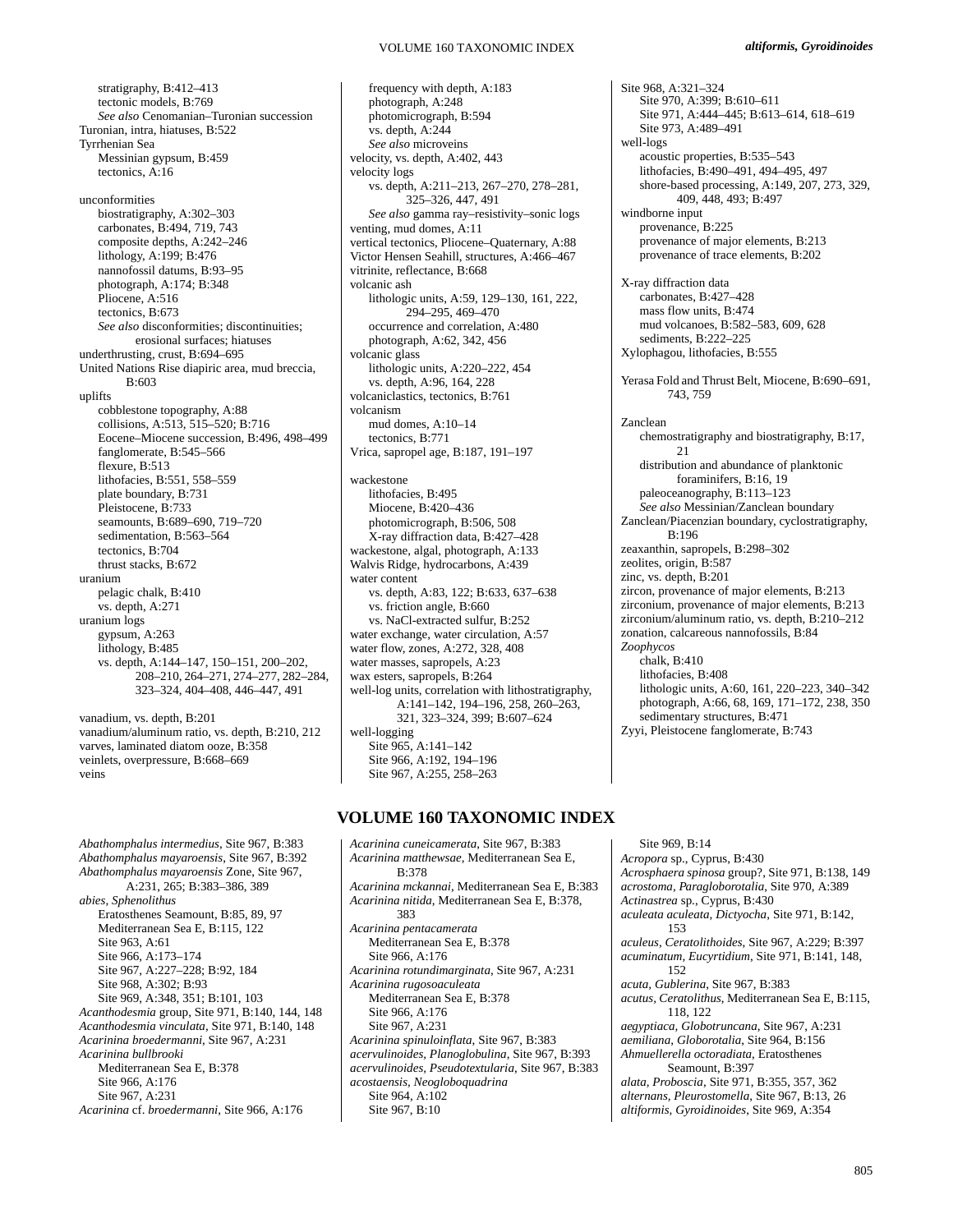## VOLUME 160 TAXONOMIC INDEX

stratigraphy, B:412–413 tectonic models, B:769 *See also* Cenomanian–Turonian succession Turonian, intra, hiatuses, B:522 Tyrrhenian Sea Messinian gypsum, B:459 tectonics, A:16 unconformities biostratigraphy, A:302–303 carbonates, B:494, 719, 743 composite depths, A:242–246 lithology, A:199; B:476 nannofossil datums, B:93–95 photograph, A:174; B:348 Pliocene, A:516 tectonics, B:673 *See also* disconformities; discontinuities; erosional surfaces; hiatuses underthrusting, crust, B:694–695 United Nations Rise diapiric area, mud breccia, B:603 uplifts cobblestone topography, A:88 collisions, A:513, 515–520; B:716 Eocene–Miocene succession, B:496, 498–499 fanglomerate, B:545–566 flexure, B:513 lithofacies, B:551, 558–559 plate boundary, B:731 Pleistocene, B:733 seamounts, B:689–690, 719–720 sedimentation, B:563–564 tectonics, B:704 thrust stacks, B:672 uranium pelagic chalk, B:410 vs. depth, A:271 uranium logs gypsum, A:263 lithology, B:485 vs. depth, A:144–147, 150–151, 200–202, 208–210, 264–271, 274–277, 282–284, 323–324, 404–408, 446–447, 491

vanadium, vs. depth, B:201 vanadium/aluminum ratio, vs. depth, B:210, 212 varves, laminated diatom ooze, B:358 veinlets, overpressure, B:668–669 veins

*Abathomphalus intermedius*, Site 967, B:383 *Abathomphalus mayaroensis*, Site 967, B:392 *Abathomphalus mayaroensis* Zone, Site 967, A:231, 265; B:383–386, 389 *abies, Sphenolithus*  Eratosthenes Seamount, B:85, 89, 97 Mediterranean Sea E, B:115, 122 Site 963, A:61 Site 966, A:173–174 Site 967, A:227–228; B:92, 184 Site 968, A:302; B:93 Site 969, A:348, 351; B:101, 103 *Acanthodesmia* group, Site 971, B:140, 144, 148 *Acanthodesmia vinculata*, Site 971, B:140, 148 *Acarinina broedermanni*, Site 967, A:231 *Acarinina bullbrooki* Mediterranean Sea E, B:378 Site 966, A:176 Site 967, A:231 *Acarinina* cf. *broedermanni*, Site 966, A:176

frequency with depth, A:183 photograph, A:248 photomicrograph, B:594 vs. depth, A:244 *See also* microveins velocity, vs. depth, A:402, 443 velocity logs vs. depth, A:211–213, 267–270, 278–281, 325–326, 447, 491 *See also* gamma ray–resistivity–sonic logs venting, mud domes, A:11 vertical tectonics, Pliocene–Quaternary, A:88 Victor Hensen Seahill, structures, A:466–467 vitrinite, reflectance, B:668 volcanic ash lithologic units, A:59, 129–130, 161, 222, 294–295, 469–470 occurrence and correlation, A:480 photograph, A:62, 342, 456 volcanic glass lithologic units, A:220–222, 454 vs. depth, A:96, 164, 228 volcaniclastics, tectonics, B:761 volcanism mud domes, A:10–14 tectonics, B:771 Vrica, sapropel age, B:187, 191–197 wackestone lithofacies, B:495 Miocene, B:420–436 photomicrograph, B:506, 508 X-ray diffraction data, B:427–428 wackestone, algal, photograph, A:133 Walvis Ridge, hydrocarbons, A:439 water content vs. depth, A:83, 122; B:633, 637–638 vs. friction angle, B:660 vs. NaCl-extracted sulfur, B:252 water exchange, water circulation, A:57 water flow, zones, A:272, 328, 408 water masses, sapropels, A:23 wax esters, sapropels, B:264 well-log units, correlation with lithostratigraphy, A:141–142, 194–196, 258, 260–263, 321, 323–324, 399; B:607–624 well-logging Site 965, A:141–142 Site 966, A:192, 194–196 Site 967, A:255, 258–263

# **VOLUME 160 TAXONOMIC INDEX**

*Acarinina cuneicamerata*, Site 967, B:383 *Acarinina matthewsae*, Mediterranean Sea E, B:378 *Acarinina mckannai*, Mediterranean Sea E, B:383 *Acarinina nitida*, Mediterranean Sea E, B:378, 383 *Acarinina pentacamerata* Mediterranean Sea E, B:378 Site 966, A:176 *Acarinina rotundimarginata*, Site 967, A:231 *Acarinina rugosoaculeata* Mediterranean Sea E, B:378 Site 966, A:176 Site 967, A:231 *Acarinina spinuloinflata*, Site 967, B:383 *acervulinoides, Planoglobulina*, Site 967, B:393 *acervulinoides, Pseudotextularia*, Site 967, B:383 *acostaensis, Neogloboquadrina* Site 964, A:102 Site 967, B:10

Site 968, A:321–324 Site 970, A:399; B:610–611 Site 971, A:444–445; B:613–614, 618–619 Site 973, A:489–491 well-logs acoustic properties, B:535–543 lithofacies, B:490–491, 494–495, 497 shore-based processing, A:149, 207, 273, 329, 409, 448, 493; B:497 windborne input provenance, B:225 provenance of major elements, B:213 provenance of trace elements, B:202 X-ray diffraction data carbonates, B:427–428 mass flow units, B:474 mud volcanoes, B:582–583, 609, 628 sediments, B:222–225 Xylophagou, lithofacies, B:555 Yerasa Fold and Thrust Belt, Miocene, B:690–691, 743, 759 Zanclean chemostratigraphy and biostratigraphy, B:17, 21 distribution and abundance of planktonic foraminifers, B:16, 19 paleoceanography, B:113–123 *See also* Messinian/Zanclean boundary Zanclean/Piacenzian boundary, cyclostratigraphy, B:196 zeaxanthin, sapropels, B:298–302 zeolites, origin, B:587 zinc, vs. depth, B:201 zircon, provenance of major elements, B:213 zirconium, provenance of major elements, B:213 zirconium/aluminum ratio, vs. depth, B:210–212 zonation, calcareous nannofossils, B:84 *Zoophycos* chalk, B:410 lithofacies, B:408 lithologic units, A:60, 161, 220–223, 340–342 photograph, A:66, 68, 169, 171–172, 238, 350 sedimentary structures, B:471 Zyyi, Pleistocene fanglomerate, B:743

Site 969, B:14 *Acropora* sp., Cyprus, B:430 *Acrosphaera spinosa* group?, Site 971, B:138, 149 *acrostoma, Paragloborotalia*, Site 970, A:389 *Actinastrea* sp., Cyprus, B:430 *aculeata aculeata, Dictyocha*, Site 971, B:142, 153 *aculeus, Ceratolithoides*, Site 967, A:229; B:397 *acuminatum, Eucyrtidium*, Site 971, B:141, 148, 152 *acuta, Gublerina*, Site 967, B:383 *acutus, Ceratolithus*, Mediterranean Sea E, B:115, 118, 122 *aegyptiaca, Globotruncana*, Site 967, A:231 *aemiliana, Globorotalia*, Site 964, B:156 *Ahmuellerella octoradiata*, Eratosthenes Seamount, B:397 *alata, Proboscia*, Site 971, B:355, 357, 362 *alternans, Pleurostomella*, Site 967, B:13, 26 *altiformis, Gyroidinoides*, Site 969, A:354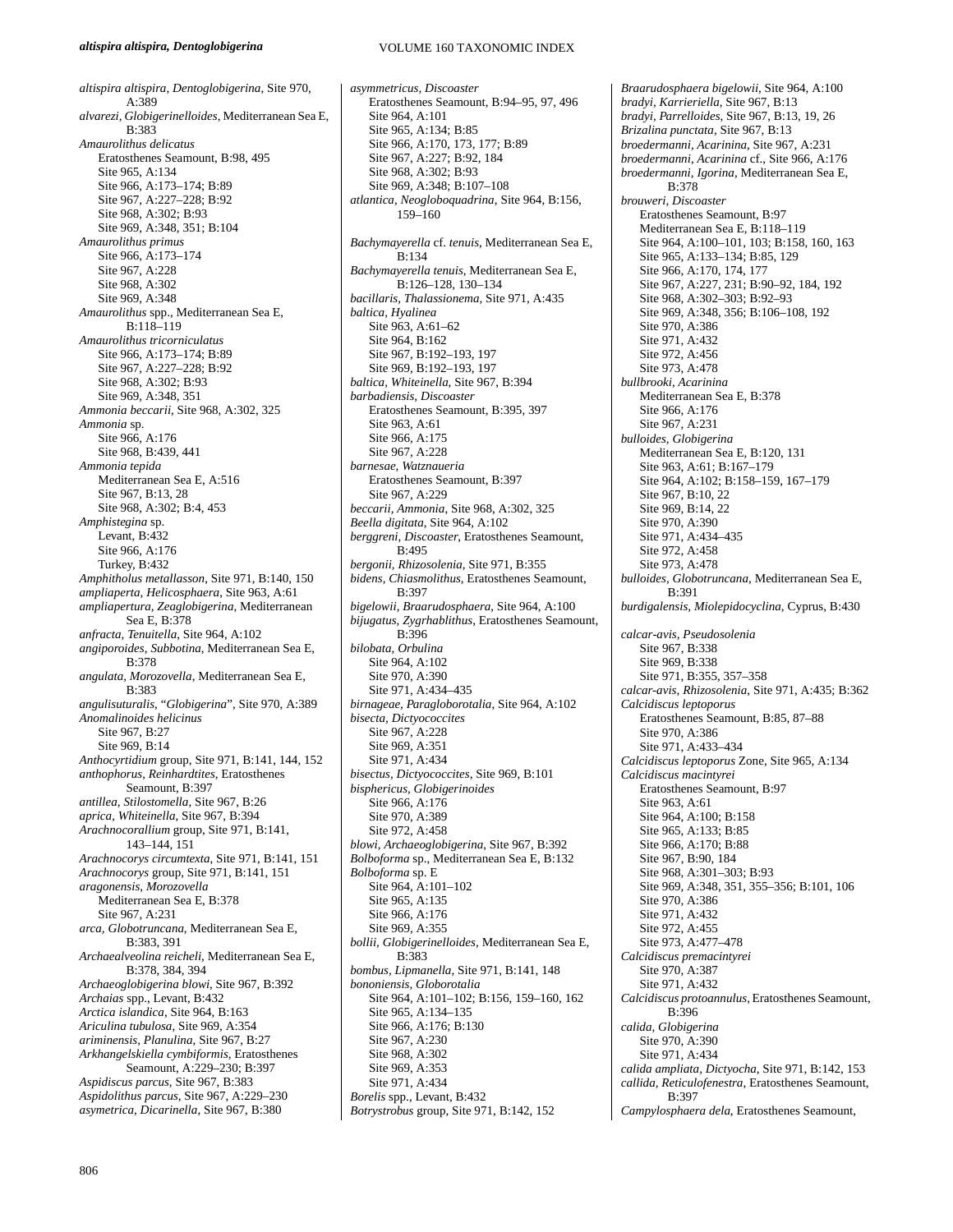#### *altispira altispira, Dentoglobigerina*

VOLUME 160 TAXONOMIC INDEX

*altispira altispira, Dentoglobigerina*, Site 970, A:389 *alvarezi, Globigerinelloides*, Mediterranean Sea E, B:383 *Amaurolithus delicatus* Eratosthenes Seamount, B:98, 495 Site 965, A:134 Site 966, A:173–174; B:89 Site 967, A:227–228; B:92 Site 968, A:302; B:93 Site 969, A:348, 351; B:104 *Amaurolithus primus* Site 966, A:173–174 Site 967, A:228 Site 968, A:302 Site 969, A:348 *Amaurolithus* spp., Mediterranean Sea E, B:118–119 *Amaurolithus tricorniculatus* Site 966, A:173–174; B:89 Site 967, A:227–228; B:92 Site 968, A:302; B:93 Site 969, A:348, 351 *Ammonia beccarii*, Site 968, A:302, 325 *Ammonia* sp. Site 966, A:176 Site 968, B:439, 441 *Ammonia tepida* Mediterranean Sea E, A:516 Site 967, B:13, 28 Site 968, A:302; B:4, 453 *Amphistegina* sp. Levant, B:432 Site 966, A:176 Turkey, B:432 *Amphitholus metallasson*, Site 971, B:140, 150 *ampliaperta, Helicosphaera*, Site 963, A:61 *ampliapertura, Zeaglobigerina*, Mediterranean Sea E, B:378 *anfracta, Tenuitella*, Site 964, A:102 *angiporoides, Subbotina*, Mediterranean Sea E, B:378 *angulata, Morozovella*, Mediterranean Sea E, B:383 *angulisuturalis*, "*Globigerina*", Site 970, A:389 *Anomalinoides helicinus*  Site 967, B:27 Site 969, B:14 *Anthocyrtidium* group, Site 971, B:141, 144, 152 *anthophorus, Reinhardtites*, Eratosthenes Seamount, B:397 *antillea, Stilostomella*, Site 967, B:26 *aprica, Whiteinella*, Site 967, B:394 *Arachnocorallium* group, Site 971, B:141, 143–144, 151 *Arachnocorys circumtexta*, Site 971, B:141, 151 *Arachnocorys* group, Site 971, B:141, 151 *aragonensis, Morozovella* Mediterranean Sea E, B:378 Site 967, A:231 *arca, Globotruncana*, Mediterranean Sea E, B:383, 391 *Archaealveolina reicheli*, Mediterranean Sea E, B:378, 384, 394 *Archaeoglobigerina blowi*, Site 967, B:392 *Archaias* spp., Levant, B:432 *Arctica islandica*, Site 964, B:163 *Ariculina tubulosa*, Site 969, A:354 *ariminensis, Planulina*, Site 967, B:27 *Arkhangelskiella cymbiformis*, Eratosthenes Seamount, A:229–230; B:397 *Aspidiscus parcus*, Site 967, B:383 *Aspidolithus parcus*, Site 967, A:229–230 *asymetrica, Dicarinella*, Site 967, B:380

*asymmetricus, Discoaster*  Eratosthenes Seamount, B:94–95, 97, 496 Site 964, A:101 Site 965, A:134; B:85 Site 966, A:170, 173, 177; B:89 Site 967, A:227; B:92, 184 Site 968, A:302; B:93 Site 969, A:348; B:107–108 *atlantica, Neogloboquadrina*, Site 964, B:156, 159–160 *Bachymayerella* cf. *tenuis*, Mediterranean Sea E, B:134 *Bachymayerella tenuis*, Mediterranean Sea E, B:126–128, 130–134 *bacillaris, Thalassionema*, Site 971, A:435 *baltica, Hyalinea* Site 963, A:61–62 Site 964, B:162 Site 967, B:192–193, 197 Site 969, B:192–193, 197 *baltica, Whiteinella*, Site 967, B:394 *barbadiensis, Discoaster* Eratosthenes Seamount, B:395, 397 Site 963, A:61 Site 966, A:175 Site 967, A:228 *barnesae*, *Watznaueria* Eratosthenes Seamount, B:397 Site 967, A:229 *beccarii, Ammonia*, Site 968, A:302, 325 *Beella digitata*, Site 964, A:102 *berggreni, Discoaster*, Eratosthenes Seamount, B:495 *bergonii, Rhizosolenia*, Site 971, B:355 *bidens, Chiasmolithus*, Eratosthenes Seamount, B:397 *bigelowii, Braarudosphaera*, Site 964, A:100 *bijugatus, Zygrhablithus*, Eratosthenes Seamount,  $R:396$ *bilobata, Orbulina* Site 964, A:102 Site 970, A:390 Site 971, A:434–435 *birnageae, Paragloborotalia*, Site 964, A:102 *bisecta, Dictyococcites* Site 967, A:228 Site 969, A:351 Site 971, A:434 *bisectus, Dictyococcites*, Site 969, B:101 *bisphericus, Globigerinoides* Site 966, A:176 Site 970, A:389 Site 972, A:458 *blowi, Archaeoglobigerina*, Site 967, B:392 *Bolboforma* sp., Mediterranean Sea E, B:132 *Bolboforma* sp. E Site 964, A:101–102 Site 965, A:135 Site 966, A:176 Site 969, A:355 *bollii, Globigerinelloides*, Mediterranean Sea E,  $B.383$ *bombus, Lipmanella*, Site 971, B:141, 148 *bononiensis, Globorotalia* Site 964, A:101–102; B:156, 159–160, 162 Site 965, A:134–135 Site 966, A:176; B:130 Site 967, A:230 Site 968, A:302 Site 969, A:353 Site 971, A:434 *Borelis* spp., Levant, B:432 *Botrystrobus* group, Site 971, B:142, 152

*Braarudosphaera bigelowii*, Site 964, A:100 *bradyi, Karrieriella*, Site 967, B:13 *bradyi, Parrelloides*, Site 967, B:13, 19, 26 *Brizalina punctata*, Site 967, B:13 *broedermanni, Acarinina*, Site 967, A:231 *broedermanni, Acarinina* cf., Site 966, A:176 *broedermanni, Igorina*, Mediterranean Sea E, B:378 *brouweri, Discoaster* Eratosthenes Seamount, B:97 Mediterranean Sea E, B:118–119 Site 964, A:100–101, 103; B:158, 160, 163 Site 965, A:133–134; B:85, 129 Site 966, A:170, 174, 177 Site 967, A:227, 231; B:90–92, 184, 192 Site 968, A:302–303; B:92–93 Site 969, A:348, 356; B:106–108, 192 Site 970, A:386 Site 971, A:432 Site 972, A:456 Site 973, A:478 *bullbrooki, Acarinina* Mediterranean Sea E, B:378 Site 966, A:176 Site 967, A:231 *bulloides, Globigerina* Mediterranean Sea E, B:120, 131 Site 963, A:61; B:167–179 Site 964, A:102; B:158–159, 167–179 Site 967, B:10, 22 Site 969, B:14, 22 Site 970, A:390 Site 971, A:434–435 Site 972, A:458 Site 973, A:478 *bulloides, Globotruncana*, Mediterranean Sea E, B:391 *burdigalensis, Miolepidocyclina*, Cyprus, B:430 *calcar-avis, Pseudosolenia* Site 967, B:338 Site 969, B:338 Site 971, B:355, 357–358 *calcar-avis, Rhizosolenia*, Site 971, A:435; B:362 *Calcidiscus leptoporus* Eratosthenes Seamount, B:85, 87–88 Site 970, A:386 Site 971, A:433–434 *Calcidiscus leptoporus* Zone, Site 965, A:134 *Calcidiscus macintyrei* Eratosthenes Seamount, B:97 Site 963, A:61 Site 964, A:100; B:158 Site 965, A:133; B:85 Site 966, A:170; B:88 Site 967, B:90, 184 Site 968, A:301–303; B:93 Site 969, A:348, 351, 355–356; B:101, 106 Site 970, A:386 Site 971, A:432 Site 972, A:455 Site 973, A:477–478 *Calcidiscus premacintyrei* Site 970, A:387 Site 971, A:432 *Calcidiscus protoannulus*, Eratosthenes Seamount, B:396 *calida, Globigerina* Site 970, A:390 Site 971, A:434 *calida ampliata, Dictyocha*, Site 971, B:142, 153 *callida, Reticulofenestra*, Eratosthenes Seamount, B:397

*Campylosphaera dela*, Eratosthenes Seamount,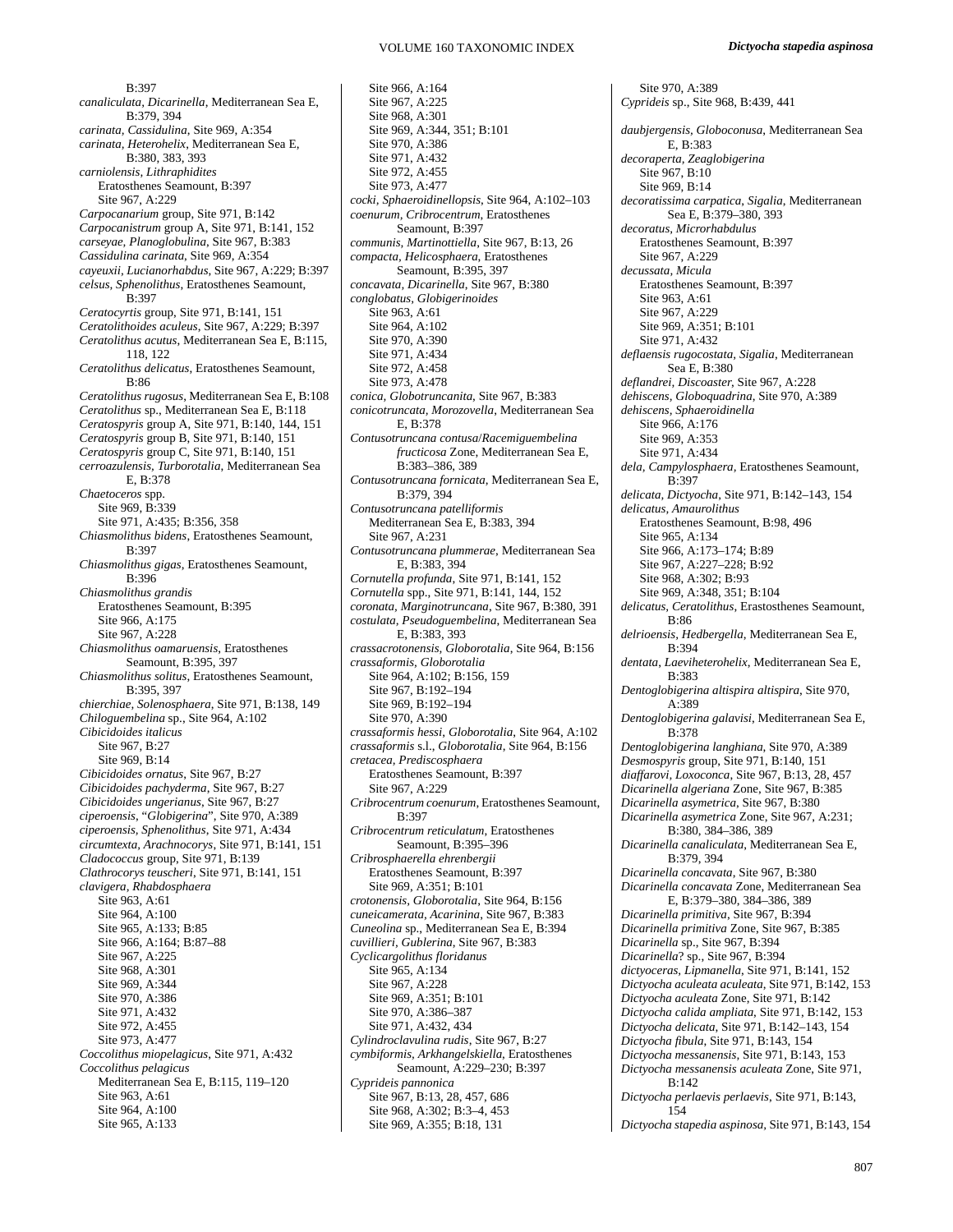B:397 *canaliculata, Dicarinella*, Mediterranean Sea E, B:379, 394 *carinata, Cassidulina*, Site 969, A:354 *carinata, Heterohelix*, Mediterranean Sea E, B:380, 383, 393 *carniolensis, Lithraphidites* Eratosthenes Seamount, B:397 Site 967, A:229 *Carpocanarium* group, Site 971, B:142 *Carpocanistrum* group A, Site 971, B:141, 152 *carseyae, Planoglobulina*, Site 967, B:383 *Cassidulina carinata*, Site 969, A:354 *cayeuxii, Lucianorhabdus*, Site 967, A:229; B:397 *celsus, Sphenolithus*, Eratosthenes Seamount, B:397 *Ceratocyrtis* group, Site 971, B:141, 151 *Ceratolithoides aculeus*, Site 967, A:229; B:397 *Ceratolithus acutus*, Mediterranean Sea E, B:115, 118, 122 *Ceratolithus delicatus*, Eratosthenes Seamount, B:86 *Ceratolithus rugosus*, Mediterranean Sea E, B:108 *Ceratolithus* sp., Mediterranean Sea E, B:118 *Ceratospyris* group A, Site 971, B:140, 144, 151 *Ceratospyris* group B, Site 971, B:140, 151 *Ceratospyris* group C, Site 971, B:140, 151 *cerroazulensis, Turborotalia*, Mediterranean Sea E, B:378 *Chaetoceros* spp. Site 969, B:339 Site 971, A:435; B:356, 358 *Chiasmolithus bidens*, Eratosthenes Seamount, B:397 *Chiasmolithus gigas*, Eratosthenes Seamount, B:396 *Chiasmolithus grandis* Eratosthenes Seamount, B:395 Site 966, A:175 Site 967, A:228 *Chiasmolithus oamaruensis*, Eratosthenes Seamount, B:395, 397 *Chiasmolithus solitus*, Eratosthenes Seamount, B:395, 397 *chierchiae, Solenosphaera*, Site 971, B:138, 149 *Chiloguembelina* sp., Site 964, A:102 *Cibicidoides italicus* Site 967, B:27 Site 969, B:14 *Cibicidoides ornatus*, Site 967, B:27 *Cibicidoides pachyderma*, Site 967, B:27 *Cibicidoides ungerianus*, Site 967, B:27 *ciperoensis*, "*Globigerina*", Site 970, A:389 *ciperoensis, Sphenolithus*, Site 971, A:434 *circumtexta, Arachnocorys*, Site 971, B:141, 151 *Cladococcus* group, Site 971, B:139 *Clathrocorys teuscheri*, Site 971, B:141, 151 *clavigera, Rhabdosphaera* Site 963, A:61 Site 964, A:100 Site 965, A:133; B:85 Site 966, A:164; B:87–88 Site 967, A:225 Site 968, A:301 Site 969, A:344 Site 970, A:386 Site 971, A:432 Site 972, A:455 Site 973, A:477 *Coccolithus miopelagicus*, Site 971, A:432 *Coccolithus pelagicus* Mediterranean Sea E, B:115, 119–120 Site 963, A:61 Site 964, A:100 Site 965, A:133

Site 966, A:164 Site 967, A:225 Site 968, A:301 Site 969, A:344, 351; B:101 Site 970, A:386 Site 971, A:432 Site 972, A:455 Site 973, A:477 *cocki, Sphaeroidinellopsis*, Site 964, A:102–103 *coenurum, Cribrocentrum*, Eratosthenes Seamount, B:397 *communis, Martinottiella*, Site 967, B:13, 26 *compacta, Helicosphaera*, Eratosthenes Seamount, B:395, 397 *concavata, Dicarinella*, Site 967, B:380 *conglobatus, Globigerinoides* Site 963, A:61 Site 964, A:102 Site 970, A:390 Site 971, A:434 Site 972, A:458 Site 973, A:478 *conica, Globotruncanita*, Site 967, B:383 *conicotruncata, Morozovella*, Mediterranean Sea E, B:378 *Contusotruncana contusa*/*Racemiguembelina fructicosa* Zone, Mediterranean Sea E, B:383–386, 389 *Contusotruncana fornicata*, Mediterranean Sea E, B:379, 394 *Contusotruncana patelliformis* Mediterranean Sea E, B:383, 394 Site 967, A:231 *Contusotruncana plummerae*, Mediterranean Sea E, B:383, 394 *Cornutella profunda*, Site 971, B:141, 152 *Cornutella* spp., Site 971, B:141, 144, 152 *coronata, Marginotruncana*, Site 967, B:380, 391 *costulata, Pseudoguembelina*, Mediterranean Sea E, B:383, 393 *crassacrotonensis, Globorotalia*, Site 964, B:156 *crassaformis, Globorotalia* Site 964, A:102; B:156, 159 Site 967, B:192–194 Site 969, B:192-194 Site 970, A:390 *crassaformis hessi*, *Globorotalia*, Site 964, A:102 *crassaformis* s.l., *Globorotalia*, Site 964, B:156 *cretacea, Prediscosphaera* Eratosthenes Seamount, B:397 Site 967, A:229 *Cribrocentrum coenurum*, Eratosthenes Seamount, B:397 *Cribrocentrum reticulatum*, Eratosthenes Seamount, B:395–396 *Cribrosphaerella ehrenbergii* Eratosthenes Seamount, B:397 Site 969, A:351; B:101 *crotonensis, Globorotalia*, Site 964, B:156 *cuneicamerata, Acarinina*, Site 967, B:383 *Cuneolina* sp., Mediterranean Sea E, B:394 *cuvillieri, Gublerina*, Site 967, B:383 *Cyclicargolithus floridanus*  Site 965, A:134 Site 967, A:228 Site 969, A:351; B:101 Site 970, A:386–387 Site 971, A:432, 434 *Cylindroclavulina rudis*, Site 967, B:27 *cymbiformis, Arkhangelskiella*, Eratosthenes Seamount, A:229–230; B:397 *Cyprideis pannonica* Site 967, B:13, 28, 457, 686 Site 968, A:302; B:3–4, 453 Site 969, A:355; B:18, 131

Site 970, A:389 *Cyprideis* sp., Site 968, B:439, 441 *daubjergensis, Globoconusa*, Mediterranean Sea E, B:383 *decoraperta, Zeaglobigerina* Site 967, B:10 Site 969, B:14 *decoratissima carpatica*, *Sigalia*, Mediterranean Sea E, B:379–380, 393 *decoratus, Microrhabdulus* Eratosthenes Seamount, B:397 Site 967, A:229 *decussata, Micula* Eratosthenes Seamount, B:397 Site 963, A:61 Site 967, A:229 Site 969, A:351; B:101 Site 971, A:432 *deflaensis rugocostata, Sigalia*, Mediterranean Sea E, B:380 *deflandrei, Discoaster*, Site 967, A:228 *dehiscens, Globoquadrina*, Site 970, A:389 *dehiscens, Sphaeroidinella* Site 966, A:176 Site 969, A:353 Site 971, A:434 *dela, Campylosphaera,* Eratosthenes Seamount, B:397 *delicata, Dictyocha*, Site 971, B:142–143, 154 *delicatus, Amaurolithus*  Eratosthenes Seamount, B:98, 496 Site 965, A:134 Site 966, A:173–174; B:89 Site 967, A:227–228; B:92 Site 968, A:302; B:93 Site 969, A:348, 351; B:104 *delicatus, Ceratolithus*, Erastosthenes Seamount, B:86 *delrioensis, Hedbergella*, Mediterranean Sea E, B:394 *dentata*, *Laeviheterohelix*, Mediterranean Sea E, B:383 *Dentoglobigerina altispira altispira*, Site 970, A:389 *Dentoglobigerina galavisi*, Mediterranean Sea E, B:378 *Dentoglobigerina langhiana*, Site 970, A:389 *Desmospyris* group, Site 971, B:140, 151 *diaffarovi, Loxoconca*, Site 967, B:13, 28, 457 *Dicarinella algeriana* Zone, Site 967, B:385 *Dicarinella asymetrica*, Site 967, B:380 *Dicarinella asymetrica* Zone, Site 967, A:231; B:380, 384–386, 389 *Dicarinella canaliculata*, Mediterranean Sea E, B:379, 394 *Dicarinella concavata*, Site 967, B:380 *Dicarinella concavata* Zone, Mediterranean Sea E, B:379–380, 384–386, 389 *Dicarinella primitiva*, Site 967, B:394 *Dicarinella primitiva* Zone, Site 967, B:385 *Dicarinella* sp., Site 967, B:394 *Dicarinella*? sp., Site 967, B:394 *dictyoceras, Lipmanella*, Site 971, B:141, 152 *Dictyocha aculeata aculeata*, Site 971, B:142, 153 *Dictyocha aculeata* Zone, Site 971, B:142 *Dictyocha calida ampliata*, Site 971, B:142, 153 *Dictyocha delicata*, Site 971, B:142–143, 154 *Dictyocha fibula*, Site 971, B:143, 154 *Dictyocha messanensis,* Site 971, B:143, 153 *Dictyocha messanensis aculeata* Zone, Site 971, B:142 *Dictyocha perlaevis perlaevis*, Site 971, B:143, 154 *Dictyocha stapedia aspinosa,* Site 971, B:143, 154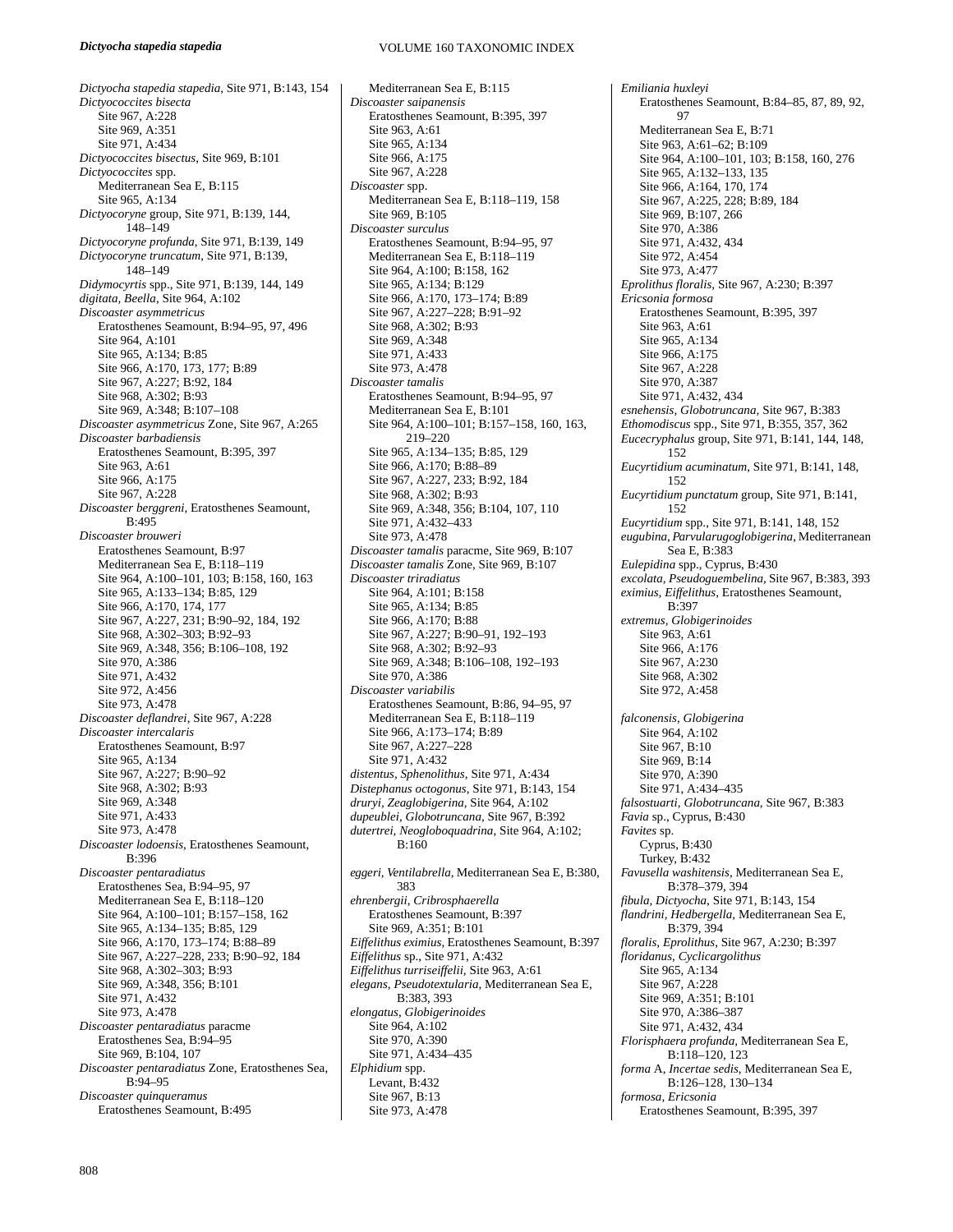VOLUME 160 TAXONOMIC INDEX

*Dictyocha stapedia stapedia*, Site 971, B:143, 154 *Dictyococcites bisecta*  Site 967, A:228 Site 969, A:351 Site 971, A:434 *Dictyococcites bisectus*, Site 969, B:101 *Dictyococcites* spp. Mediterranean Sea E, B:115 Site 965, A:134 *Dictyocoryne* group, Site 971, B:139, 144, 148–149 *Dictyocoryne profunda*, Site 971, B:139, 149 *Dictyocoryne truncatum*, Site 971, B:139, 148–149 *Didymocyrtis* spp., Site 971, B:139, 144, 149 *digitata, Beella*, Site 964, A:102 *Discoaster asymmetricus* Eratosthenes Seamount, B:94–95, 97, 496 Site 964, A:101 Site 965, A:134; B:85 Site 966, A:170, 173, 177; B:89 Site 967, A:227; B:92, 184 Site 968, A:302; B:93 Site 969, A:348; B:107–108 *Discoaster asymmetricus* Zone, Site 967, A:265 *Discoaster barbadiensis*  Eratosthenes Seamount, B:395, 397 Site 963, A:61 Site 966, A:175 Site 967, A:228 *Discoaster berggreni*, Eratosthenes Seamount, B:495 *Discoaster brouweri*  Eratosthenes Seamount, B:97 Mediterranean Sea E, B:118–119 Site 964, A:100–101, 103; B:158, 160, 163 Site 965, A:133–134; B:85, 129 Site 966, A:170, 174, 177 Site 967, A:227, 231; B:90–92, 184, 192 Site 968, A:302–303; B:92–93 Site 969, A:348, 356; B:106–108, 192 Site 970, A:386 Site 971, A:432 Site 972, A:456 Site 973, A:478 *Discoaster deflandrei*, Site 967, A:228 *Discoaster intercalaris*  Eratosthenes Seamount, B:97 Site 965, A:134 Site 967, A:227; B:90–92 Site 968, A:302; B:93 Site 969, A:348 Site 971, A:433 Site 973, A:478 *Discoaster lodoensis,* Eratosthenes Seamount, B:396 *Discoaster pentaradiatus* Eratosthenes Sea, B:94–95, 97 Mediterranean Sea E, B:118–120 Site 964, A:100–101; B:157–158, 162 Site 965, A:134–135; B:85, 129 Site 966, A:170, 173–174; B:88–89 Site 967, A:227–228, 233; B:90–92, 184 Site 968, A:302–303; B:93 Site 969, A:348, 356; B:101 Site 971, A:432 Site 973, A:478 *Discoaster pentaradiatus* paracme Eratosthenes Sea, B:94–95 Site 969, B:104, 107 *Discoaster pentaradiatus* Zone, Eratosthenes Sea,  $B:94-95$ *Discoaster quinqueramus*  Eratosthenes Seamount, B:495

Mediterranean Sea E, B:115 *Discoaster saipanensis*  Eratosthenes Seamount, B:395, 397 Site 963, A:61 Site 965, A:134 Site 966, A:175 Site 967, A:228 *Discoaster* spp. Mediterranean Sea E, B:118–119, 158 Site 969, B:105 *Discoaster surculus*  Eratosthenes Seamount, B:94–95, 97 Mediterranean Sea E, B:118–119 Site 964, A:100; B:158, 162 Site 965, A:134; B:129 Site 966, A:170, 173–174; B:89 Site 967, A:227–228; B:91–92 Site 968, A:302; B:93 Site 969, A:348 Site 971, A:433 Site 973, A:478 *Discoaster tamalis*  Eratosthenes Seamount, B:94–95, 97 Mediterranean Sea E, B:101 Site 964, A:100–101; B:157–158, 160, 163, 219–220 Site 965, A:134–135; B:85, 129 Site 966, A:170; B:88-89 Site 967, A:227, 233; B:92, 184 Site 968, A:302; B:93 Site 969, A:348, 356; B:104, 107, 110 Site 971, A:432–433 Site 973, A:478 *Discoaster tamalis* paracme, Site 969, B:107 *Discoaster tamalis* Zone, Site 969, B:107 *Discoaster triradiatus*  Site 964, A:101; B:158 Site 965, A:134; B:85 Site 966, A:170; B:88 Site 967, A:227; B:90–91, 192–193 Site 968, A:302; B:92–93 Site 969, A:348; B:106–108, 192–193 Site 970, A:386 *Discoaster variabilis*  Eratosthenes Seamount, B:86, 94–95, 97 Mediterranean Sea E, B:118–119 Site 966, A:173–174; B:89 Site 967, A:227–228 Site 971, A:432 *distentus, Sphenolithus,* Site 971, A:434 *Distephanus octogonus,* Site 971, B:143, 154 *druryi, Zeaglobigerina,* Site 964, A:102 *dupeublei, Globotruncana,* Site 967, B:392 *dutertrei, Neogloboquadrina*, Site 964, A:102;  $B.160$ *eggeri, Ventilabrella*, Mediterranean Sea E, B:380, 383 *ehrenbergii, Cribrosphaerella* Eratosthenes Seamount, B:397 Site 969, A:351; B:101 *Eiffelithus eximius*, Eratosthenes Seamount, B:397 *Eiffelithus* sp., Site 971, A:432 *Eiffelithus turriseiffelii,* Site 963, A:61 *elegans, Pseudotextularia*, Mediterranean Sea E, B:383, 393 *elongatus, Globigerinoides*  Site 964, A:102 Site 970, A:390 Site 971, A:434–435 *Elphidium* spp. Levant, B:432 Site 967, B:13

Site 973, A:478

*Emiliania huxleyi*  Eratosthenes Seamount, B:84–85, 87, 89, 92, 97 Mediterranean Sea E, B:71 Site 963, A:61–62; B:109 Site 964, A:100–101, 103; B:158, 160, 276 Site 965, A:132–133, 135 Site 966, A:164, 170, 174 Site 967, A:225, 228; B:89, 184 Site 969, B:107, 266 Site 970, A:386 Site 971, A:432, 434 Site 972, A:454 Site 973, A:477 *Eprolithus floralis,* Site 967, A:230; B:397 *Ericsonia formosa*  Eratosthenes Seamount, B:395, 397 Site 963, A:61 Site 965, A:134 Site 966, A:175 Site 967, A:228 Site 970, A:387 Site 971, A:432, 434 *esnehensis, Globotruncana,* Site 967, B:383 *Ethomodiscus* spp., Site 971, B:355, 357, 362 *Eucecryphalus* group, Site 971, B:141, 144, 148, 152 *Eucyrtidium acuminatum*, Site 971, B:141, 148, 152 *Eucyrtidium punctatum* group, Site 971, B:141, 152 *Eucyrtidium* spp., Site 971, B:141, 148, 152 *eugubina, Parvularugoglobigerina*, Mediterranean Sea E, B:383 *Eulepidina* spp., Cyprus, B:430 *excolata, Pseudoguembelina,* Site 967, B:383, 393 *eximius, Eiffelithus,* Eratosthenes Seamount,  $R:307$ *extremus, Globigerinoides*  Site 963, A:61 Site 966, A:176 Site 967, A:230 Site 968, A:302 Site 972, A:458 *falconensis, Globigerina* Site 964, A:102 Site 967, B:10 Site 969, B:14 Site 970, A:390 Site 971, A:434–435 *falsostuarti, Globotruncana*, Site 967, B:383 *Favia* sp., Cyprus, B:430 *Favites* sp. Cyprus, B:430 Turkey, B:432 *Favusella washitensis*, Mediterranean Sea E, B:378–379, 394 *fibula, Dictyocha*, Site 971, B:143, 154 *flandrini, Hedbergella*, Mediterranean Sea E, B:379, 394 *floralis, Eprolithus*, Site 967, A:230; B:397 *floridanus, Cyclicargolithus*  Site 965, A:134 Site 967, A:228 Site 969, A:351; B:101 Site 970, A:386–387 Site 971, A:432, 434 *Florisphaera profunda,* Mediterranean Sea E, B:118–120, 123 *forma* A, *Incertae sedis*, Mediterranean Sea E, B:126–128, 130–134 *formosa, Ericsonia*  Eratosthenes Seamount, B:395, 397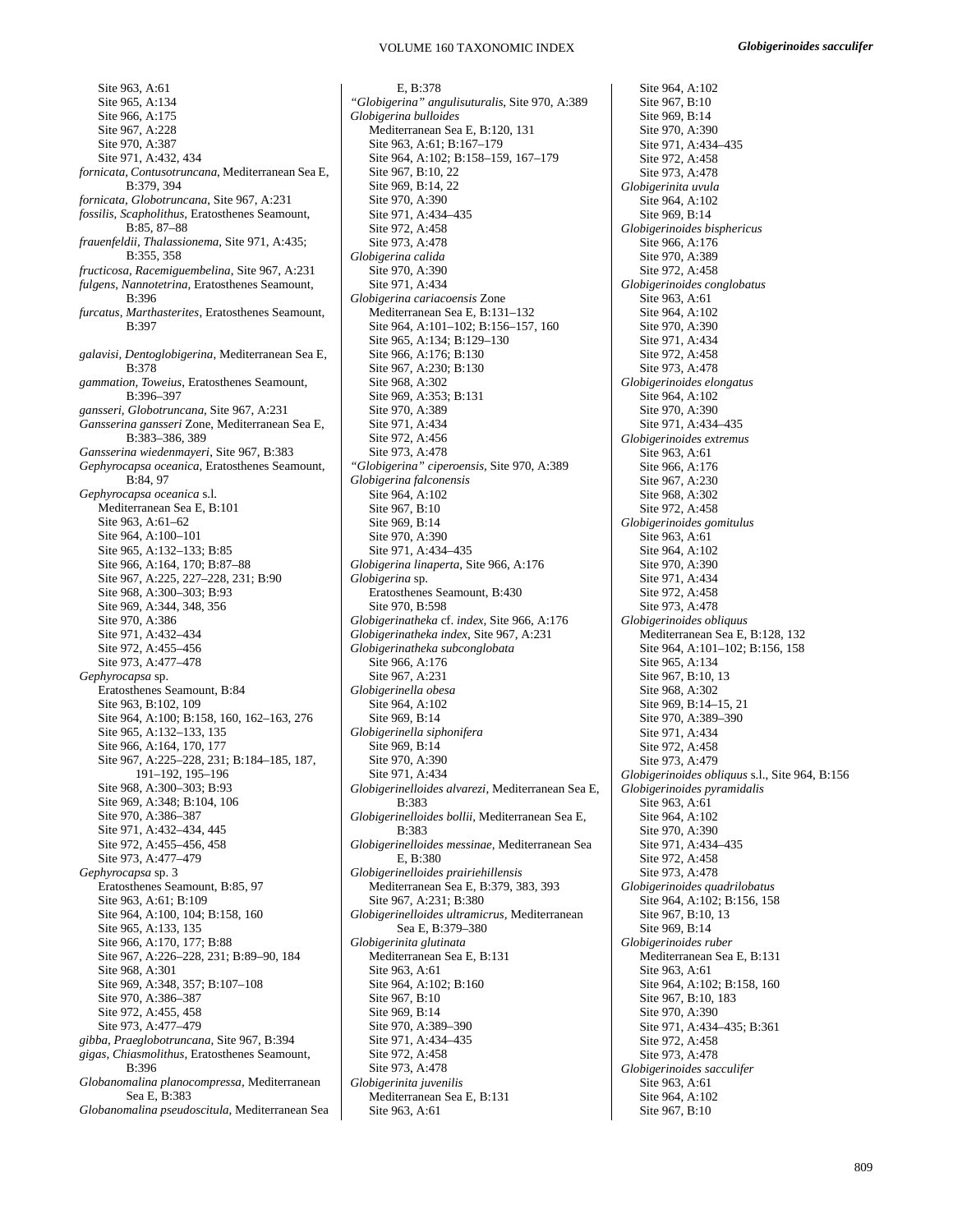Site 963, A:61 Site 965, A:134 Site 966, A:175 Site 967, A:228 Site 970, A:387 Site 971, A:432, 434 *fornicata, Contusotruncana*, Mediterranean Sea E, B:379, 394 *fornicata, Globotruncana*, Site 967, A:231 *fossilis, Scapholithus,* Eratosthenes Seamount, B:85, 87–88 *frauenfeldii, Thalassionema*, Site 971, A:435; B:355, 358 *fructicosa, Racemiguembelina*, Site 967, A:231 *fulgens, Nannotetrina,* Eratosthenes Seamount, B:396 *furcatus, Marthasterites*, Eratosthenes Seamount, B:397 *galavisi, Dentoglobigerina*, Mediterranean Sea E, B:378 *gammation, Toweius*, Eratosthenes Seamount, B:396–397 *gansseri, Globotruncana,* Site 967, A:231 *Gansserina gansseri* Zone, Mediterranean Sea E, B:383–386, 389 *Gansserina wiedenmayeri*, Site 967, B:383 *Gephyrocapsa oceanica,* Eratosthenes Seamount, B:84, 97 *Gephyrocapsa oceanica* s.l. Mediterranean Sea E, B:101 Site 963, A:61–62 Site 964, A:100–101 Site 965, A:132–133; B:85 Site 966, A:164, 170; B:87–88 Site 967, A:225, 227–228, 231; B:90 Site 968, A:300–303; B:93 Site 969, A:344, 348, 356 Site 970, A:386 Site 971, A:432–434 Site 972, A:455–456 Site 973, A:477–478 *Gephyrocapsa* sp. Eratosthenes Seamount, B:84 Site 963, B:102, 109 Site 964, A:100; B:158, 160, 162–163, 276 Site 965, A:132–133, 135 Site 966, A:164, 170, 177 Site 967, A:225–228, 231; B:184–185, 187, 191–192, 195–196 Site 968, A:300–303; B:93 Site 969, A:348; B:104, 106 Site 970, A:386–387 Site 971, A:432–434, 445 Site 972, A:455–456, 458 Site 973, A:477–479 *Gephyrocapsa* sp. 3 Eratosthenes Seamount, B:85, 97 Site 963, A:61; B:109 Site 964, A:100, 104; B:158, 160 Site 965, A:133, 135 Site 966, A:170, 177; B:88 Site 967, A:226–228, 231; B:89–90, 184 Site 968, A:301 Site 969, A:348, 357; B:107–108 Site 970, A:386–387 Site 972, A:455, 458 Site 973, A:477–479 *gibba, Praeglobotruncana,* Site 967, B:394 *gigas, Chiasmolithus*, Eratosthenes Seamount, B:396 *Globanomalina planocompressa,* Mediterranean Sea E, B:383 *Globanomalina pseudoscitula*, Mediterranean Sea

E, B:378 *"Globigerina" angulisuturalis*, Site 970, A:389 *Globigerina bulloides*  Mediterranean Sea E, B:120, 131 Site 963, A:61; B:167–179 Site 964, A:102; B:158–159, 167–179 Site 967, B:10, 22 Site 969, B:14, 22 Site 970, A:390 Site 971, A:434–435 Site 972, A:458 Site 973, A:478 *Globigerina calida*  Site 970, A:390 Site 971, A:434 *Globigerina cariacoensis* Zone Mediterranean Sea E, B:131–132 Site 964, A:101–102; B:156–157, 160 Site 965, A:134; B:129–130 Site 966, A:176; B:130 Site 967, A:230; B:130 Site 968, A:302 Site 969, A:353; B:131 Site 970, A:389 Site 971, A:434 Site 972, A:456 Site 973, A:478 *"Globigerina" ciperoensis,* Site 970, A:389 *Globigerina falconensis*  Site 964, A:102 Site 967, B:10 Site 969, B:14 Site 970, A:390 Site 971, A:434–435 *Globigerina linaperta*, Site 966, A:176 *Globigerina* sp. Eratosthenes Seamount, B:430 Site 970, B:598 *Globigerinatheka* cf. *index*, Site 966, A:176 *Globigerinatheka index*, Site 967, A:231 *Globigerinatheka subconglobata*  Site 966, A:176 Site 967, A:231 *Globigerinella obesa*  Site 964, A:102 Site 969, B:14 *Globigerinella siphonifera*  Site 969, B:14 Site 970, A:390 Site 971, A:434 *Globigerinelloides alvarezi*, Mediterranean Sea E, B:383 *Globigerinelloides bollii,* Mediterranean Sea E, B:383 *Globigerinelloides messinae,* Mediterranean Sea E, B:380 *Globigerinelloides prairiehillensis*  Mediterranean Sea E, B:379, 383, 393 Site 967, A:231; B:380 *Globigerinelloides ultramicrus,* Mediterranean Sea E, B:379–380 *Globigerinita glutinata*  Mediterranean Sea E, B:131 Site 963, A:61 Site 964, A:102; B:160 Site 967, B:10 Site 969, B:14 Site 970, A:389–390 Site 971, A:434–435 Site 972, A:458 Site 973, A:478 *Globigerinita juvenilis*  Mediterranean Sea E, B:131 Site 963, A:61

Site 964, A:102 Site 967, B:10 Site 969, B:14 Site 970, A:390 Site 971, A:434–435 Site 972, A:458 Site 973, A:478 *Globigerinita uvula*  Site 964, A:102 Site 969, B:14 *Globigerinoides bisphericus*  Site 966, A:176 Site 970, A:389 Site 972, A:458 *Globigerinoides conglobatus*  Site 963, A:61 Site 964, A:102 Site 970, A:390 Site 971, A:434 Site 972, A:458 Site 973, A:478 *Globigerinoides elongatus*  Site 964, A:102 Site 970, A:390 Site 971, A:434–435 *Globigerinoides extremus*  Site 963, A:61 Site 966, A:176 Site 967, A:230 Site 968, A:302 Site 972, A:458 *Globigerinoides gomitulus*  Site 963, A:61 Site 964, A:102 Site 970, A:390 Site 971, A:434 Site 972, A:458 Site 973, A:478 *Globigerinoides obliquus*  Mediterranean Sea E, B:128, 132 Site 964, A:101–102; B:156, 158 Site 965, A:134 Site 967, B:10, 13 Site 968, A:302 Site 969, B:14–15, 21 Site 970, A:389–390 Site 971, A:434 Site 972, A:458 Site 973, A:479 *Globigerinoides obliquus* s.l., Site 964, B:156 *Globigerinoides pyramidalis*  Site 963, A:61 Site 964, A:102 Site 970, A:390 Site 971, A:434–435 Site 972, A:458 Site 973, A:478 *Globigerinoides quadrilobatus*  Site 964, A:102; B:156, 158 Site 967, B:10, 13 Site 969, B:14 *Globigerinoides ruber*  Mediterranean Sea E, B:131 Site 963, A:61 Site 964, A:102; B:158, 160 Site 967, B:10, 183 Site 970, A:390 Site 971, A:434–435; B:361 Site 972, A:458 Site 973, A:478 *Globigerinoides sacculifer*  Site 963, A:61 Site 964, A:102 Site 967, B:10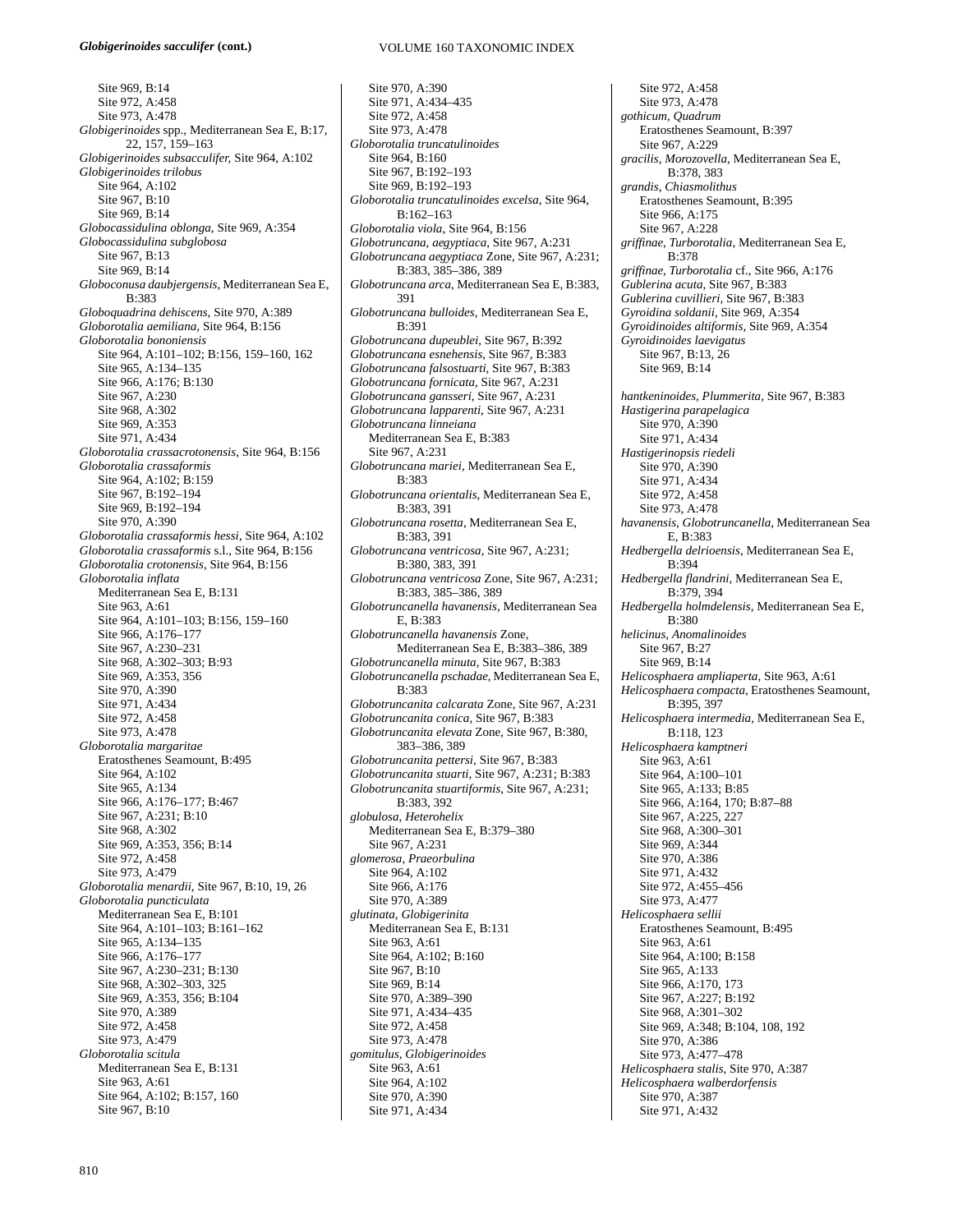Site 969, B:14 Site 972, A:458 Site 973, A:478 *Globigerinoides* spp., Mediterranean Sea E, B:17, 22, 157, 159–163 *Globigerinoides subsacculifer,* Site 964, A:102 *Globigerinoides trilobus*  Site 964, A:102 Site 967, B:10 Site 969, B:14 *Globocassidulina oblonga*, Site 969, A:354 *Globocassidulina subglobosa*  Site 967, B:13 Site 969, B:14 *Globoconusa daubjergensis,* Mediterranean Sea E, B:383 *Globoquadrina dehiscens*, Site 970, A:389 *Globorotalia aemiliana*, Site 964, B:156 *Globorotalia bononiensis*  Site 964, A:101–102; B:156, 159–160, 162 Site 965, A:134–135 Site 966, A:176; B:130 Site 967, A:230 Site 968, A:302 Site 969, A:353 Site 971, A:434 *Globorotalia crassacrotonensis*, Site 964, B:156 *Globorotalia crassaformis*  Site 964, A:102; B:159 Site 967, B:192–194 Site 969, B:192–194 Site 970, A:390 *Globorotalia crassaformis hessi*, Site 964, A:102 *Globorotalia crassaformis* s.l., Site 964, B:156 *Globorotalia crotonensis,* Site 964, B:156 *Globorotalia inflata*  Mediterranean Sea E, B:131 Site 963, A:61 Site 964, A:101–103; B:156, 159–160 Site 966, A:176–177 Site 967, A:230–231 Site 968, A:302–303; B:93 Site 969, A:353, 356 Site 970, A:390 Site 971, A:434 Site 972, A:458 Site 973, A:478 *Globorotalia margaritae*  Eratosthenes Seamount, B:495 Site 964, A:102 Site 965, A:134 Site 966, A:176–177; B:467 Site 967, A:231; B:10 Site 968, A:302 Site 969, A:353, 356; B:14 Site 972, A:458 Site 973, A:479 *Globorotalia menardii,* Site 967, B:10, 19, 26 *Globorotalia puncticulata*  Mediterranean Sea E, B:101 Site 964, A:101–103; B:161–162 Site 965, A:134–135 Site 966, A:176–177 Site 967, A:230–231; B:130 Site 968, A:302–303, 325 Site 969, A:353, 356; B:104 Site 970, A:389 Site 972, A:458 Site 973, A:479 *Globorotalia scitula*  Mediterranean Sea E, B:131 Site 963, A:61 Site 964, A:102; B:157, 160 Site 967, B:10

Site 970, A:390 Site 971, A:434–435 Site 972, A:458 Site 973, A:478 *Globorotalia truncatulinoides*  Site 964, B:160 Site 967, B:192–193 Site 969, B:192–193 *Globorotalia truncatulinoides excelsa*, Site 964, B:162–163 *Globorotalia viola*, Site 964, B:156 *Globotruncana*, *aegyptiaca,* Site 967, A:231 *Globotruncana aegyptiaca* Zone, Site 967, A:231; B:383, 385–386, 389 *Globotruncana arca*, Mediterranean Sea E, B:383, 391 *Globotruncana bulloides,* Mediterranean Sea E, B:391 *Globotruncana dupeublei*, Site 967, B:392 *Globotruncana esnehensis,* Site 967, B:383 *Globotruncana falsostuarti,* Site 967, B:383 *Globotruncana fornicata,* Site 967, A:231 *Globotruncana gansseri*, Site 967, A:231 *Globotruncana lapparenti*, Site 967, A:231 *Globotruncana linneiana* Mediterranean Sea E, B:383 Site 967, A:231 *Globotruncana mariei,* Mediterranean Sea E, B:383 *Globotruncana orientalis*, Mediterranean Sea E, B:383, 391 *Globotruncana rosetta,* Mediterranean Sea E, B:383, 391 *Globotruncana ventricosa,* Site 967, A:231; B:380, 383, 391 *Globotruncana ventricosa* Zone, Site 967, A:231; B:383, 385–386, 389 *Globotruncanella havanensis,* Mediterranean Sea E, B:383 *Globotruncanella havanensis* Zone, Mediterranean Sea E, B:383–386, 389 *Globotruncanella minuta,* Site 967, B:383 *Globotruncanella pschadae,* Mediterranean Sea E, B:383 *Globotruncanita calcarata* Zone, Site 967, A:231 *Globotruncanita conica,* Site 967, B:383 *Globotruncanita elevata* Zone, Site 967, B:380, 383–386, 389 *Globotruncanita pettersi,* Site 967, B:383 *Globotruncanita stuarti,* Site 967, A:231; B:383 *Globotruncanita stuartiformis,* Site 967, A:231; B:383, 392 *globulosa, Heterohelix*  Mediterranean Sea E, B:379–380 Site 967, A:231 *glomerosa, Praeorbulina*  Site 964, A:102 Site 966, A:176 Site 970, A:389 *glutinata, Globigerinita*  Mediterranean Sea E, B:131 Site 963, A:61 Site 964, A:102; B:160 Site 967, B:10 Site 969, B:14 Site 970, A:389–390 Site 971, A:434–435 Site 972, A:458 Site 973, A:478 *gomitulus, Globigerinoides*  Site 963, A:61 Site 964, A:102 Site 970, A:390 Site 971, A:434

Site 972, A:458 Site 973, A:478 *gothicum, Quadrum*  Eratosthenes Seamount, B:397 Site 967, A:229 *gracilis, Morozovella,* Mediterranean Sea E, B:378, 383 *grandis, Chiasmolithus*  Eratosthenes Seamount, B:395 Site 966, A:175 Site 967, A:228 *griffinae, Turborotalia*, Mediterranean Sea E, B:378 *griffinae, Turborotalia* cf., Site 966, A:176 *Gublerina acuta,* Site 967, B:383 *Gublerina cuvillieri,* Site 967, B:383 *Gyroidina soldanii,* Site 969, A:354 *Gyroidinoides altiformis,* Site 969, A:354 *Gyroidinoides laevigatus* Site 967, B:13, 26 Site 969, B:14 *hantkeninoides, Plummerita,* Site 967, B:383 *Hastigerina parapelagica*  Site 970, A:390 Site 971, A:434 *Hastigerinopsis riedeli*  Site 970, A:390 Site 971, A:434 Site 972, A:458 Site 973, A:478 *havanensis, Globotruncanella,* Mediterranean Sea  $E$ , B $\cdot$ 383 *Hedbergella delrioensis*, Mediterranean Sea E, B:394 *Hedbergella flandrini,* Mediterranean Sea E, B:379, 394 *Hedbergella holmdelensis,* Mediterranean Sea E, B:380 *helicinus, Anomalinoides*  Site 967, B:27 Site 969, B:14 *Helicosphaera ampliaperta*, Site 963, A:61 *Helicosphaera compacta,* Eratosthenes Seamount, B:395, 397 *Helicosphaera intermedia,* Mediterranean Sea E, B:118, 123 *Helicosphaera kamptneri*  Site 963, A:61 Site 964, A:100–101 Site 965, A:133; B:85 Site 966, A:164, 170; B:87–88 Site 967, A:225, 227 Site 968, A:300–301 Site 969, A:344 Site 970, A:386 Site 971, A:432 Site 972, A:455–456 Site 973, A:477 *Helicosphaera sellii*  Eratosthenes Seamount, B:495 Site 963, A:61 Site 964, A:100; B:158 Site 965, A:133 Site 966, A:170, 173 Site 967, A:227; B:192 Site 968, A:301–302 Site 969, A:348; B:104, 108, 192 Site 970, A:386 Site 973, A:477–478 *Helicosphaera stalis,* Site 970, A:387 *Helicosphaera walberdorfensis*  Site 970, A:387 Site 971, A:432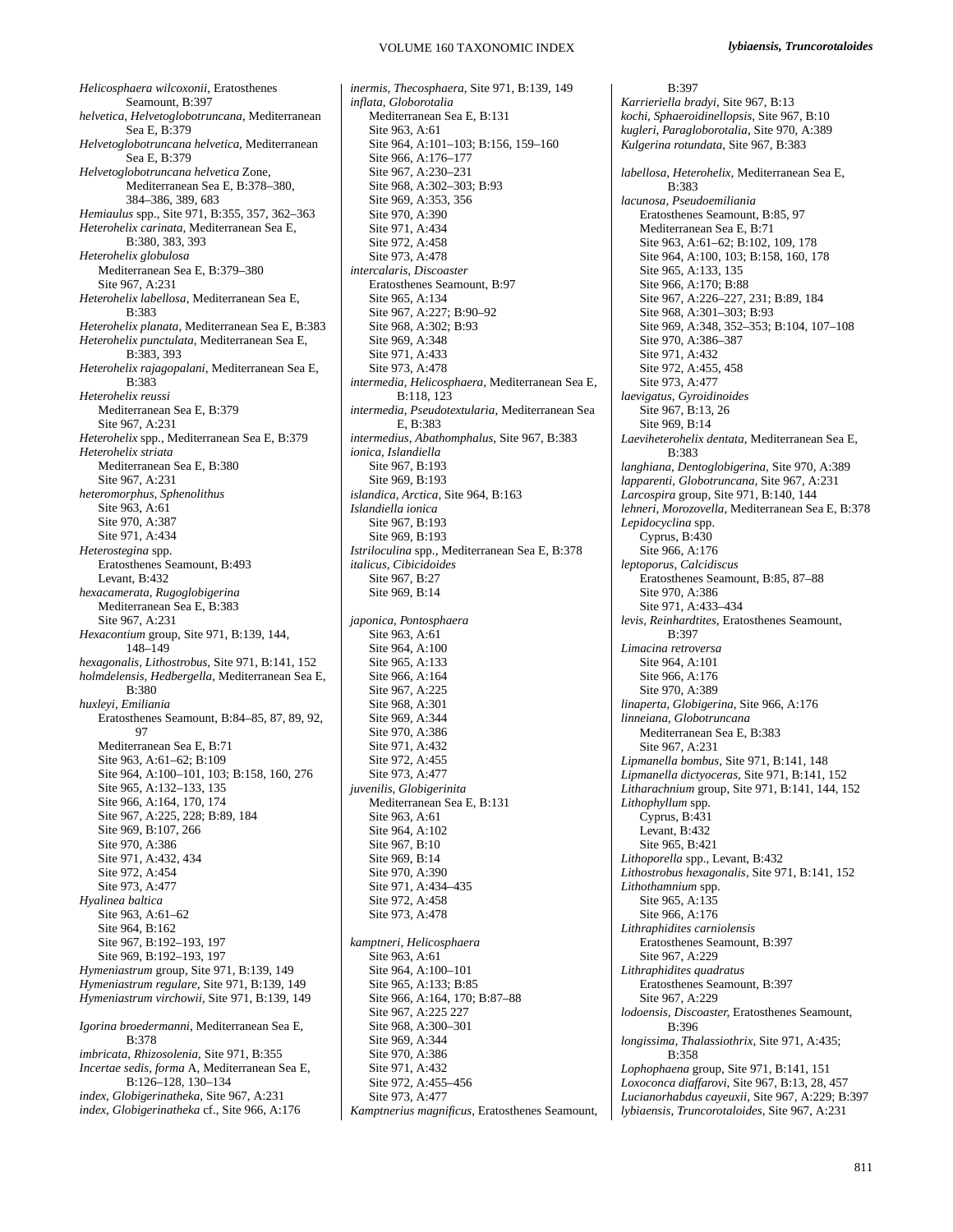*Helicosphaera wilcoxonii,* Eratosthenes Seamount, B:397 *helvetica, Helvetoglobotruncana,* Mediterranean Sea E, B:379 *Helvetoglobotruncana helvetica*, Mediterranean Sea E, B:379 *Helvetoglobotruncana helvetica* Zone, Mediterranean Sea E, B:378–380, 384–386, 389, 683 *Hemiaulus* spp., Site 971, B:355, 357, 362–363 *Heterohelix carinata,* Mediterranean Sea E, B:380, 383, 393 *Heterohelix globulosa*  Mediterranean Sea E, B:379–380 Site 967, A:231 *Heterohelix labellosa*, Mediterranean Sea E, B:383 *Heterohelix planata*, Mediterranean Sea E, B:383 *Heterohelix punctulata,* Mediterranean Sea E, B:383, 393 *Heterohelix rajagopalani*, Mediterranean Sea E, B:383 *Heterohelix reussi*  Mediterranean Sea E, B:379 Site 967, A:231 *Heterohelix* spp., Mediterranean Sea E, B:379 *Heterohelix striata*  Mediterranean Sea E, B:380 Site 967, A:231 *heteromorphus, Sphenolithus*  Site 963, A:61 Site 970, A:387 Site 971, A:434 *Heterostegina* spp. Eratosthenes Seamount, B:493 Levant, B:432 *hexacamerata, Rugoglobigerina*  Mediterranean Sea E, B:383 Site 967, A:231 *Hexacontium* group, Site 971, B:139, 144, 148–149 *hexagonalis, Lithostrobus,* Site 971, B:141, 152 *holmdelensis, Hedbergella*, Mediterranean Sea E, B:380 *huxleyi, Emiliania*  Eratosthenes Seamount, B:84–85, 87, 89, 92, 97 Mediterranean Sea E, B:71 Site 963, A:61–62; B:109 Site 964, A:100–101, 103; B:158, 160, 276 Site 965, A:132–133, 135 Site 966, A:164, 170, 174 Site 967, A:225, 228; B:89, 184 Site 969, B:107, 266 Site 970, A:386 Site 971, A:432, 434 Site 972, A:454 Site 973, A:477 *Hyalinea baltica*  Site 963, A:61–62 Site 964, B:162 Site 967, B:192–193, 197 Site 969, B:192–193, 197 *Hymeniastrum* group, Site 971, B:139, 149 *Hymeniastrum regulare*, Site 971, B:139, 149 *Hymeniastrum virchowii,* Site 971, B:139, 149 *Igorina broedermanni*, Mediterranean Sea E, B:378 *imbricata, Rhizosolenia,* Site 971, B:355 *Incertae sedis, forma* A, Mediterranean Sea E,

B:126–128, 130–134 *index, Globigerinatheka,* Site 967, A:231 *index, Globigerinatheka* cf., Site 966, A:176 *inermis, Thecosphaera*, Site 971, B:139, 149 *inflata, Globorotalia*  Mediterranean Sea E, B:131 Site 963, A:61 Site 964, A:101–103; B:156, 159–160 Site 966, A:176–177 Site 967, A:230–231 Site 968, A:302–303; B:93 Site 969, A:353, 356 Site 970, A:390 Site 971, A:434 Site 972, A:458 Site 973, A:478 *intercalaris, Discoaster*  Eratosthenes Seamount, B:97 Site 965, A:134 Site 967, A:227; B:90–92 Site 968, A:302; B:93 Site 969, A:348 Site 971, A:433 Site 973, A:478 *intermedia, Helicosphaera,* Mediterranean Sea E,  $B.118, 123$ *intermedia, Pseudotextularia*, Mediterranean Sea E, B:383 *intermedius, Abathomphalus*, Site 967, B:383 *ionica, Islandiella*  Site 967, B:193 Site 969, B:193 *islandica, Arctica,* Site 964, B:163 *Islandiella ionica*  Site 967, B:193 Site 969, B:193 *Istriloculina* spp., Mediterranean Sea E, B:378 *italicus, Cibicidoides*  Site 967, B:27 Site 969, B:14 *japonica, Pontosphaera*  Site 963, A:61 Site 964, A:100 Site 965, A:133 Site 966, A:164 Site 967, A:225 Site 968, A:301 Site 969, A:344 Site 970, A:386 Site 971, A:432 Site 972, A:455 Site 973, A:477 *juvenilis, Globigerinita*  Mediterranean Sea E, B:131 Site 963, A:61 Site 964, A:102 Site 967, B:10 Site 969, B:14 Site 970, A:390 Site 971, A:434–435 Site 972, A:458 Site 973, A:478 *kamptneri, Helicosphaera*  Site 963, A:61 Site 964, A:100–101 Site 965, A:133; B:85 Site 966, A:164, 170; B:87–88 Site 967, A:225 227 Site 968, A:300–301 Site 969, A:344 Site 970, A:386 Site 971, A:432 Site 972, A:455–456 Site 973, A:477 *Kamptnerius magnificus,* Eratosthenes Seamount,

B:397 *Karrieriella bradyi*, Site 967, B:13 *kochi, Sphaeroidinellopsis,* Site 967, B:10 *kugleri, Paragloborotalia*, Site 970, A:389 *Kulgerina rotundata*, Site 967, B:383 *labellosa, Heterohelix,* Mediterranean Sea E, B:383 *lacunosa, Pseudoemiliania*  Eratosthenes Seamount, B:85, 97 Mediterranean Sea E, B:71 Site 963, A:61–62; B:102, 109, 178 Site 964, A:100, 103; B:158, 160, 178 Site 965, A:133, 135 Site 966, A:170; B:88 Site 967, A:226–227, 231; B:89, 184 Site 968, A:301–303; B:93 Site 969, A:348, 352–353; B:104, 107–108 Site 970, A:386–387 Site 971, A:432 Site 972, A:455, 458 Site 973, A:477 *laevigatus, Gyroidinoides*  Site 967, B:13, 26 Site 969, B:14 *Laeviheterohelix dentata*, Mediterranean Sea E, B:383 *langhiana, Dentoglobigerina*, Site 970, A:389 *lapparenti, Globotruncana,* Site 967, A:231 *Larcospira* group, Site 971, B:140, 144 *lehneri, Morozovella*, Mediterranean Sea E, B:378 *Lepidocyclina* spp. Cyprus, B:430 Site 966, A:176 *leptoporus, Calcidiscus*  Eratosthenes Seamount, B:85, 87–88 Site 970, A:386 Site 971, A:433–434 *levis, Reinhardtites*, Eratosthenes Seamount, B:397 *Limacina retroversa*  Site 964, A:101 Site 966, A:176 Site 970, A:389 *linaperta, Globigerina*, Site 966, A:176 *linneiana, Globotruncana* Mediterranean Sea E, B:383 Site 967, A:231 *Lipmanella bombus,* Site 971, B:141, 148 *Lipmanella dictyoceras,* Site 971, B:141, 152 *Litharachnium* group, Site 971, B:141, 144, 152 *Lithophyllum* spp. Cyprus, B:431 Levant, B:432 Site 965, B:421 *Lithoporella* spp., Levant, B:432 *Lithostrobus hexagonalis*, Site 971, B:141, 152 *Lithothamnium* spp. Site 965, A:135 Site 966, A:176 *Lithraphidites carniolensis*  Eratosthenes Seamount, B:397 Site 967, A:229 *Lithraphidites quadratus*  Eratosthenes Seamount, B:397 Site 967, A:229 *lodoensis, Discoaster,* Eratosthenes Seamount, B:396 *longissima, Thalassiothrix*, Site 971, A:435; B:358 *Lophophaena* group, Site 971, B:141, 151 *Loxoconca diaffarovi*, Site 967, B:13, 28, 457 *Lucianorhabdus cayeuxii*, Site 967, A:229; B:397 *lybiaensis, Truncorotaloides,* Site 967, A:231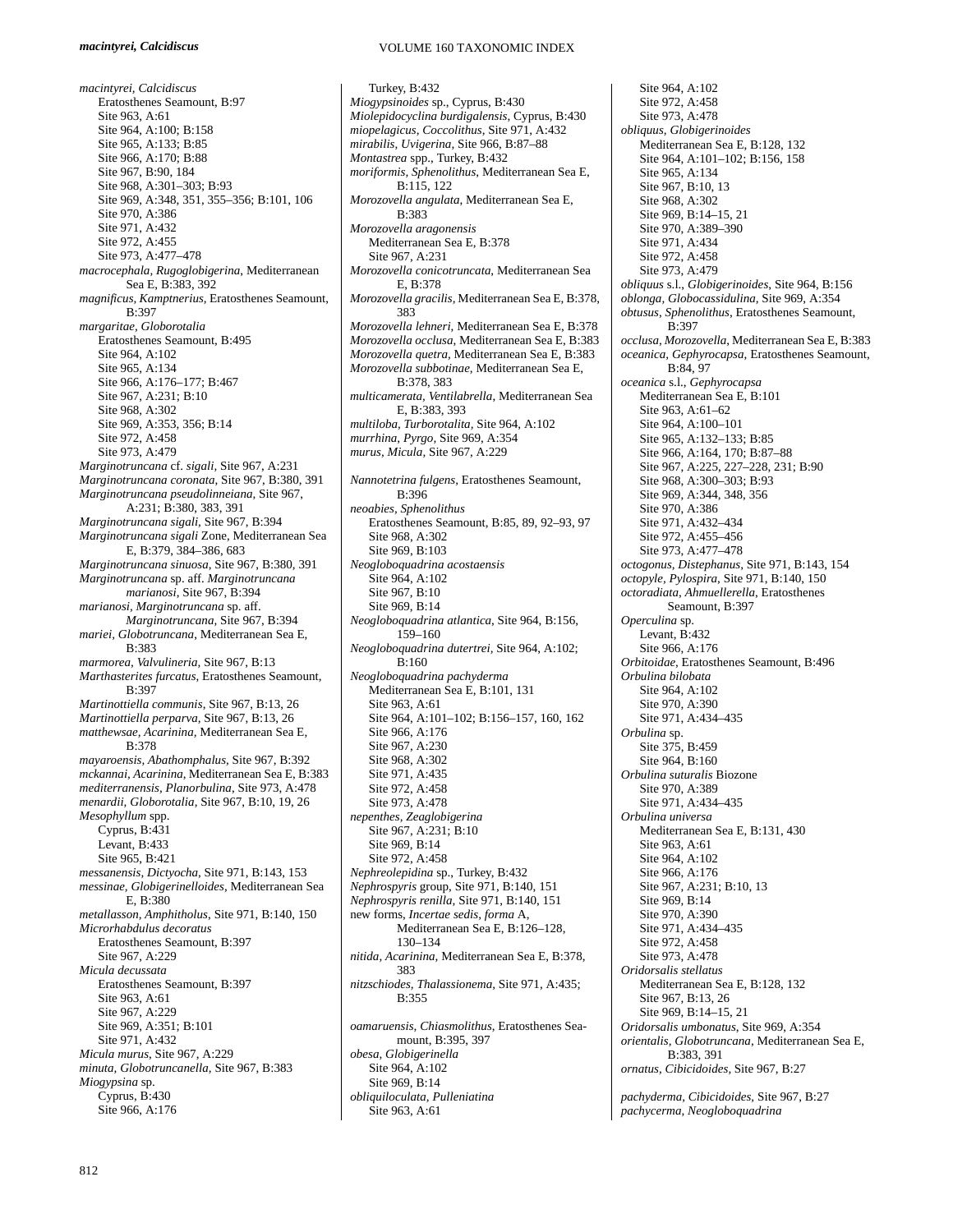*macintyrei, Calcidiscus* Eratosthenes Seamount, B:97 Site 963, A:61 Site 964, A:100; B:158 Site 965, A:133; B:85 Site 966, A:170; B:88 Site 967, B:90, 184 Site 968, A:301–303; B:93 Site 969, A:348, 351, 355–356; B:101, 106 Site 970, A:386 Site 971, A:432 Site 972, A:455 Site 973, A:477–478 *macrocephala, Rugoglobigerina*, Mediterranean Sea E, B:383, 392 *magnificus, Kamptnerius,* Eratosthenes Seamount, B:397 *margaritae, Globorotalia*  Eratosthenes Seamount, B:495 Site 964, A:102 Site 965, A:134 Site 966, A:176–177; B:467 Site 967, A:231; B:10 Site 968, A:302 Site 969, A:353, 356; B:14 Site 972, A:458 Site 973, A:479 *Marginotruncana* cf. *sigali,* Site 967, A:231 *Marginotruncana coronata,* Site 967, B:380, 391 *Marginotruncana pseudolinneiana,* Site 967, A:231; B:380, 383, 391 *Marginotruncana sigali,* Site 967, B:394 *Marginotruncana sigali* Zone, Mediterranean Sea E, B:379, 384–386, 683 *Marginotruncana sinuosa*, Site 967, B:380, 391 *Marginotruncana* sp. aff. *Marginotruncana marianosi*, Site 967, B:394 *marianosi, Marginotruncana* sp. aff. *Marginotruncana,* Site 967, B:394 *mariei, Globotruncana*, Mediterranean Sea E, B:383 *marmorea, Valvulineria,* Site 967, B:13 *Marthasterites furcatus*, Eratosthenes Seamount, B:397 *Martinottiella communis*, Site 967, B:13, 26 *Martinottiella perparva,* Site 967, B:13, 26 *matthewsae, Acarinina,* Mediterranean Sea E, B:378 *mayaroensis, Abathomphalus,* Site 967, B:392 *mckannai, Acarinina,* Mediterranean Sea E, B:383 *mediterranensis, Planorbulina*, Site 973, A:478 *menardii, Globorotalia*, Site 967, B:10, 19, 26 *Mesophyllum* spp. Cyprus, B:431 Levant, B:433 Site 965, B:421 *messanensis, Dictyocha,* Site 971, B:143, 153 *messinae, Globigerinelloides*, Mediterranean Sea E, B:380 *metallasson, Amphitholus*, Site 971, B:140, 150 *Microrhabdulus decoratus*  Eratosthenes Seamount, B:397 Site 967, A:229 *Micula decussata*  Eratosthenes Seamount, B:397 Site 963, A:61 Site 967, A:229 Site 969, A:351; B:101 Site 971, A:432 *Micula murus*, Site 967, A:229 *minuta, Globotruncanella,* Site 967, B:383 *Miogypsina* sp. Cyprus, B:430 Site 966, A:176

#### VOLUME 160 TAXONOMIC INDEX

Turkey, B:432 *Miogypsinoides* sp., Cyprus, B:430 *Miolepidocyclina burdigalensis*, Cyprus, B:430 *miopelagicus, Coccolithus,* Site 971, A:432 *mirabilis, Uvigerina,* Site 966, B:87–88 *Montastrea* spp., Turkey, B:432 *moriformis, Sphenolithus*, Mediterranean Sea E, B:115, 122 *Morozovella angulata*, Mediterranean Sea E, B:383 *Morozovella aragonensis*  Mediterranean Sea E, B:378 Site 967, A:231 *Morozovella conicotruncata*, Mediterranean Sea E, B:378 *Morozovella gracilis,* Mediterranean Sea E, B:378, 383 *Morozovella lehneri*, Mediterranean Sea E, B:378 *Morozovella occlusa*, Mediterranean Sea E, B:383 *Morozovella quetra,* Mediterranean Sea E, B:383 *Morozovella subbotinae,* Mediterranean Sea E, B:378, 383 *multicamerata, Ventilabrella*, Mediterranean Sea E, B:383, 393 *multiloba, Turborotalita,* Site 964, A:102 *murrhina, Pyrgo,* Site 969, A:354 *murus, Micula,* Site 967, A:229 *Nannotetrina fulgens,* Eratosthenes Seamount, B:396 *neoabies, Sphenolithus*  Eratosthenes Seamount, B:85, 89, 92–93, 97 Site 968, A:302 Site 969, B:103 *Neogloboquadrina acostaensis*  Site 964, A:102 Site 967, B:10 Site 969, B:14 *Neogloboquadrina atlantica*, Site 964, B:156, 159–160 *Neogloboquadrina dutertrei,* Site 964, A:102; B:160 *Neogloboquadrina pachyderma*  Mediterranean Sea E, B:101, 131 Site 963, A:61 Site 964, A:101–102; B:156–157, 160, 162 Site 966, A:176 Site 967, A:230 Site 968, A:302 Site 971, A:435 Site 972, A:458 Site 973, A:478 *nepenthes, Zeaglobigerina*  Site 967, A:231; B:10 Site 969, B:14 Site 972, A:458 *Nephreolepidina* sp., Turkey, B:432 *Nephrospyris* group, Site 971, B:140, 151 *Nephrospyris renilla,* Site 971, B:140, 151 new forms, *Incertae sedis, forma* A, Mediterranean Sea E, B:126–128, 130–134 *nitida, Acarinina,* Mediterranean Sea E, B:378, 383 *nitzschiodes, Thalassionema,* Site 971, A:435; B:355 *oamaruensis, Chiasmolithus*, Eratosthenes Seamount, B:395, 397 *obesa, Globigerinella*  Site 964, A:102 Site 969, B:14 *obliquiloculata, Pulleniatina*  Site 963, A:61

Site 964, A:102 Site 972, A:458 Site 973, A:478 *obliquus, Globigerinoides*  Mediterranean Sea E, B:128, 132 Site 964, A:101–102; B:156, 158 Site 965, A:134 Site 967, B:10, 13 Site 968, A:302 Site 969, B:14–15, 21 Site 970, A:389–390 Site 971, A:434 Site 972, A:458 Site 973, A:479 *obliquus* s.l., *Globigerinoides*, Site 964, B:156 *oblonga, Globocassidulina,* Site 969, A:354 *obtusus, Sphenolithus*, Eratosthenes Seamount,  $\hat{\mathbf{B}}$ :397 *occlusa, Morozovella*, Mediterranean Sea E, B:383 *oceanica, Gephyrocapsa*, Eratosthenes Seamount, B:84, 97 *oceanica* s.l., *Gephyrocapsa*  Mediterranean Sea E, B:101 Site 963, A:61–62 Site 964, A:100–101 Site 965, A:132–133; B:85 Site 966, A:164, 170; B:87–88 Site 967, A:225, 227–228, 231; B:90 Site 968, A:300–303; B:93 Site 969, A:344, 348, 356 Site 970, A:386 Site 971, A:432–434 Site 972, A:455–456 Site 973, A:477–478 *octogonus, Distephanus,* Site 971, B:143, 154 *octopyle, Pylospira*, Site 971, B:140, 150 *octoradiata, Ahmuellerella*, Eratosthenes Seamount, B:397 *Operculina* sp. Levant, B:432 Site 966, A:176 *Orbitoidae,* Eratosthenes Seamount, B:496 *Orbulina bilobata*  Site 964, A:102 Site 970, A:390 Site 971, A:434–435 *Orbulina* sp. Site 375, B:459 Site 964, B:160 *Orbulina suturalis* Biozone Site 970, A:389 Site 971, A:434–435 *Orbulina universa*  Mediterranean Sea E, B:131, 430 Site 963, A:61 Site 964, A:102 Site 966, A:176 Site 967, A:231; B:10, 13 Site 969, B:14 Site 970, A:390 Site 971, A:434–435 Site 972, A:458 Site 973, A:478 *Oridorsalis stellatus*  Mediterranean Sea E, B:128, 132 Site 967, B:13, 26 Site 969, B:14–15, 21 *Oridorsalis umbonatus*, Site 969, A:354 *orientalis, Globotruncana*, Mediterranean Sea E, B:383, 391 *ornatus, Cibicidoides,* Site 967, B:27

*pachyderma, Cibicidoides,* Site 967, B:27 *pachycerma, Neogloboquadrina*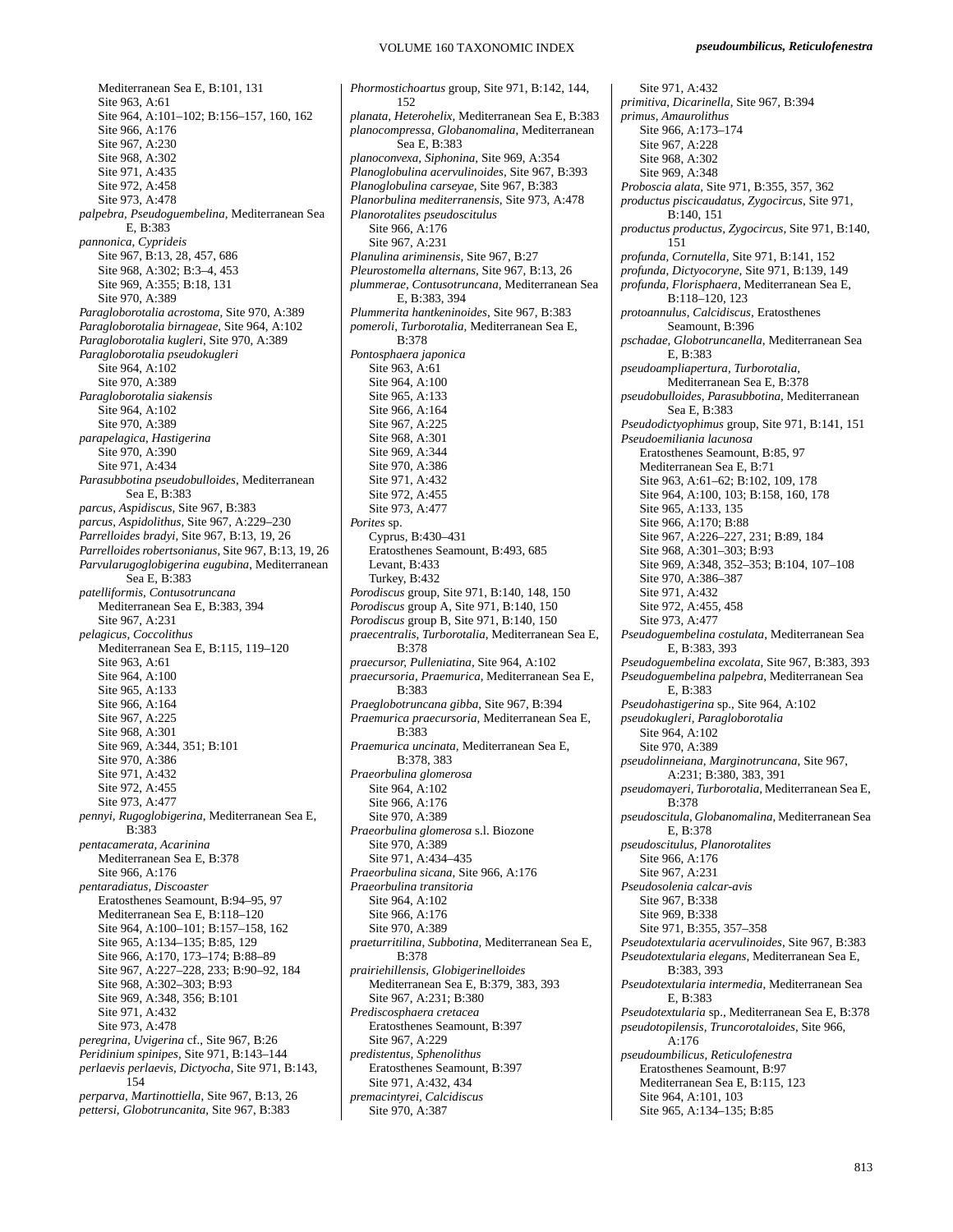## VOLUME 160 TAXONOMIC INDEX

Mediterranean Sea E, B:101, 131 Site 963, A:61 Site 964, A:101–102; B:156–157, 160, 162 Site 966, A:176 Site 967, A:230 Site 968, A:302 Site 971, A:435 Site 972, A:458 Site 973, A:478 *palpebra, Pseudoguembelina,* Mediterranean Sea E, B:383 *pannonica, Cyprideis*  Site 967, B:13, 28, 457, 686 Site 968, A:302; B:3–4, 453 Site 969, A:355; B:18, 131 Site 970, A:389 *Paragloborotalia acrostoma,* Site 970, A:389 *Paragloborotalia birnageae*, Site 964, A:102 *Paragloborotalia kugleri*, Site 970, A:389 *Paragloborotalia pseudokugleri*  Site 964, A:102 Site 970, A:389 *Paragloborotalia siakensis*  Site 964, A:102 Site 970, A:389 *parapelagica, Hastigerina*  Site 970, A:390 Site 971, A:434 *Parasubbotina pseudobulloides*, Mediterranean Sea E, B:383 *parcus, Aspidiscus,* Site 967, B:383 *parcus, Aspidolithus,* Site 967, A:229–230 *Parrelloides bradyi,* Site 967, B:13, 19, 26 *Parrelloides robertsonianus*, Site 967, B:13, 19, 26 *Parvularugoglobigerina eugubina*, Mediterranean Sea E, B:383 *patelliformis, Contusotruncana*  Mediterranean Sea E, B:383, 394 Site 967, A:231 *pelagicus, Coccolithus*  Mediterranean Sea E, B:115, 119–120 Site 963, A:61 Site 964, A:100 Site 965, A:133 Site 966, A:164 Site 967, A:225 Site 968, A:301 Site 969, A:344, 351; B:101 Site 970, A:386 Site 971, A:432 Site 972, A:455 Site 973, A:477 *pennyi, Rugoglobigerina*, Mediterranean Sea E, B:383 *pentacamerata, Acarinina*  Mediterranean Sea E, B:378 Site 966, A:176 *pentaradiatus, Discoaster*  Eratosthenes Seamount, B:94–95, 97 Mediterranean Sea E, B:118–120 Site 964, A:100–101; B:157–158, 162 Site 965, A:134–135; B:85, 129 Site 966, A:170, 173–174; B:88–89 Site 967, A:227–228, 233; B:90–92, 184 Site 968, A:302–303; B:93 Site 969, A:348, 356; B:101 Site 971, A:432 Site 973, A:478 *peregrina, Uvigerina* cf., Site 967, B:26 *Peridinium spinipes,* Site 971, B:143–144 *perlaevis perlaevis, Dictyocha,* Site 971, B:143, 154 *perparva, Martinottiella,* Site 967, B:13, 26 *pettersi, Globotruncanita,* Site 967, B:383

*Phormostichoartus* group, Site 971, B:142, 144, 152 *planata, Heterohelix,* Mediterranean Sea E, B:383 *planocompressa, Globanomalina*, Mediterranean Sea E, B:383 *planoconvexa, Siphonina,* Site 969, A:354 *Planoglobulina acervulinoides,* Site 967, B:393 *Planoglobulina carseyae,* Site 967, B:383 *Planorbulina mediterranensis,* Site 973, A:478 *Planorotalites pseudoscitulus*  Site 966, A:176 Site 967, A:231 *Planulina ariminensis,* Site 967, B:27 *Pleurostomella alternans,* Site 967, B:13, 26 *plummerae, Contusotruncana,* Mediterranean Sea E, B:383, 394 *Plummerita hantkeninoides*, Site 967, B:383 *pomeroli, Turborotalia,* Mediterranean Sea E, B:378 *Pontosphaera japonica*  Site 963, A:61 Site 964, A:100 Site 965, A:133 Site 966, A:164 Site 967, A:225 Site 968, A:301 Site 969, A:344 Site 970, A:386 Site 971, A:432 Site 972, A:455 Site 973, A:477 *Porites* sp. Cyprus, B:430–431 Eratosthenes Seamount, B:493, 685 Levant, B:433 Turkey, B:432 *Porodiscus* group, Site 971, B:140, 148, 150 *Porodiscus* group A, Site 971, B:140, 150 *Porodiscus* group B, Site 971, B:140, 150 *praecentralis, Turborotalia,* Mediterranean Sea E, B:378 *praecursor, Pulleniatina*, Site 964, A:102 *praecursoria, Praemurica,* Mediterranean Sea E, B:383 *Praeglobotruncana gibba*, Site 967, B:394 *Praemurica praecursoria,* Mediterranean Sea E, B:383 *Praemurica uncinata,* Mediterranean Sea E, B:378, 383 *Praeorbulina glomerosa*  Site 964, A:102 Site 966, A:176 Site 970, A:389 *Praeorbulina glomerosa* s.l. Biozone Site 970, A:389 Site 971, A:434–435 *Praeorbulina sicana*, Site 966, A:176 *Praeorbulina transitoria*  Site 964, A:102 Site 966, A:176 Site 970, A:389 *praeturritilina, Subbotina,* Mediterranean Sea E, B:378 *prairiehillensis, Globigerinelloides*  Mediterranean Sea E, B:379, 383, 393 Site 967, A:231; B:380 *Prediscosphaera cretacea*  Eratosthenes Seamount, B:397 Site 967, A:229 *predistentus, Sphenolithus*  Eratosthenes Seamount, B:397 Site 971, A:432, 434 *premacintyrei, Calcidiscus*  Site 970, A:387

Site 971, A:432 *primitiva, Dicarinella,* Site 967, B:394 *primus, Amaurolithus*  Site 966, A:173–174 Site 967, A:228 Site 968, A:302 Site 969, A:348 *Proboscia alata,* Site 971, B:355, 357, 362 *productus piscicaudatus, Zygocircus*, Site 971, B:140, 151 *productus productus, Zygocircus,* Site 971, B:140, 151 *profunda, Cornutella,* Site 971, B:141, 152 *profunda, Dictyocoryne,* Site 971, B:139, 149 *profunda, Florisphaera*, Mediterranean Sea E, B:118–120, 123 *protoannulus, Calcidiscus,* Eratosthenes Seamount, B:396 *pschadae, Globotruncanella*, Mediterranean Sea E, B:383 *pseudoampliapertura, Turborotalia,*  Mediterranean Sea E, B:378 *pseudobulloides, Parasubbotina,* Mediterranean Sea E, B:383 *Pseudodictyophimus* group, Site 971, B:141, 151 *Pseudoemiliania lacunosa*  Eratosthenes Seamount, B:85, 97 Mediterranean Sea E, B:71 Site 963, A:61–62; B:102, 109, 178 Site 964, A:100, 103; B:158, 160, 178 Site 965, A:133, 135 Site 966, A:170; B:88 Site 967, A:226–227, 231; B:89, 184 Site 968, A:301–303; B:93 Site 969, A:348, 352–353; B:104, 107–108 Site 970, A:386–387 Site 971, A:432 Site 972, A:455, 458 Site 973, A:477 *Pseudoguembelina costulata*, Mediterranean Sea E, B:383, 393 *Pseudoguembelina excolata,* Site 967, B:383, 393 *Pseudoguembelina palpebra,* Mediterranean Sea E, B:383 *Pseudohastigerina* sp., Site 964, A:102 *pseudokugleri, Paragloborotalia*  Site 964, A:102 Site 970, A:389 *pseudolinneiana, Marginotruncana*, Site 967, A:231; B:380, 383, 391 *pseudomayeri, Turborotalia,* Mediterranean Sea E, B:378 *pseudoscitula, Globanomalina,* Mediterranean Sea E, B:378 *pseudoscitulus, Planorotalites*  Site 966, A:176 Site 967, A:231 *Pseudosolenia calcar-avis*  Site 967, B:338 Site 969, B:338 Site 971, B:355, 357–358 *Pseudotextularia acervulinoides*, Site 967, B:383 *Pseudotextularia elegans,* Mediterranean Sea E, B:383, 393 *Pseudotextularia intermedia*, Mediterranean Sea E, B:383 *Pseudotextularia* sp., Mediterranean Sea E, B:378 *pseudotopilensis, Truncorotaloides*, Site 966, A:176 *pseudoumbilicus, Reticulofenestra*  Eratosthenes Seamount, B:97 Mediterranean Sea E, B:115, 123 Site 964, A:101, 103 Site 965, A:134–135; B:85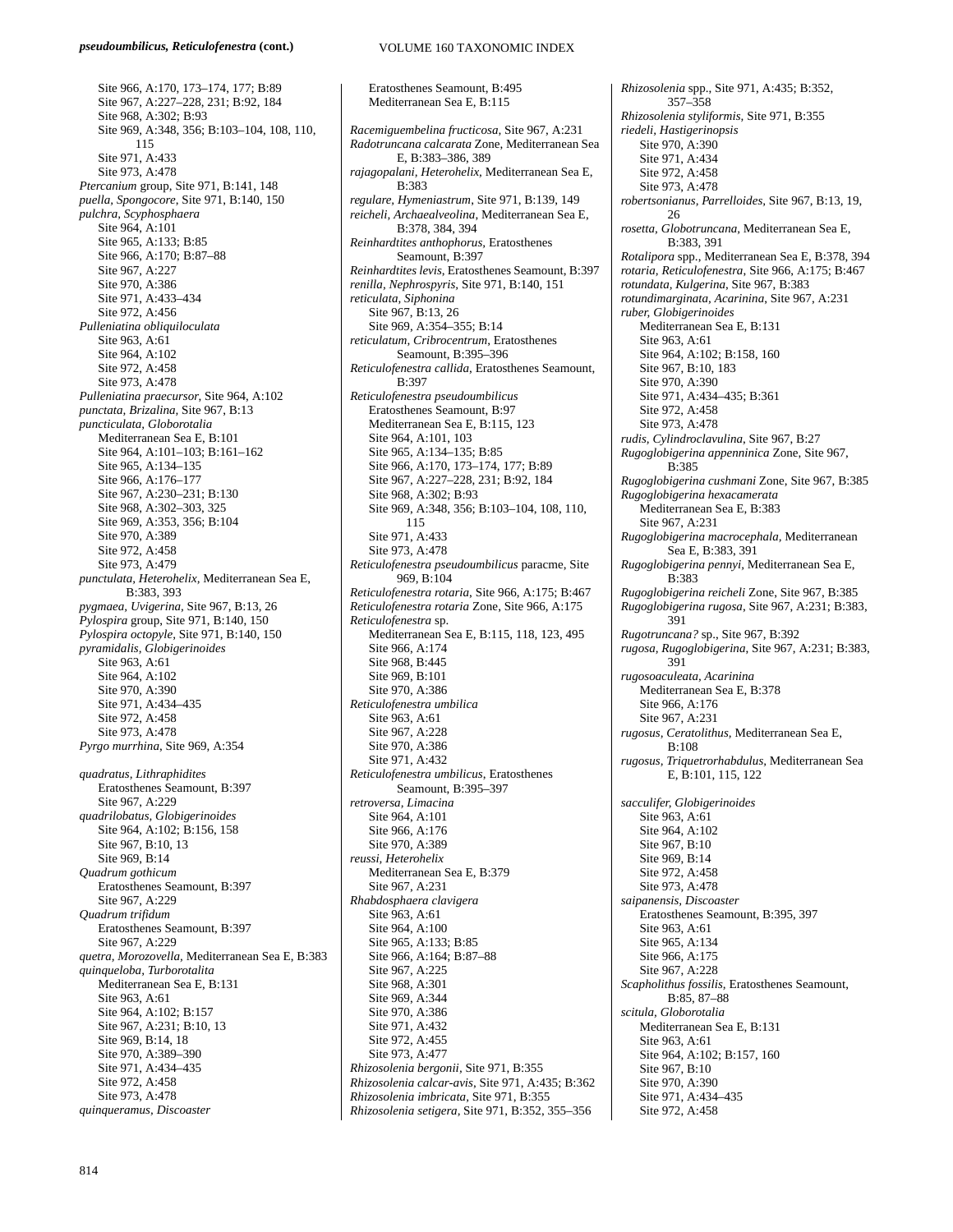#### *pseudoumbilicus, Reticulofenestra* **(cont.)**

Site 966, A:170, 173–174, 177; B:89 Site 967, A:227–228, 231; B:92, 184 Site 968, A:302; B:93 Site 969, A:348, 356; B:103–104, 108, 110, 115 Site 971, A:433 Site 973, A:478 *Ptercanium* group, Site 971, B:141, 148 *puella, Spongocore*, Site 971, B:140, 150 *pulchra, Scyphosphaera*  Site 964, A:101 Site 965, A:133; B:85 Site 966, A:170; B:87–88 Site 967, A:227 Site 970, A:386 Site 971, A:433–434 Site 972, A:456 *Pulleniatina obliquiloculata*  Site 963, A:61 Site 964, A:102 Site 972, A:458 Site 973, A:478 *Pulleniatina praecursor*, Site 964, A:102 *punctata, Brizalina,* Site 967, B:13 *puncticulata, Globorotalia*  Mediterranean Sea E, B:101 Site 964, A:101–103; B:161–162 Site 965, A:134–135 Site 966, A:176–177 Site 967, A:230–231; B:130 Site 968, A:302–303, 325 Site 969, A:353, 356; B:104 Site 970, A:389 Site 972, A:458 Site 973, A:479 *punctulata, Heterohelix,* Mediterranean Sea E, B:383, 393 *pygmaea, Uvigerina,* Site 967, B:13, 26 *Pylospira* group, Site 971, B:140, 150 *Pylospira octopyle,* Site 971, B:140, 150 *pyramidalis, Globigerinoides* Site 963, A:61 Site 964, A:102 Site 970, A:390 Site 971, A:434–435 Site 972, A:458 Site 973, A:478 *Pyrgo murrhina*, Site 969, A:354 *quadratus, Lithraphidites* Eratosthenes Seamount, B:397 Site 967, A:229 *quadrilobatus, Globigerinoides*  Site 964, A:102; B:156, 158 Site 967, B:10, 13 Site 969, B:14 *Quadrum gothicum*  Eratosthenes Seamount, B:397 Site 967, A:229 *Quadrum trifidum*  Eratosthenes Seamount, B:397 Site 967, A:229 *quetra, Morozovella,* Mediterranean Sea E, B:383 *quinqueloba, Turborotalita*  Mediterranean Sea E, B:131 Site 963, A:61 Site 964, A:102; B:157 Site 967, A:231; B:10, 13 Site 969, B:14, 18 Site 970, A:389–390 Site 971, A:434–435 Site 972, A:458 Site 973, A:478 *quinqueramus, Discoaster* 

Eratosthenes Seamount, B:495 Mediterranean Sea E, B:115 *Racemiguembelina fructicosa,* Site 967, A:231 *Radotruncana calcarata* Zone, Mediterranean Sea E, B:383–386, 389 *rajagopalani, Heterohelix,* Mediterranean Sea E, B:383 *regulare, Hymeniastrum*, Site 971, B:139, 149 *reicheli, Archaealveolina*, Mediterranean Sea E, B:378, 384, 394 *Reinhardtites anthophorus,* Eratosthenes Seamount, B:397 *Reinhardtites levis*, Eratosthenes Seamount, B:397 *renilla, Nephrospyris,* Site 971, B:140, 151 *reticulata, Siphonina* Site 967, B:13, 26 Site 969, A:354–355; B:14 *reticulatum, Cribrocentrum*, Eratosthenes Seamount, B:395–396 *Reticulofenestra callida*, Eratosthenes Seamount, B:397 *Reticulofenestra pseudoumbilicus* Eratosthenes Seamount, B:97 Mediterranean Sea E, B:115, 123 Site 964, A:101, 103 Site 965, A:134–135; B:85 Site 966, A:170, 173–174, 177; B:89 Site 967, A:227–228, 231; B:92, 184 Site 968, A:302; B:93 Site 969, A:348, 356; B:103–104, 108, 110, 115 Site 971, A:433 Site 973, A:478 *Reticulofenestra pseudoumbilicus* paracme, Site 969, B:104 *Reticulofenestra rotaria*, Site 966, A:175; B:467 *Reticulofenestra rotaria* Zone, Site 966, A:175 *Reticulofenestra* sp. Mediterranean Sea E, B:115, 118, 123, 495 Site 966, A:174 Site 968, B:445 Site 969, B:101 Site 970, A:386 *Reticulofenestra umbilica*  Site 963, A:61 Site 967, A:228 Site 970, A:386 Site 971, A:432 *Reticulofenestra umbilicus*, Eratosthenes Seamount, B:395–397 *retroversa, Limacina*  Site 964, A:101 Site 966, A:176 Site 970, A:389 *reussi, Heterohelix*  Mediterranean Sea E, B:379 Site 967, A:231 *Rhabdosphaera clavigera*  Site 963, A:61 Site 964, A:100 Site 965, A:133; B:85 Site 966, A:164; B:87–88 Site 967, A:225 Site 968, A:301 Site 969, A:344 Site 970, A:386 Site 971, A:432 Site 972, A:455 Site 973, A:477 *Rhizosolenia bergonii,* Site 971, B:355 *Rhizosolenia calcar*-*avis*, Site 971, A:435; B:362 *Rhizosolenia imbricata,* Site 971, B:355 *Rhizosolenia setigera,* Site 971, B:352, 355–356

*Rhizosolenia* spp., Site 971, A:435; B:352, 357–358 *Rhizosolenia styliformis,* Site 971, B:355 *riedeli, Hastigerinopsis* Site 970, A:390 Site 971, A:434 Site 972, A:458 Site 973, A:478 *robertsonianus, Parrelloides,* Site 967, B:13, 19,  $26$ *rosetta, Globotruncana,* Mediterranean Sea E, B:383, 391 *Rotalipora* spp., Mediterranean Sea E, B:378, 394 *rotaria, Reticulofenestra*, Site 966, A:175; B:467 *rotundata, Kulgerina*, Site 967, B:383 *rotundimarginata, Acarinina*, Site 967, A:231 *ruber, Globigerinoides*  Mediterranean Sea E, B:131 Site 963, A:61 Site 964, A:102; B:158, 160 Site 967, B:10, 183 Site 970, A:390 Site 971, A:434–435; B:361 Site 972, A:458 Site 973, A:478 *rudis, Cylindroclavulina*, Site 967, B:27 *Rugoglobigerina appenninica* Zone, Site 967, B:385 *Rugoglobigerina cushmani* Zone, Site 967, B:385 *Rugoglobigerina hexacamerata*  Mediterranean Sea E, B:383 Site 967, A:231 *Rugoglobigerina macrocephala,* Mediterranean Sea E, B:383, 391 *Rugoglobigerina pennyi,* Mediterranean Sea E, B:383 *Rugoglobigerina reicheli* Zone, Site 967, B:385 *Rugoglobigerina rugosa*, Site 967, A:231; B:383, 391 *Rugotruncana?* sp., Site 967, B:392 *rugosa, Rugoglobigerina*, Site 967, A:231; B:383, 391 *rugosoaculeata, Acarinina*  Mediterranean Sea E, B:378 Site 966, A:176 Site 967, A:231 *rugosus, Ceratolithus,* Mediterranean Sea E, B:108 *rugosus, Triquetrorhabdulus,* Mediterranean Sea E, B:101, 115, 122 *sacculifer, Globigerinoides* Site 963, A:61 Site 964, A:102 Site 967, B:10 Site 969, B:14 Site 972, A:458 Site 973, A:478 *saipanensis, Discoaster*  Eratosthenes Seamount, B:395, 397 Site 963, A:61 Site 965, A:134 Site 966, A:175 Site 967, A:228 *Scapholithus fossilis,* Eratosthenes Seamount, B:85, 87–88 *scitula, Globorotalia*  Mediterranean Sea E, B:131 Site 963, A:61 Site 964, A:102; B:157, 160 Site 967, B:10 Site 970, A:390 Site 971, A:434–435 Site 972, A:458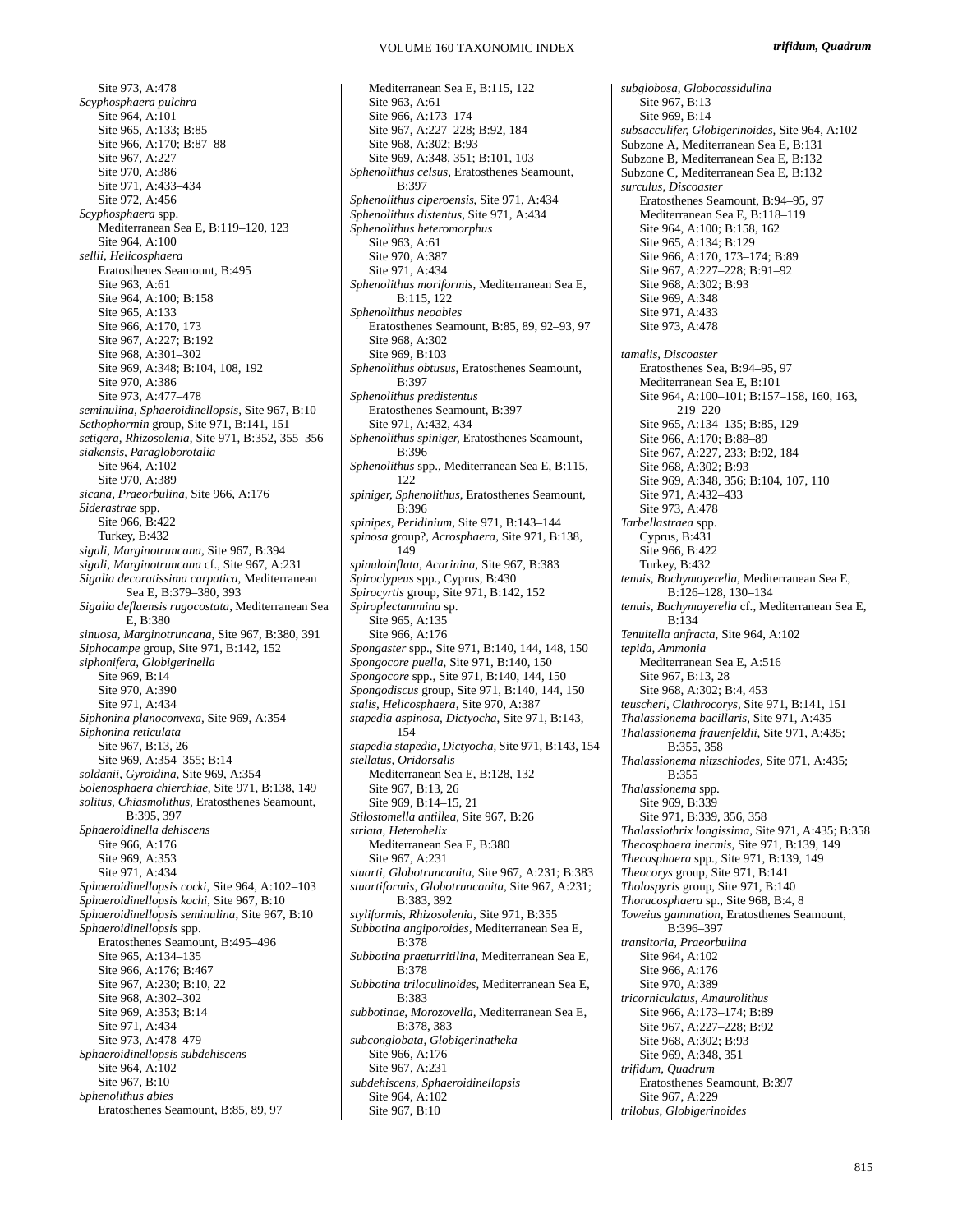Site 973, A:478 *Scyphosphaera pulchra*  Site 964, A:101 Site 965, A:133; B:85 Site 966, A:170; B:87–88 Site 967, A:227 Site 970, A:386 Site 971, A:433–434 Site 972, A:456 *Scyphosphaera* spp. Mediterranean Sea E, B:119–120, 123 Site 964, A:100 *sellii, Helicosphaera*  Eratosthenes Seamount, B:495 Site 963, A:61 Site 964, A:100; B:158 Site 965, A:133 Site 966, A:170, 173 Site 967, A:227; B:192 Site 968, A:301–302 Site 969, A:348; B:104, 108, 192 Site 970, A:386 Site 973, A:477–478 *seminulina, Sphaeroidinellopsis,* Site 967, B:10 *Sethophormin* group, Site 971, B:141, 151 *setigera, Rhizosolenia*, Site 971, B:352, 355–356 *siakensis, Paragloborotalia*  Site 964, A:102 Site 970, A:389 *sicana, Praeorbulina,* Site 966, A:176 *Siderastrae* spp. Site 966, B:422 Turkey, B:432 *sigali, Marginotruncana,* Site 967, B:394 *sigali, Marginotruncana* cf., Site 967, A:231 *Sigalia decoratissima carpatica,* Mediterranean Sea E, B:379–380, 393 *Sigalia deflaensis rugocostata,* Mediterranean Sea E, B:380 *sinuosa, Marginotruncana,* Site 967, B:380, 391 *Siphocampe* group, Site 971, B:142, 152 *siphonifera, Globigerinella* Site 969, B:14 Site 970, A:390 Site 971, A:434 *Siphonina planoconvexa,* Site 969, A:354 *Siphonina reticulata* Site 967, B:13, 26 Site 969, A:354–355; B:14 *soldanii, Gyroidina,* Site 969, A:354 *Solenosphaera chierchiae,* Site 971, B:138, 149 *solitus, Chiasmolithus,* Eratosthenes Seamount, B:395, 397 *Sphaeroidinella dehiscens*  Site 966, A:176 Site 969, A:353 Site 971, A:434 *Sphaeroidinellopsis cocki*, Site 964, A:102–103 *Sphaeroidinellopsis kochi*, Site 967, B:10 *Sphaeroidinellopsis seminulina*, Site 967, B:10 *Sphaeroidinellopsis* spp. Eratosthenes Seamount, B:495–496 Site 965, A:134–135 Site 966, A:176; B:467 Site 967, A:230; B:10, 22 Site 968, A:302–302 Site 969, A:353; B:14 Site 971, A:434 Site 973, A:478–479 *Sphaeroidinellopsis subdehiscens*  Site 964, A:102 Site 967, B:10 *Sphenolithus abies*  Eratosthenes Seamount, B:85, 89, 97

Mediterranean Sea E, B:115, 122 Site 963, A:61 Site 966, A:173–174 Site 967, A:227–228; B:92, 184 Site 968, A:302; B:93 Site 969, A:348, 351; B:101, 103 *Sphenolithus celsus*, Eratosthenes Seamount, B:397 *Sphenolithus ciperoensis*, Site 971, A:434 *Sphenolithus distentus,* Site 971, A:434 *Sphenolithus heteromorphus*  Site 963, A:61 Site 970, A:387 Site 971, A:434 *Sphenolithus moriformis,* Mediterranean Sea E, B:115, 122 *Sphenolithus neoabies*  Eratosthenes Seamount, B:85, 89, 92–93, 97 Site 968, A:302 Site 969, B:103 *Sphenolithus obtusus*, Eratosthenes Seamount, B:397 *Sphenolithus predistentus*  Eratosthenes Seamount, B:397 Site 971, A:432, 434 *Sphenolithus spiniger,* Eratosthenes Seamount,  $B.396$ *Sphenolithus* spp., Mediterranean Sea E, B:115, 122 *spiniger, Sphenolithus,* Eratosthenes Seamount, B:396 *spinipes, Peridinium,* Site 971, B:143–144 *spinosa* group?, *Acrosphaera*, Site 971, B:138, 149 *spinuloinflata, Acarinina,* Site 967, B:383 *Spiroclypeus* spp., Cyprus, B:430 *Spirocyrtis* group, Site 971, B:142, 152 *Spiroplectammina* sp. Site 965, A:135 Site 966, A:176 *Spongaster* spp., Site 971, B:140, 144, 148, 150 *Spongocore puella*, Site 971, B:140, 150 *Spongocore* spp., Site 971, B:140, 144, 150 *Spongodiscus* group, Site 971, B:140, 144, 150 *stalis, Helicosphaera,* Site 970, A:387 *stapedia aspinosa, Dictyocha*, Site 971, B:143, 154 *stapedia stapedia, Dictyocha,* Site 971, B:143, 154 *stellatus, Oridorsalis*  Mediterranean Sea E, B:128, 132 Site 967, B:13, 26 Site 969, B:14–15, 21 *Stilostomella antillea*, Site 967, B:26 *striata, Heterohelix*  Mediterranean Sea E, B:380 Site 967, A:231 *stuarti, Globotruncanita,* Site 967, A:231; B:383 *stuartiformis, Globotruncanita,* Site 967, A:231; B:383, 392 *styliformis, Rhizosolenia,* Site 971, B:355 *Subbotina angiporoides,* Mediterranean Sea E,  $B.378$ *Subbotina praeturritilina,* Mediterranean Sea E, B:378 *Subbotina triloculinoides,* Mediterranean Sea E, B:383 *subbotinae, Morozovella,* Mediterranean Sea E, B:378, 383 *subconglobata, Globigerinatheka*  Site 966, A:176 Site 967, A:231 *subdehiscens, Sphaeroidinellopsis*  Site 964, A:102 Site 967, B:10

*subglobosa, Globocassidulina*  Site 967, B:13 Site 969, B:14 *subsacculifer, Globigerinoides,* Site 964, A:102 Subzone A, Mediterranean Sea E, B:131 Subzone B, Mediterranean Sea E, B:132 Subzone C, Mediterranean Sea E, B:132 *surculus, Discoaster*  Eratosthenes Seamount, B:94–95, 97 Mediterranean Sea E, B:118–119 Site 964, A:100; B:158, 162 Site 965, A:134; B:129 Site 966, A:170, 173–174; B:89 Site 967, A:227–228; B:91–92 Site 968, A:302; B:93 Site 969, A:348 Site 971, A:433 Site 973, A:478 *tamalis, Discoaster*  Eratosthenes Sea, B:94–95, 97 Mediterranean Sea E, B:101 Site 964, A:100–101; B:157–158, 160, 163, 219–220 Site 965, A:134–135; B:85, 129 Site 966, A:170; B:88–89 Site 967, A:227, 233; B:92, 184 Site 968, A:302; B:93 Site 969, A:348, 356; B:104, 107, 110 Site 971, A:432–433 Site 973, A:478 *Tarbellastraea* spp. Cyprus,  $B:431$ Site 966, B:422 Turkey, B:432 *tenuis*, *Bachymayerella,* Mediterranean Sea E, B:126–128, 130–134 *tenuis, Bachymayerella* cf., Mediterranean Sea E, B:134 *Tenuitella anfracta*, Site 964, A:102 *tepida, Ammonia*  Mediterranean Sea E, A:516 Site 967, B:13, 28 Site 968, A:302; B:4, 453 *teuscheri, Clathrocorys,* Site 971, B:141, 151 *Thalassionema bacillaris,* Site 971, A:435 *Thalassionema frauenfeldii*, Site 971, A:435; B:355, 358 *Thalassionema nitzschiodes,* Site 971, A:435; B:355 *Thalassionema* spp. Site 969, B:339 Site 971, B:339, 356, 358 *Thalassiothrix longissima*, Site 971, A:435; B:358 *Thecosphaera inermis*, Site 971, B:139, 149 *Thecosphaera* spp., Site 971, B:139, 149 *Theocorys* group, Site 971, B:141 *Tholospyris* group, Site 971, B:140 *Thoracosphaera* sp., Site 968, B:4, 8 *Toweius gammation*, Eratosthenes Seamount, B:396–397 *transitoria, Praeorbulina*  Site 964, A:102 Site 966, A:176 Site 970, A:389 *tricorniculatus, Amaurolithus*  Site 966, A:173–174; B:89 Site 967, A:227–228; B:92 Site 968, A:302; B:93 Site 969, A:348, 351 *trifidum, Quadrum*  Eratosthenes Seamount, B:397 Site 967, A:229 *trilobus, Globigerinoides*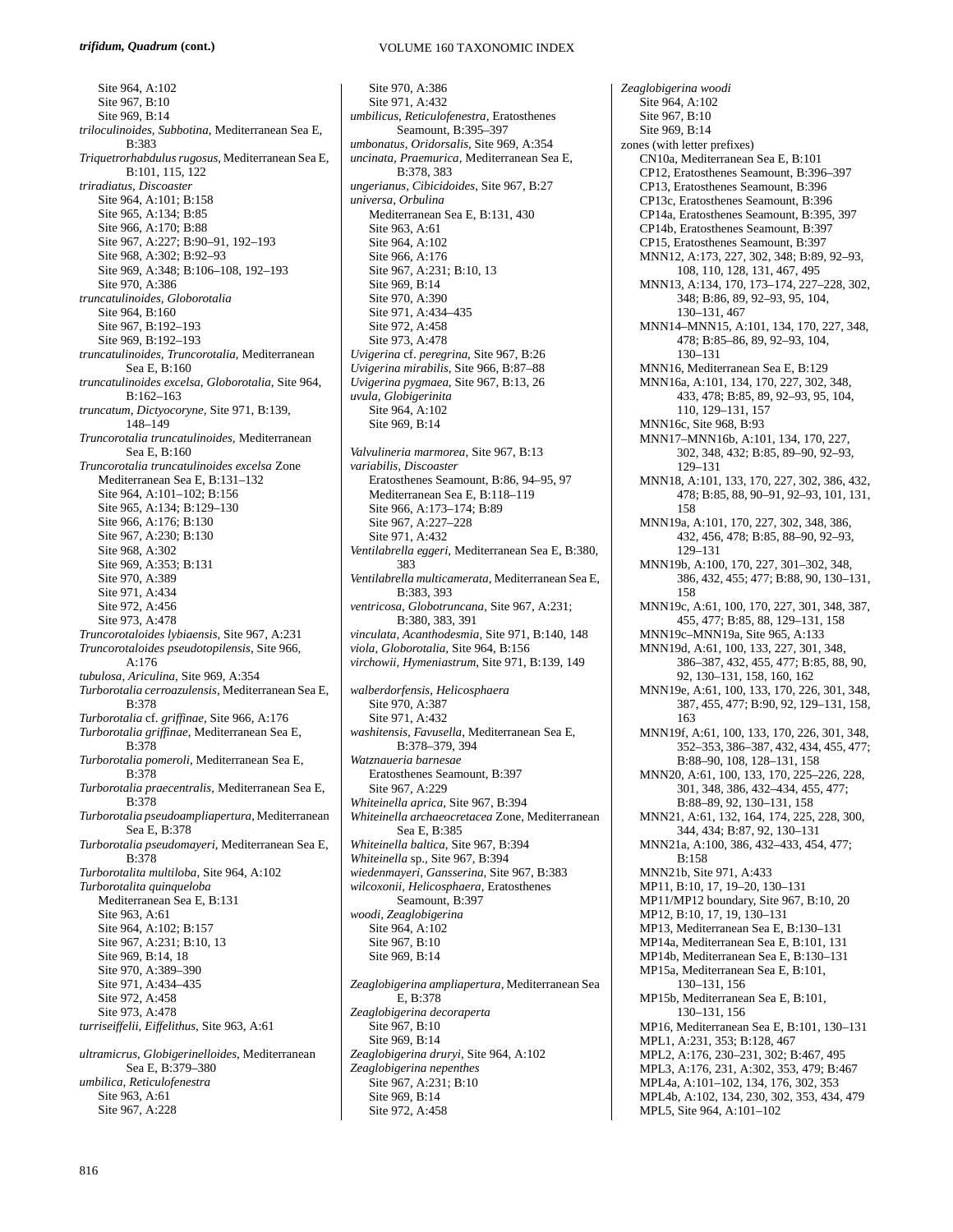Site 964, A:102 Site 967, B:10 Site 969, B:14 *triloculinoides, Subbotina,* Mediterranean Sea E, B:383 *Triquetrorhabdulus rugosus,* Mediterranean Sea E, B:101, 115, 122 *triradiatus, Discoaster*  Site 964, A:101; B:158 Site 965, A:134; B:85 Site 966, A:170; B:88 Site 967, A:227; B:90–91, 192–193 Site 968, A:302; B:92–93 Site 969, A:348; B:106–108, 192–193 Site 970, A:386 *truncatulinoides, Globorotalia*  Site 964, B:160 Site 967, B:192–193 Site 969, B:192–193 *truncatulinoides, Truncorotalia,* Mediterranean Sea E, B:160 *truncatulinoides excelsa*, *Globorotalia,* Site 964, B:162–163 *truncatum, Dictyocoryne,* Site 971, B:139, 148–149 *Truncorotalia truncatulinoides,* Mediterranean Sea E, B:160 *Truncorotalia truncatulinoides excelsa* Zone Mediterranean Sea E, B:131–132 Site 964, A:101–102; B:156 Site 965, A:134; B:129–130 Site 966, A:176; B:130 Site 967, A:230; B:130 Site 968, A:302 Site 969, A:353; B:131 Site 970, A:389 Site 971, A:434 Site 972, A:456 Site 973, A:478 *Truncorotaloides lybiaensis*, Site 967, A:231 *Truncorotaloides pseudotopilensis*, Site 966, A:176 *tubulosa, Ariculina,* Site 969, A:354 *Turborotalia cerroazulensis,* Mediterranean Sea E, B:378 *Turborotalia* cf. *griffinae*, Site 966, A:176 *Turborotalia griffinae*, Mediterranean Sea E, B:378 *Turborotalia pomeroli,* Mediterranean Sea E, B:378 *Turborotalia praecentralis,* Mediterranean Sea E,  $B.378$ *Turborotalia pseudoampliapertura,* Mediterranean Sea E, B:378 *Turborotalia pseudomayeri,* Mediterranean Sea E, B:378 *Turborotalita multiloba*, Site 964, A:102 *Turborotalita quinqueloba*  Mediterranean Sea E, B:131 Site 963, A:61 Site 964, A:102; B:157 Site 967, A:231; B:10, 13 Site 969, B:14, 18 Site 970, A:389–390 Site 971, A:434–435 Site 972, A:458 Site 973, A:478 *turriseiffelii, Eiffelithus,* Site 963, A:61 *ultramicrus, Globigerinelloides*, Mediterranean Sea E, B:379–380 *umbilica, Reticulofenestra*  Site 963, A:61 Site 967, A:228

Site 970, A:386 Site 971, A:432 *umbilicus, Reticulofenestra,* Eratosthenes Seamount, B:395–397 *umbonatus, Oridorsalis,* Site 969, A:354 *uncinata, Praemurica,* Mediterranean Sea E, B:378, 383 *ungerianus, Cibicidoides*, Site 967, B:27 *universa, Orbulina*  Mediterranean Sea E, B:131, 430 Site 963, A:61 Site 964, A:102 Site 966, A:176 Site 967, A:231; B:10, 13 Site 969, B:14 Site 970, A:390 Site 971, A:434–435 Site 972, A:458 Site 973, A:478 *Uvigerina* cf. *peregrina*, Site 967, B:26 *Uvigerina mirabilis*, Site 966, B:87–88 *Uvigerina pygmaea*, Site 967, B:13, 26 *uvula, Globigerinita*  Site 964, A:102 Site 969, B:14 *Valvulineria marmorea*, Site 967, B:13 *variabilis, Discoaster*  Eratosthenes Seamount, B:86, 94–95, 97 Mediterranean Sea E, B:118–119 Site 966, A:173–174; B:89 Site 967, A:227–228 Site 971, A:432 *Ventilabrella eggeri*, Mediterranean Sea E, B:380, 383 *Ventilabrella multicamerata*, Mediterranean Sea E, B:383, 393 *ventricosa, Globotruncana*, Site 967, A:231; B:380, 383, 391 *vinculata, Acanthodesmia*, Site 971, B:140, 148 *viola, Globorotalia,* Site 964, B:156 *virchowii, Hymeniastrum*, Site 971, B:139, 149 *walberdorfensis, Helicosphaera*  Site 970, A:387 Site 971, A:432 *washitensis, Favusella*, Mediterranean Sea E, B:378–379, 394 *Watznaueria barnesae*  Eratosthenes Seamount, B:397 Site 967, A:229 *Whiteinella aprica,* Site 967, B:394 *Whiteinella archaeocretacea* Zone, Mediterranean Sea E, B:385 *Whiteinella baltica*, Site 967, B:394 *Whiteinella* sp., Site 967, B:394 *wiedenmayeri, Gansserina*, Site 967, B:383 *wilcoxonii, Helicosphaera,* Eratosthenes Seamount, B:397 *woodi, Zeaglobigerina*  Site 964, A:102 Site 967, B:10 Site 969, B:14 *Zeaglobigerina ampliapertura*, Mediterranean Sea E, B:378 *Zeaglobigerina decoraperta*  Site 967, B:10 Site 969, B:14 *Zeaglobigerina druryi*, Site 964, A:102 *Zeaglobigerina nepenthes*  Site 967, A:231; B:10 Site 969, B:14 Site 972, A:458

*Zeaglobigerina woodi*  Site 964, A:102 Site 967, B:10 Site 969, B:14 zones (with letter prefixes) CN10a, Mediterranean Sea E, B:101 CP12, Eratosthenes Seamount, B:396–397 CP13, Eratosthenes Seamount, B:396 CP13c, Eratosthenes Seamount, B:396 CP14a, Eratosthenes Seamount, B:395, 397 CP14b, Eratosthenes Seamount, B:397 CP15, Eratosthenes Seamount, B:397 MNN12, A:173, 227, 302, 348; B:89, 92–93, 108, 110, 128, 131, 467, 495 MNN13, A:134, 170, 173–174, 227–228, 302, 348; B:86, 89, 92–93, 95, 104, 130–131, 467 MNN14–MNN15, A:101, 134, 170, 227, 348, 478; B:85–86, 89, 92–93, 104, 130–131 MNN16, Mediterranean Sea E, B:129 MNN16a, A:101, 134, 170, 227, 302, 348, 433, 478; B:85, 89, 92–93, 95, 104, 110, 129–131, 157 MNN16c, Site 968, B:93 MNN17–MNN16b, A:101, 134, 170, 227, 302, 348, 432; B:85, 89–90, 92–93, 129–131 MNN18, A:101, 133, 170, 227, 302, 386, 432, 478; B:85, 88, 90–91, 92–93, 101, 131, 158 MNN19a, A:101, 170, 227, 302, 348, 386, 432, 456, 478; B:85, 88–90, 92–93, 129–131 MNN19b, A:100, 170, 227, 301–302, 348, 386, 432, 455; 477; B:88, 90, 130–131, 158 MNN19c, A:61, 100, 170, 227, 301, 348, 387, 455, 477; B:85, 88, 129–131, 158 MNN19c–MNN19a, Site 965, A:133 MNN19d, A:61, 100, 133, 227, 301, 348, 386–387, 432, 455, 477; B:85, 88, 90, 92, 130–131, 158, 160, 162 MNN19e, A:61, 100, 133, 170, 226, 301, 348, 387, 455, 477; B:90, 92, 129–131, 158, 163 MNN19f, A:61, 100, 133, 170, 226, 301, 348, 352–353, 386–387, 432, 434, 455, 477; B:88–90, 108, 128–131, 158 MNN20, A:61, 100, 133, 170, 225–226, 228, 301, 348, 386, 432–434, 455, 477; B:88–89, 92, 130–131, 158 MNN21, A:61, 132, 164, 174, 225, 228, 300, 344, 434; B:87, 92, 130–131 MNN21a, A:100, 386, 432–433, 454, 477; B:158 MNN21b, Site 971, A:433 MP11, B:10, 17, 19–20, 130–131 MP11/MP12 boundary, Site 967, B:10, 20 MP12, B:10, 17, 19, 130–131 MP13, Mediterranean Sea E, B:130–131 MP14a, Mediterranean Sea E, B:101, 131 MP14b, Mediterranean Sea E, B:130–131 MP15a, Mediterranean Sea E, B:101, 130–131, 156 MP15b, Mediterranean Sea E, B:101, 130–131, 156 MP16, Mediterranean Sea E, B:101, 130–131 MPL1, A:231, 353; B:128, 467 MPL2, A:176, 230–231, 302; B:467, 495 MPL3, A:176, 231, A:302, 353, 479; B:467 MPL4a, A:101–102, 134, 176, 302, 353 MPL4b, A:102, 134, 230, 302, 353, 434, 479 MPL5, Site 964, A:101–102